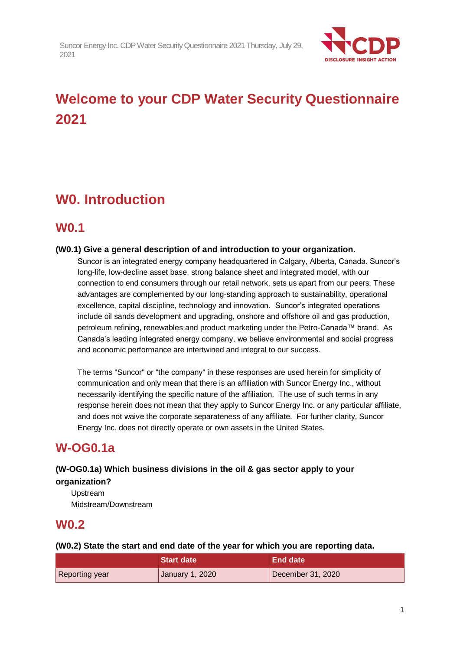

# **Welcome to your CDP Water Security Questionnaire 2021**

# **W0. Introduction**

# **W0.1**

#### **(W0.1) Give a general description of and introduction to your organization.**

Suncor is an integrated energy company headquartered in Calgary, Alberta, Canada. Suncor's long-life, low-decline asset base, strong balance sheet and integrated model, with our connection to end consumers through our retail network, sets us apart from our peers. These advantages are complemented by our long-standing approach to sustainability, operational excellence, capital discipline, technology and innovation. Suncor's integrated operations include oil sands development and upgrading, onshore and offshore oil and gas production, petroleum refining, renewables and product marketing under the Petro-Canada™ brand. As Canada's leading integrated energy company, we believe environmental and social progress and economic performance are intertwined and integral to our success.

The terms "Suncor" or "the company" in these responses are used herein for simplicity of communication and only mean that there is an affiliation with Suncor Energy Inc., without necessarily identifying the specific nature of the affiliation. The use of such terms in any response herein does not mean that they apply to Suncor Energy Inc. or any particular affiliate, and does not waive the corporate separateness of any affiliate. For further clarity, Suncor Energy Inc. does not directly operate or own assets in the United States.

# **W-OG0.1a**

### **(W-OG0.1a) Which business divisions in the oil & gas sector apply to your organization?**

Upstream Midstream/Downstream

# **W0.2**

**(W0.2) State the start and end date of the year for which you are reporting data.**

|                | <b>Start date</b> | <b>LEnd date</b>  |
|----------------|-------------------|-------------------|
| Reporting year | January 1, 2020   | December 31, 2020 |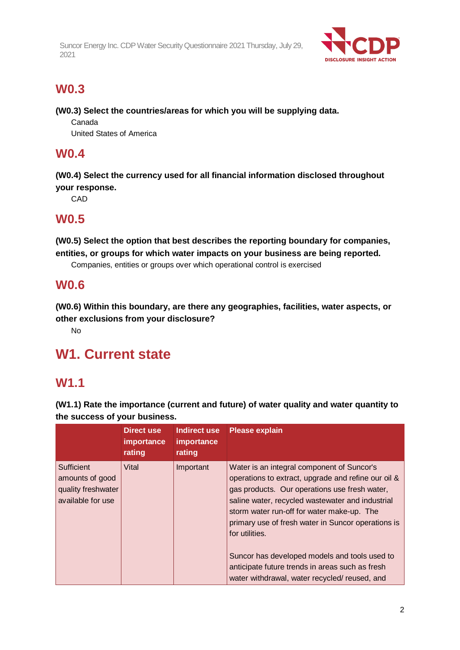

# **W0.3**

**(W0.3) Select the countries/areas for which you will be supplying data.**

Canada United States of America

### **W0.4**

**(W0.4) Select the currency used for all financial information disclosed throughout your response.**

CAD

# **W0.5**

**(W0.5) Select the option that best describes the reporting boundary for companies, entities, or groups for which water impacts on your business are being reported.**

Companies, entities or groups over which operational control is exercised

# **W0.6**

**(W0.6) Within this boundary, are there any geographies, facilities, water aspects, or other exclusions from your disclosure?**

No

# **W1. Current state**

# **W1.1**

**(W1.1) Rate the importance (current and future) of water quality and water quantity to the success of your business.**

|                                                                                 | <b>Direct use</b><br>importance<br>rating | Indirect use<br>importance<br>rating | <b>Please explain</b>                                                                                                                                                                                                                                                                                                        |
|---------------------------------------------------------------------------------|-------------------------------------------|--------------------------------------|------------------------------------------------------------------------------------------------------------------------------------------------------------------------------------------------------------------------------------------------------------------------------------------------------------------------------|
| <b>Sufficient</b><br>amounts of good<br>quality freshwater<br>available for use | Vital                                     | Important                            | Water is an integral component of Suncor's<br>operations to extract, upgrade and refine our oil &<br>gas products. Our operations use fresh water,<br>saline water, recycled wastewater and industrial<br>storm water run-off for water make-up. The<br>primary use of fresh water in Suncor operations is<br>for utilities. |
|                                                                                 |                                           |                                      | Suncor has developed models and tools used to<br>anticipate future trends in areas such as fresh<br>water withdrawal, water recycled/reused, and                                                                                                                                                                             |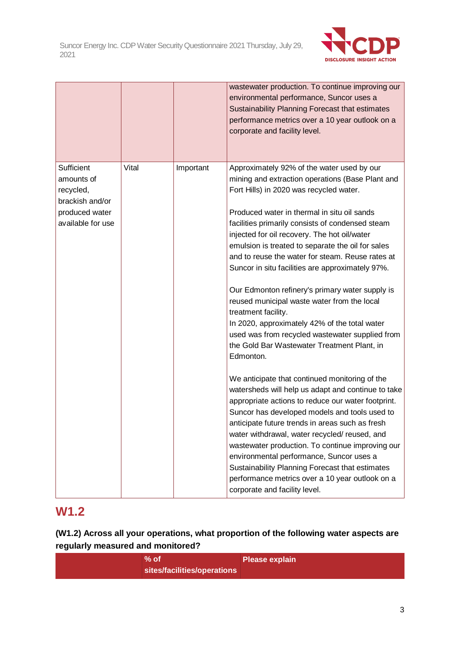

|                                                                                                 |       |           | wastewater production. To continue improving our<br>environmental performance, Suncor uses a<br>Sustainability Planning Forecast that estimates<br>performance metrics over a 10 year outlook on a<br>corporate and facility level.                                                                                                                                                                                                                                                                                                                                                                                                                                                                                                                                                                                                                                                                                                                                                                                                                                                                                                                                                                                                                                                                         |
|-------------------------------------------------------------------------------------------------|-------|-----------|-------------------------------------------------------------------------------------------------------------------------------------------------------------------------------------------------------------------------------------------------------------------------------------------------------------------------------------------------------------------------------------------------------------------------------------------------------------------------------------------------------------------------------------------------------------------------------------------------------------------------------------------------------------------------------------------------------------------------------------------------------------------------------------------------------------------------------------------------------------------------------------------------------------------------------------------------------------------------------------------------------------------------------------------------------------------------------------------------------------------------------------------------------------------------------------------------------------------------------------------------------------------------------------------------------------|
| Sufficient<br>amounts of<br>recycled,<br>brackish and/or<br>produced water<br>available for use | Vital | Important | Approximately 92% of the water used by our<br>mining and extraction operations (Base Plant and<br>Fort Hills) in 2020 was recycled water.<br>Produced water in thermal in situ oil sands<br>facilities primarily consists of condensed steam<br>injected for oil recovery. The hot oil/water<br>emulsion is treated to separate the oil for sales<br>and to reuse the water for steam. Reuse rates at<br>Suncor in situ facilities are approximately 97%.<br>Our Edmonton refinery's primary water supply is<br>reused municipal waste water from the local<br>treatment facility.<br>In 2020, approximately 42% of the total water<br>used was from recycled wastewater supplied from<br>the Gold Bar Wastewater Treatment Plant, in<br>Edmonton.<br>We anticipate that continued monitoring of the<br>watersheds will help us adapt and continue to take<br>appropriate actions to reduce our water footprint.<br>Suncor has developed models and tools used to<br>anticipate future trends in areas such as fresh<br>water withdrawal, water recycled/reused, and<br>wastewater production. To continue improving our<br>environmental performance, Suncor uses a<br>Sustainability Planning Forecast that estimates<br>performance metrics over a 10 year outlook on a<br>corporate and facility level. |

# **W1.2**

### **(W1.2) Across all your operations, what proportion of the following water aspects are regularly measured and monitored?**

| $%$ of                      | Please explain |
|-----------------------------|----------------|
| sites/facilities/operations |                |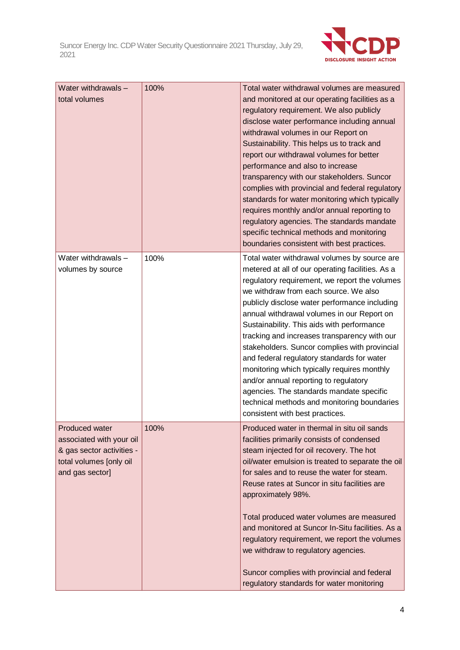

| Water withdrawals -                                                                                 | 100% | Total water withdrawal volumes are measured                                                                                                                                                                                                                                                                                                                                                                                                                                                                                                                                                                                                                  |
|-----------------------------------------------------------------------------------------------------|------|--------------------------------------------------------------------------------------------------------------------------------------------------------------------------------------------------------------------------------------------------------------------------------------------------------------------------------------------------------------------------------------------------------------------------------------------------------------------------------------------------------------------------------------------------------------------------------------------------------------------------------------------------------------|
| total volumes                                                                                       |      | and monitored at our operating facilities as a<br>regulatory requirement. We also publicly<br>disclose water performance including annual<br>withdrawal volumes in our Report on<br>Sustainability. This helps us to track and<br>report our withdrawal volumes for better<br>performance and also to increase<br>transparency with our stakeholders. Suncor<br>complies with provincial and federal regulatory<br>standards for water monitoring which typically<br>requires monthly and/or annual reporting to<br>regulatory agencies. The standards mandate<br>specific technical methods and monitoring<br>boundaries consistent with best practices.    |
| Water withdrawals -                                                                                 | 100% | Total water withdrawal volumes by source are                                                                                                                                                                                                                                                                                                                                                                                                                                                                                                                                                                                                                 |
| volumes by source                                                                                   |      | metered at all of our operating facilities. As a<br>regulatory requirement, we report the volumes<br>we withdraw from each source. We also<br>publicly disclose water performance including<br>annual withdrawal volumes in our Report on<br>Sustainability. This aids with performance<br>tracking and increases transparency with our<br>stakeholders. Suncor complies with provincial<br>and federal regulatory standards for water<br>monitoring which typically requires monthly<br>and/or annual reporting to regulatory<br>agencies. The standards mandate specific<br>technical methods and monitoring boundaries<br>consistent with best practices. |
| Produced water                                                                                      | 100% | Produced water in thermal in situ oil sands                                                                                                                                                                                                                                                                                                                                                                                                                                                                                                                                                                                                                  |
| associated with your oil<br>& gas sector activities -<br>total volumes [only oil<br>and gas sector] |      | facilities primarily consists of condensed<br>steam injected for oil recovery. The hot<br>oil/water emulsion is treated to separate the oil<br>for sales and to reuse the water for steam.<br>Reuse rates at Suncor in situ facilities are<br>approximately 98%.<br>Total produced water volumes are measured<br>and monitored at Suncor In-Situ facilities. As a<br>regulatory requirement, we report the volumes<br>we withdraw to regulatory agencies.                                                                                                                                                                                                    |
|                                                                                                     |      | Suncor complies with provincial and federal<br>regulatory standards for water monitoring                                                                                                                                                                                                                                                                                                                                                                                                                                                                                                                                                                     |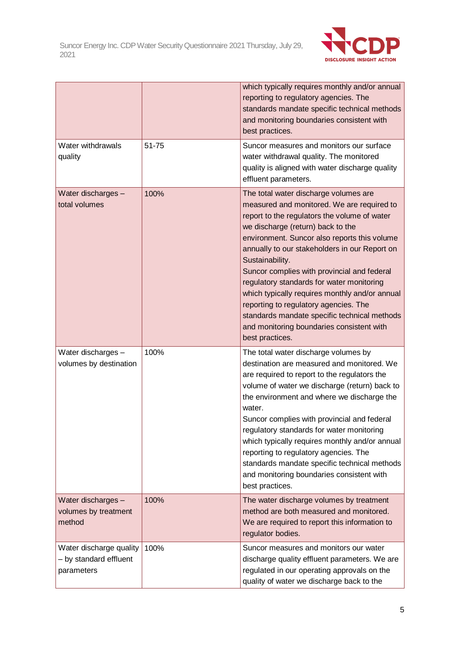

|                                                                 |       | which typically requires monthly and/or annual<br>reporting to regulatory agencies. The<br>standards mandate specific technical methods<br>and monitoring boundaries consistent with<br>best practices.                                                                                                                                                                                                                                                                                                                                                                                             |
|-----------------------------------------------------------------|-------|-----------------------------------------------------------------------------------------------------------------------------------------------------------------------------------------------------------------------------------------------------------------------------------------------------------------------------------------------------------------------------------------------------------------------------------------------------------------------------------------------------------------------------------------------------------------------------------------------------|
| Water withdrawals<br>quality                                    | 51-75 | Suncor measures and monitors our surface<br>water withdrawal quality. The monitored<br>quality is aligned with water discharge quality<br>effluent parameters.                                                                                                                                                                                                                                                                                                                                                                                                                                      |
| Water discharges -<br>total volumes                             | 100%  | The total water discharge volumes are<br>measured and monitored. We are required to<br>report to the regulators the volume of water<br>we discharge (return) back to the<br>environment. Suncor also reports this volume<br>annually to our stakeholders in our Report on<br>Sustainability.<br>Suncor complies with provincial and federal<br>regulatory standards for water monitoring<br>which typically requires monthly and/or annual<br>reporting to regulatory agencies. The<br>standards mandate specific technical methods<br>and monitoring boundaries consistent with<br>best practices. |
| Water discharges -<br>volumes by destination                    | 100%  | The total water discharge volumes by<br>destination are measured and monitored. We<br>are required to report to the regulators the<br>volume of water we discharge (return) back to<br>the environment and where we discharge the<br>water.<br>Suncor complies with provincial and federal<br>regulatory standards for water monitoring<br>which typically requires monthly and/or annual<br>reporting to regulatory agencies. The<br>standards mandate specific technical methods<br>and monitoring boundaries consistent with<br>best practices.                                                  |
| Water discharges -<br>volumes by treatment<br>method            | 100%  | The water discharge volumes by treatment<br>method are both measured and monitored.<br>We are required to report this information to<br>regulator bodies.                                                                                                                                                                                                                                                                                                                                                                                                                                           |
| Water discharge quality<br>- by standard effluent<br>parameters | 100%  | Suncor measures and monitors our water<br>discharge quality effluent parameters. We are<br>regulated in our operating approvals on the<br>quality of water we discharge back to the                                                                                                                                                                                                                                                                                                                                                                                                                 |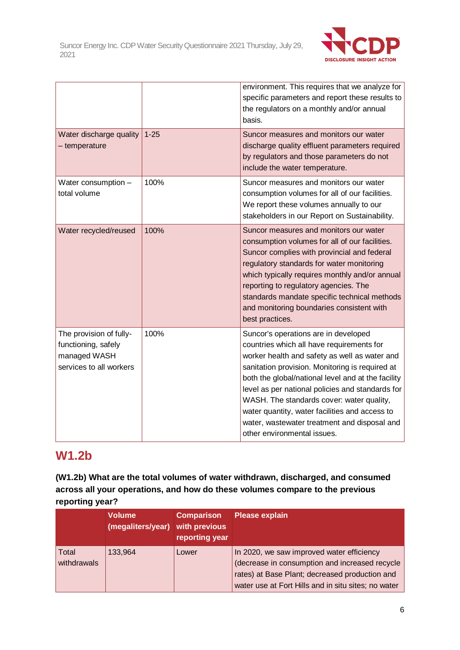

|                                                                                           |          | environment. This requires that we analyze for<br>specific parameters and report these results to<br>the regulators on a monthly and/or annual<br>basis.                                                                                                                                                                                                                                                                                                                      |
|-------------------------------------------------------------------------------------------|----------|-------------------------------------------------------------------------------------------------------------------------------------------------------------------------------------------------------------------------------------------------------------------------------------------------------------------------------------------------------------------------------------------------------------------------------------------------------------------------------|
| Water discharge quality<br>- temperature                                                  | $1 - 25$ | Suncor measures and monitors our water<br>discharge quality effluent parameters required<br>by regulators and those parameters do not<br>include the water temperature.                                                                                                                                                                                                                                                                                                       |
| Water consumption -<br>total volume                                                       | 100%     | Suncor measures and monitors our water<br>consumption volumes for all of our facilities.<br>We report these volumes annually to our<br>stakeholders in our Report on Sustainability.                                                                                                                                                                                                                                                                                          |
| Water recycled/reused                                                                     | 100%     | Suncor measures and monitors our water<br>consumption volumes for all of our facilities.<br>Suncor complies with provincial and federal<br>regulatory standards for water monitoring<br>which typically requires monthly and/or annual<br>reporting to regulatory agencies. The<br>standards mandate specific technical methods<br>and monitoring boundaries consistent with<br>best practices.                                                                               |
| The provision of fully-<br>functioning, safely<br>managed WASH<br>services to all workers | 100%     | Suncor's operations are in developed<br>countries which all have requirements for<br>worker health and safety as well as water and<br>sanitation provision. Monitoring is required at<br>both the global/national level and at the facility<br>level as per national policies and standards for<br>WASH. The standards cover: water quality,<br>water quantity, water facilities and access to<br>water, wastewater treatment and disposal and<br>other environmental issues. |

# **W1.2b**

**(W1.2b) What are the total volumes of water withdrawn, discharged, and consumed across all your operations, and how do these volumes compare to the previous reporting year?**

|                      | <b>Volume</b><br>(megaliters/year) | <b>Comparison</b><br>with previous<br>reporting year | <b>Please explain</b>                                                                                                                                                                                |
|----------------------|------------------------------------|------------------------------------------------------|------------------------------------------------------------------------------------------------------------------------------------------------------------------------------------------------------|
| Total<br>withdrawals | 133,964                            | Lower                                                | In 2020, we saw improved water efficiency<br>(decrease in consumption and increased recycle<br>rates) at Base Plant; decreased production and<br>water use at Fort Hills and in situ sites; no water |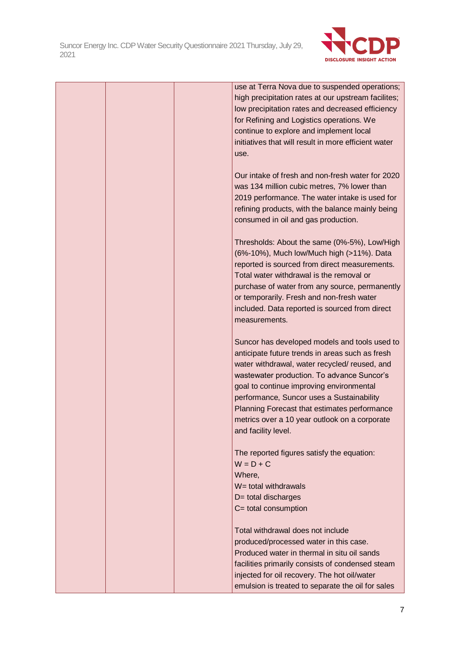

| high precipitation rates at our upstream facilites;<br>low precipitation rates and decreased efficiency<br>for Refining and Logistics operations. We<br>continue to explore and implement local<br>initiatives that will result in more efficient water<br>use.<br>Our intake of fresh and non-fresh water for 2020<br>was 134 million cubic metres, 7% lower than<br>2019 performance. The water intake is used for<br>refining products, with the balance mainly being<br>consumed in oil and gas production.<br>Thresholds: About the same (0%-5%), Low/High<br>(6%-10%), Much low/Much high (>11%). Data<br>reported is sourced from direct measurements.<br>Total water withdrawal is the removal or<br>purchase of water from any source, permanently<br>or temporarily. Fresh and non-fresh water<br>included. Data reported is sourced from direct<br>measurements.<br>Suncor has developed models and tools used to<br>anticipate future trends in areas such as fresh<br>water withdrawal, water recycled/ reused, and<br>wastewater production. To advance Suncor's<br>goal to continue improving environmental<br>performance, Suncor uses a Sustainability<br>Planning Forecast that estimates performance<br>metrics over a 10 year outlook on a corporate<br>and facility level.<br>The reported figures satisfy the equation:<br>$W = D + C$<br>Where,<br>$W =$ total withdrawals<br>D= total discharges<br>C= total consumption<br>Total withdrawal does not include | use at Terra Nova due to suspended operations; |
|---------------------------------------------------------------------------------------------------------------------------------------------------------------------------------------------------------------------------------------------------------------------------------------------------------------------------------------------------------------------------------------------------------------------------------------------------------------------------------------------------------------------------------------------------------------------------------------------------------------------------------------------------------------------------------------------------------------------------------------------------------------------------------------------------------------------------------------------------------------------------------------------------------------------------------------------------------------------------------------------------------------------------------------------------------------------------------------------------------------------------------------------------------------------------------------------------------------------------------------------------------------------------------------------------------------------------------------------------------------------------------------------------------------------------------------------------------------------------------------|------------------------------------------------|
|                                                                                                                                                                                                                                                                                                                                                                                                                                                                                                                                                                                                                                                                                                                                                                                                                                                                                                                                                                                                                                                                                                                                                                                                                                                                                                                                                                                                                                                                                       |                                                |
|                                                                                                                                                                                                                                                                                                                                                                                                                                                                                                                                                                                                                                                                                                                                                                                                                                                                                                                                                                                                                                                                                                                                                                                                                                                                                                                                                                                                                                                                                       |                                                |
|                                                                                                                                                                                                                                                                                                                                                                                                                                                                                                                                                                                                                                                                                                                                                                                                                                                                                                                                                                                                                                                                                                                                                                                                                                                                                                                                                                                                                                                                                       |                                                |
|                                                                                                                                                                                                                                                                                                                                                                                                                                                                                                                                                                                                                                                                                                                                                                                                                                                                                                                                                                                                                                                                                                                                                                                                                                                                                                                                                                                                                                                                                       |                                                |
|                                                                                                                                                                                                                                                                                                                                                                                                                                                                                                                                                                                                                                                                                                                                                                                                                                                                                                                                                                                                                                                                                                                                                                                                                                                                                                                                                                                                                                                                                       |                                                |
|                                                                                                                                                                                                                                                                                                                                                                                                                                                                                                                                                                                                                                                                                                                                                                                                                                                                                                                                                                                                                                                                                                                                                                                                                                                                                                                                                                                                                                                                                       |                                                |
|                                                                                                                                                                                                                                                                                                                                                                                                                                                                                                                                                                                                                                                                                                                                                                                                                                                                                                                                                                                                                                                                                                                                                                                                                                                                                                                                                                                                                                                                                       |                                                |
|                                                                                                                                                                                                                                                                                                                                                                                                                                                                                                                                                                                                                                                                                                                                                                                                                                                                                                                                                                                                                                                                                                                                                                                                                                                                                                                                                                                                                                                                                       |                                                |
|                                                                                                                                                                                                                                                                                                                                                                                                                                                                                                                                                                                                                                                                                                                                                                                                                                                                                                                                                                                                                                                                                                                                                                                                                                                                                                                                                                                                                                                                                       |                                                |
|                                                                                                                                                                                                                                                                                                                                                                                                                                                                                                                                                                                                                                                                                                                                                                                                                                                                                                                                                                                                                                                                                                                                                                                                                                                                                                                                                                                                                                                                                       |                                                |
|                                                                                                                                                                                                                                                                                                                                                                                                                                                                                                                                                                                                                                                                                                                                                                                                                                                                                                                                                                                                                                                                                                                                                                                                                                                                                                                                                                                                                                                                                       |                                                |
|                                                                                                                                                                                                                                                                                                                                                                                                                                                                                                                                                                                                                                                                                                                                                                                                                                                                                                                                                                                                                                                                                                                                                                                                                                                                                                                                                                                                                                                                                       |                                                |
|                                                                                                                                                                                                                                                                                                                                                                                                                                                                                                                                                                                                                                                                                                                                                                                                                                                                                                                                                                                                                                                                                                                                                                                                                                                                                                                                                                                                                                                                                       |                                                |
|                                                                                                                                                                                                                                                                                                                                                                                                                                                                                                                                                                                                                                                                                                                                                                                                                                                                                                                                                                                                                                                                                                                                                                                                                                                                                                                                                                                                                                                                                       |                                                |
|                                                                                                                                                                                                                                                                                                                                                                                                                                                                                                                                                                                                                                                                                                                                                                                                                                                                                                                                                                                                                                                                                                                                                                                                                                                                                                                                                                                                                                                                                       |                                                |
|                                                                                                                                                                                                                                                                                                                                                                                                                                                                                                                                                                                                                                                                                                                                                                                                                                                                                                                                                                                                                                                                                                                                                                                                                                                                                                                                                                                                                                                                                       |                                                |
|                                                                                                                                                                                                                                                                                                                                                                                                                                                                                                                                                                                                                                                                                                                                                                                                                                                                                                                                                                                                                                                                                                                                                                                                                                                                                                                                                                                                                                                                                       |                                                |
|                                                                                                                                                                                                                                                                                                                                                                                                                                                                                                                                                                                                                                                                                                                                                                                                                                                                                                                                                                                                                                                                                                                                                                                                                                                                                                                                                                                                                                                                                       |                                                |
|                                                                                                                                                                                                                                                                                                                                                                                                                                                                                                                                                                                                                                                                                                                                                                                                                                                                                                                                                                                                                                                                                                                                                                                                                                                                                                                                                                                                                                                                                       |                                                |
|                                                                                                                                                                                                                                                                                                                                                                                                                                                                                                                                                                                                                                                                                                                                                                                                                                                                                                                                                                                                                                                                                                                                                                                                                                                                                                                                                                                                                                                                                       |                                                |
|                                                                                                                                                                                                                                                                                                                                                                                                                                                                                                                                                                                                                                                                                                                                                                                                                                                                                                                                                                                                                                                                                                                                                                                                                                                                                                                                                                                                                                                                                       |                                                |
|                                                                                                                                                                                                                                                                                                                                                                                                                                                                                                                                                                                                                                                                                                                                                                                                                                                                                                                                                                                                                                                                                                                                                                                                                                                                                                                                                                                                                                                                                       |                                                |
|                                                                                                                                                                                                                                                                                                                                                                                                                                                                                                                                                                                                                                                                                                                                                                                                                                                                                                                                                                                                                                                                                                                                                                                                                                                                                                                                                                                                                                                                                       |                                                |
|                                                                                                                                                                                                                                                                                                                                                                                                                                                                                                                                                                                                                                                                                                                                                                                                                                                                                                                                                                                                                                                                                                                                                                                                                                                                                                                                                                                                                                                                                       |                                                |
|                                                                                                                                                                                                                                                                                                                                                                                                                                                                                                                                                                                                                                                                                                                                                                                                                                                                                                                                                                                                                                                                                                                                                                                                                                                                                                                                                                                                                                                                                       |                                                |
|                                                                                                                                                                                                                                                                                                                                                                                                                                                                                                                                                                                                                                                                                                                                                                                                                                                                                                                                                                                                                                                                                                                                                                                                                                                                                                                                                                                                                                                                                       |                                                |
|                                                                                                                                                                                                                                                                                                                                                                                                                                                                                                                                                                                                                                                                                                                                                                                                                                                                                                                                                                                                                                                                                                                                                                                                                                                                                                                                                                                                                                                                                       |                                                |
|                                                                                                                                                                                                                                                                                                                                                                                                                                                                                                                                                                                                                                                                                                                                                                                                                                                                                                                                                                                                                                                                                                                                                                                                                                                                                                                                                                                                                                                                                       |                                                |
|                                                                                                                                                                                                                                                                                                                                                                                                                                                                                                                                                                                                                                                                                                                                                                                                                                                                                                                                                                                                                                                                                                                                                                                                                                                                                                                                                                                                                                                                                       |                                                |
|                                                                                                                                                                                                                                                                                                                                                                                                                                                                                                                                                                                                                                                                                                                                                                                                                                                                                                                                                                                                                                                                                                                                                                                                                                                                                                                                                                                                                                                                                       |                                                |
|                                                                                                                                                                                                                                                                                                                                                                                                                                                                                                                                                                                                                                                                                                                                                                                                                                                                                                                                                                                                                                                                                                                                                                                                                                                                                                                                                                                                                                                                                       |                                                |
|                                                                                                                                                                                                                                                                                                                                                                                                                                                                                                                                                                                                                                                                                                                                                                                                                                                                                                                                                                                                                                                                                                                                                                                                                                                                                                                                                                                                                                                                                       |                                                |
|                                                                                                                                                                                                                                                                                                                                                                                                                                                                                                                                                                                                                                                                                                                                                                                                                                                                                                                                                                                                                                                                                                                                                                                                                                                                                                                                                                                                                                                                                       |                                                |
|                                                                                                                                                                                                                                                                                                                                                                                                                                                                                                                                                                                                                                                                                                                                                                                                                                                                                                                                                                                                                                                                                                                                                                                                                                                                                                                                                                                                                                                                                       |                                                |
|                                                                                                                                                                                                                                                                                                                                                                                                                                                                                                                                                                                                                                                                                                                                                                                                                                                                                                                                                                                                                                                                                                                                                                                                                                                                                                                                                                                                                                                                                       |                                                |
|                                                                                                                                                                                                                                                                                                                                                                                                                                                                                                                                                                                                                                                                                                                                                                                                                                                                                                                                                                                                                                                                                                                                                                                                                                                                                                                                                                                                                                                                                       |                                                |
|                                                                                                                                                                                                                                                                                                                                                                                                                                                                                                                                                                                                                                                                                                                                                                                                                                                                                                                                                                                                                                                                                                                                                                                                                                                                                                                                                                                                                                                                                       |                                                |
|                                                                                                                                                                                                                                                                                                                                                                                                                                                                                                                                                                                                                                                                                                                                                                                                                                                                                                                                                                                                                                                                                                                                                                                                                                                                                                                                                                                                                                                                                       |                                                |
|                                                                                                                                                                                                                                                                                                                                                                                                                                                                                                                                                                                                                                                                                                                                                                                                                                                                                                                                                                                                                                                                                                                                                                                                                                                                                                                                                                                                                                                                                       |                                                |
|                                                                                                                                                                                                                                                                                                                                                                                                                                                                                                                                                                                                                                                                                                                                                                                                                                                                                                                                                                                                                                                                                                                                                                                                                                                                                                                                                                                                                                                                                       |                                                |
|                                                                                                                                                                                                                                                                                                                                                                                                                                                                                                                                                                                                                                                                                                                                                                                                                                                                                                                                                                                                                                                                                                                                                                                                                                                                                                                                                                                                                                                                                       | produced/processed water in this case.         |
| Produced water in thermal in situ oil sands                                                                                                                                                                                                                                                                                                                                                                                                                                                                                                                                                                                                                                                                                                                                                                                                                                                                                                                                                                                                                                                                                                                                                                                                                                                                                                                                                                                                                                           |                                                |
| facilities primarily consists of condensed steam                                                                                                                                                                                                                                                                                                                                                                                                                                                                                                                                                                                                                                                                                                                                                                                                                                                                                                                                                                                                                                                                                                                                                                                                                                                                                                                                                                                                                                      |                                                |
| injected for oil recovery. The hot oil/water                                                                                                                                                                                                                                                                                                                                                                                                                                                                                                                                                                                                                                                                                                                                                                                                                                                                                                                                                                                                                                                                                                                                                                                                                                                                                                                                                                                                                                          |                                                |
| emulsion is treated to separate the oil for sales                                                                                                                                                                                                                                                                                                                                                                                                                                                                                                                                                                                                                                                                                                                                                                                                                                                                                                                                                                                                                                                                                                                                                                                                                                                                                                                                                                                                                                     |                                                |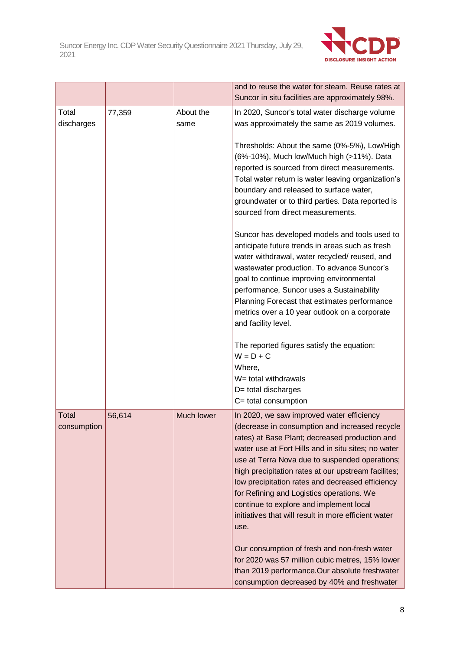

|        |                   | and to reuse the water for steam. Reuse rates at<br>Suncor in situ facilities are approximately 98%.                                                                                                                                                                                                                                                                                                                                                                                                                                                                                                                                                                                                                                                                                                                                                       |
|--------|-------------------|------------------------------------------------------------------------------------------------------------------------------------------------------------------------------------------------------------------------------------------------------------------------------------------------------------------------------------------------------------------------------------------------------------------------------------------------------------------------------------------------------------------------------------------------------------------------------------------------------------------------------------------------------------------------------------------------------------------------------------------------------------------------------------------------------------------------------------------------------------|
| 77,359 | About the<br>same | In 2020, Suncor's total water discharge volume<br>was approximately the same as 2019 volumes.<br>Thresholds: About the same (0%-5%), Low/High<br>(6%-10%), Much low/Much high (>11%). Data<br>reported is sourced from direct measurements.<br>Total water return is water leaving organization's<br>boundary and released to surface water,<br>groundwater or to third parties. Data reported is<br>sourced from direct measurements.<br>Suncor has developed models and tools used to<br>anticipate future trends in areas such as fresh<br>water withdrawal, water recycled/ reused, and<br>wastewater production. To advance Suncor's<br>goal to continue improving environmental<br>performance, Suncor uses a Sustainability<br>Planning Forecast that estimates performance<br>metrics over a 10 year outlook on a corporate<br>and facility level. |
|        |                   | The reported figures satisfy the equation:<br>$W = D + C$<br>Where,<br>W= total withdrawals<br>D= total discharges<br>C= total consumption                                                                                                                                                                                                                                                                                                                                                                                                                                                                                                                                                                                                                                                                                                                 |
| 56,614 | Much lower        | In 2020, we saw improved water efficiency<br>(decrease in consumption and increased recycle<br>rates) at Base Plant; decreased production and<br>water use at Fort Hills and in situ sites; no water<br>use at Terra Nova due to suspended operations;<br>high precipitation rates at our upstream facilites;<br>low precipitation rates and decreased efficiency<br>for Refining and Logistics operations. We<br>continue to explore and implement local<br>initiatives that will result in more efficient water<br>use.<br>Our consumption of fresh and non-fresh water<br>for 2020 was 57 million cubic metres, 15% lower<br>than 2019 performance.Our absolute freshwater                                                                                                                                                                              |
|        |                   |                                                                                                                                                                                                                                                                                                                                                                                                                                                                                                                                                                                                                                                                                                                                                                                                                                                            |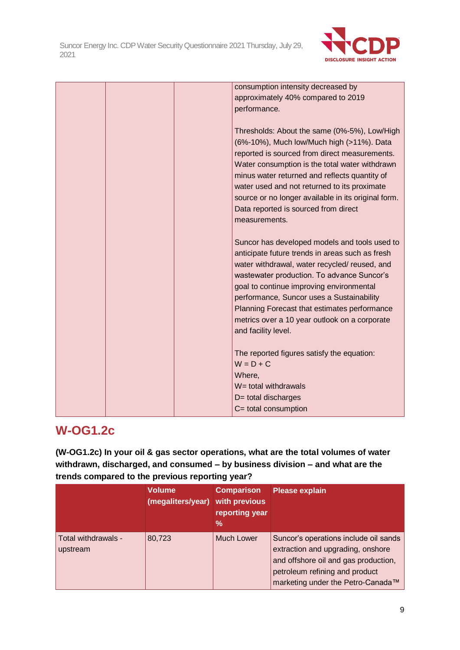

| consumption intensity decreased by                  |
|-----------------------------------------------------|
| approximately 40% compared to 2019                  |
| performance.                                        |
|                                                     |
| Thresholds: About the same (0%-5%), Low/High        |
| (6%-10%), Much low/Much high (>11%). Data           |
| reported is sourced from direct measurements.       |
| Water consumption is the total water withdrawn      |
| minus water returned and reflects quantity of       |
| water used and not returned to its proximate        |
| source or no longer available in its original form. |
| Data reported is sourced from direct                |
| measurements.                                       |
|                                                     |
| Suncor has developed models and tools used to       |
| anticipate future trends in areas such as fresh     |
| water withdrawal, water recycled/reused, and        |
| wastewater production. To advance Suncor's          |
| goal to continue improving environmental            |
| performance, Suncor uses a Sustainability           |
| Planning Forecast that estimates performance        |
| metrics over a 10 year outlook on a corporate       |
| and facility level.                                 |
|                                                     |
| The reported figures satisfy the equation:          |
| $W = D + C$                                         |
| Where,                                              |
| W= total withdrawals                                |
| $D =$ total discharges                              |
| C= total consumption                                |
|                                                     |

# **W-OG1.2c**

**(W-OG1.2c) In your oil & gas sector operations, what are the total volumes of water withdrawn, discharged, and consumed – by business division – and what are the trends compared to the previous reporting year?**

|                                 | <b>Volume</b><br>(megaliters/year) | <b>Comparison</b><br>with previous<br>reporting year<br>% | <b>Please explain</b>                                                                                                                                                                     |
|---------------------------------|------------------------------------|-----------------------------------------------------------|-------------------------------------------------------------------------------------------------------------------------------------------------------------------------------------------|
| Total withdrawals -<br>upstream | 80,723                             | <b>Much Lower</b>                                         | Suncor's operations include oil sands<br>extraction and upgrading, onshore<br>and offshore oil and gas production,<br>petroleum refining and product<br>marketing under the Petro-Canada™ |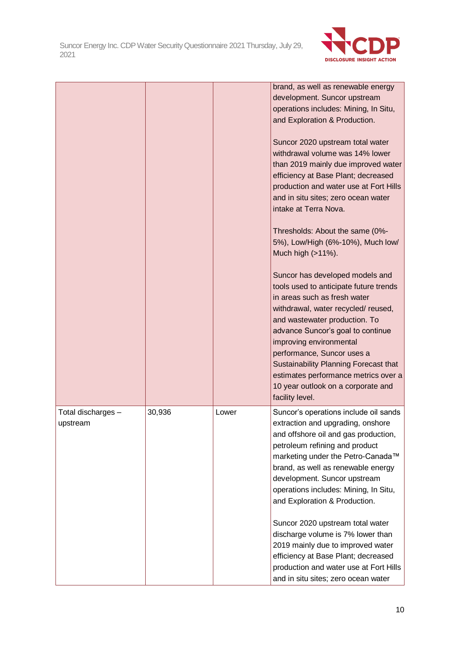

|                                |        |       | brand, as well as renewable energy<br>development. Suncor upstream<br>operations includes: Mining, In Situ,<br>and Exploration & Production.<br>Suncor 2020 upstream total water<br>withdrawal volume was 14% lower<br>than 2019 mainly due improved water<br>efficiency at Base Plant; decreased<br>production and water use at Fort Hills<br>and in situ sites; zero ocean water<br>intake at Terra Nova.<br>Thresholds: About the same (0%-<br>5%), Low/High (6%-10%), Much low/<br>Much high (>11%).<br>Suncor has developed models and<br>tools used to anticipate future trends<br>in areas such as fresh water<br>withdrawal, water recycled/reused,<br>and wastewater production. To<br>advance Suncor's goal to continue<br>improving environmental<br>performance, Suncor uses a<br>Sustainability Planning Forecast that<br>estimates performance metrics over a<br>10 year outlook on a corporate and<br>facility level. |
|--------------------------------|--------|-------|--------------------------------------------------------------------------------------------------------------------------------------------------------------------------------------------------------------------------------------------------------------------------------------------------------------------------------------------------------------------------------------------------------------------------------------------------------------------------------------------------------------------------------------------------------------------------------------------------------------------------------------------------------------------------------------------------------------------------------------------------------------------------------------------------------------------------------------------------------------------------------------------------------------------------------------|
| Total discharges -<br>upstream | 30,936 | Lower | Suncor's operations include oil sands<br>extraction and upgrading, onshore<br>and offshore oil and gas production,<br>petroleum refining and product<br>marketing under the Petro-Canada™<br>brand, as well as renewable energy<br>development. Suncor upstream<br>operations includes: Mining, In Situ,<br>and Exploration & Production.<br>Suncor 2020 upstream total water<br>discharge volume is 7% lower than<br>2019 mainly due to improved water<br>efficiency at Base Plant; decreased<br>production and water use at Fort Hills                                                                                                                                                                                                                                                                                                                                                                                             |
|                                |        |       | and in situ sites; zero ocean water                                                                                                                                                                                                                                                                                                                                                                                                                                                                                                                                                                                                                                                                                                                                                                                                                                                                                                  |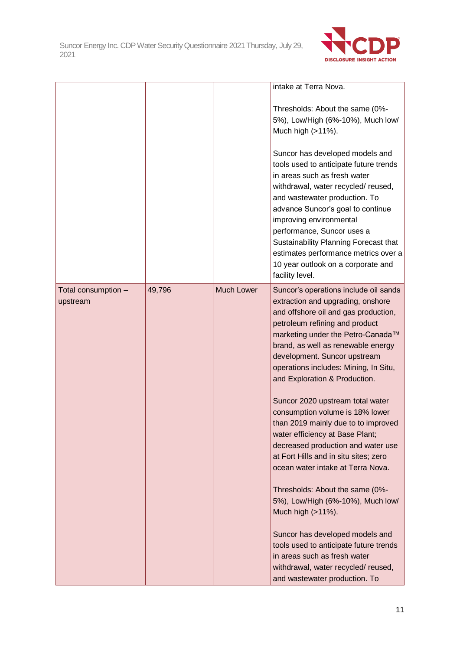

|                                 |        |                   | intake at Terra Nova.                                                                                                                                                                                                                                                                                                                                                                                                                                                                                                                                                                                                                                                                                                                                                                                                                                                                           |
|---------------------------------|--------|-------------------|-------------------------------------------------------------------------------------------------------------------------------------------------------------------------------------------------------------------------------------------------------------------------------------------------------------------------------------------------------------------------------------------------------------------------------------------------------------------------------------------------------------------------------------------------------------------------------------------------------------------------------------------------------------------------------------------------------------------------------------------------------------------------------------------------------------------------------------------------------------------------------------------------|
|                                 |        |                   | Thresholds: About the same (0%-<br>5%), Low/High (6%-10%), Much low/<br>Much high (>11%).<br>Suncor has developed models and<br>tools used to anticipate future trends<br>in areas such as fresh water<br>withdrawal, water recycled/reused,<br>and wastewater production. To<br>advance Suncor's goal to continue<br>improving environmental<br>performance, Suncor uses a<br>Sustainability Planning Forecast that<br>estimates performance metrics over a<br>10 year outlook on a corporate and<br>facility level.                                                                                                                                                                                                                                                                                                                                                                           |
| Total consumption -<br>upstream | 49,796 | <b>Much Lower</b> | Suncor's operations include oil sands<br>extraction and upgrading, onshore<br>and offshore oil and gas production,<br>petroleum refining and product<br>marketing under the Petro-Canada™<br>brand, as well as renewable energy<br>development. Suncor upstream<br>operations includes: Mining, In Situ,<br>and Exploration & Production.<br>Suncor 2020 upstream total water<br>consumption volume is 18% lower<br>than 2019 mainly due to to improved<br>water efficiency at Base Plant;<br>decreased production and water use<br>at Fort Hills and in situ sites; zero<br>ocean water intake at Terra Nova.<br>Thresholds: About the same (0%-<br>5%), Low/High (6%-10%), Much low/<br>Much high (>11%).<br>Suncor has developed models and<br>tools used to anticipate future trends<br>in areas such as fresh water<br>withdrawal, water recycled/reused,<br>and wastewater production. To |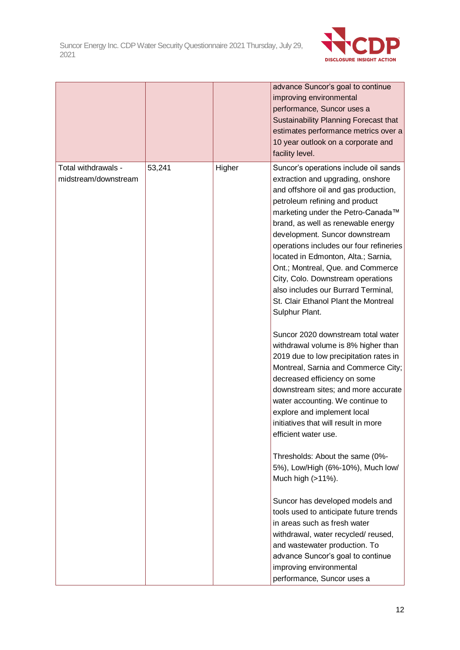

|                                             |        |        | advance Suncor's goal to continue<br>improving environmental<br>performance, Suncor uses a<br>Sustainability Planning Forecast that<br>estimates performance metrics over a<br>10 year outlook on a corporate and<br>facility level.                                                                                                                                                                                                                                                                                                                                                                        |
|---------------------------------------------|--------|--------|-------------------------------------------------------------------------------------------------------------------------------------------------------------------------------------------------------------------------------------------------------------------------------------------------------------------------------------------------------------------------------------------------------------------------------------------------------------------------------------------------------------------------------------------------------------------------------------------------------------|
| Total withdrawals -<br>midstream/downstream | 53,241 | Higher | Suncor's operations include oil sands<br>extraction and upgrading, onshore<br>and offshore oil and gas production,<br>petroleum refining and product<br>marketing under the Petro-Canada™<br>brand, as well as renewable energy<br>development. Suncor downstream<br>operations includes our four refineries<br>located in Edmonton, Alta.; Sarnia,<br>Ont.; Montreal, Que. and Commerce<br>City, Colo. Downstream operations<br>also includes our Burrard Terminal,<br>St. Clair Ethanol Plant the Montreal<br>Sulphur Plant.<br>Suncor 2020 downstream total water<br>withdrawal volume is 8% higher than |
|                                             |        |        | 2019 due to low precipitation rates in<br>Montreal, Sarnia and Commerce City;<br>decreased efficiency on some<br>downstream sites; and more accurate<br>water accounting. We continue to<br>explore and implement local<br>initiatives that will result in more<br>efficient water use.                                                                                                                                                                                                                                                                                                                     |
|                                             |        |        | Thresholds: About the same (0%-<br>5%), Low/High (6%-10%), Much low/<br>Much high (>11%).                                                                                                                                                                                                                                                                                                                                                                                                                                                                                                                   |
|                                             |        |        | Suncor has developed models and<br>tools used to anticipate future trends<br>in areas such as fresh water<br>withdrawal, water recycled/reused,<br>and wastewater production. To<br>advance Suncor's goal to continue<br>improving environmental<br>performance, Suncor uses a                                                                                                                                                                                                                                                                                                                              |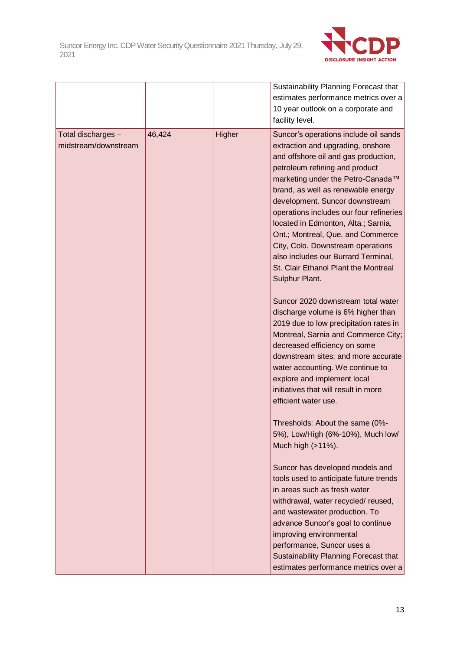

|                                            |        |        | Sustainability Planning Forecast that<br>estimates performance metrics over a<br>10 year outlook on a corporate and<br>facility level.                                                                                                                                                                                                                                                                                                                                                                                         |
|--------------------------------------------|--------|--------|--------------------------------------------------------------------------------------------------------------------------------------------------------------------------------------------------------------------------------------------------------------------------------------------------------------------------------------------------------------------------------------------------------------------------------------------------------------------------------------------------------------------------------|
| Total discharges -<br>midstream/downstream | 46,424 | Higher | Suncor's operations include oil sands<br>extraction and upgrading, onshore<br>and offshore oil and gas production,<br>petroleum refining and product<br>marketing under the Petro-Canada™<br>brand, as well as renewable energy<br>development. Suncor downstream<br>operations includes our four refineries<br>located in Edmonton, Alta.; Sarnia,<br>Ont.; Montreal, Que. and Commerce<br>City, Colo. Downstream operations<br>also includes our Burrard Terminal,<br>St. Clair Ethanol Plant the Montreal<br>Sulphur Plant. |
|                                            |        |        | Suncor 2020 downstream total water<br>discharge volume is 6% higher than<br>2019 due to low precipitation rates in<br>Montreal, Sarnia and Commerce City;<br>decreased efficiency on some<br>downstream sites; and more accurate<br>water accounting. We continue to<br>explore and implement local<br>initiatives that will result in more<br>efficient water use.                                                                                                                                                            |
|                                            |        |        | Thresholds: About the same (0%-<br>5%), Low/High (6%-10%), Much low/<br>Much high (>11%).                                                                                                                                                                                                                                                                                                                                                                                                                                      |
|                                            |        |        | Suncor has developed models and<br>tools used to anticipate future trends<br>in areas such as fresh water<br>withdrawal, water recycled/ reused,<br>and wastewater production. To<br>advance Suncor's goal to continue<br>improving environmental<br>performance, Suncor uses a<br>Sustainability Planning Forecast that                                                                                                                                                                                                       |
|                                            |        |        | estimates performance metrics over a                                                                                                                                                                                                                                                                                                                                                                                                                                                                                           |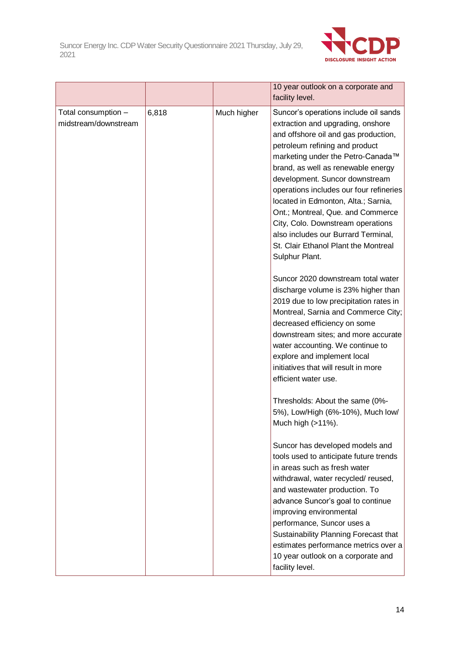

|                                             |       |             | 10 year outlook on a corporate and<br>facility level.                                                                                                                                                                                                                                                                                                                                                                                                                                                                          |
|---------------------------------------------|-------|-------------|--------------------------------------------------------------------------------------------------------------------------------------------------------------------------------------------------------------------------------------------------------------------------------------------------------------------------------------------------------------------------------------------------------------------------------------------------------------------------------------------------------------------------------|
| Total consumption -<br>midstream/downstream | 6,818 | Much higher | Suncor's operations include oil sands<br>extraction and upgrading, onshore<br>and offshore oil and gas production,<br>petroleum refining and product<br>marketing under the Petro-Canada™<br>brand, as well as renewable energy<br>development. Suncor downstream<br>operations includes our four refineries<br>located in Edmonton, Alta.; Sarnia,<br>Ont.; Montreal, Que. and Commerce<br>City, Colo. Downstream operations<br>also includes our Burrard Terminal,<br>St. Clair Ethanol Plant the Montreal<br>Sulphur Plant. |
|                                             |       |             | Suncor 2020 downstream total water<br>discharge volume is 23% higher than<br>2019 due to low precipitation rates in<br>Montreal, Sarnia and Commerce City;<br>decreased efficiency on some<br>downstream sites; and more accurate<br>water accounting. We continue to<br>explore and implement local<br>initiatives that will result in more<br>efficient water use.                                                                                                                                                           |
|                                             |       |             | Thresholds: About the same (0%-<br>5%), Low/High (6%-10%), Much low/<br>Much high (>11%).                                                                                                                                                                                                                                                                                                                                                                                                                                      |
|                                             |       |             | Suncor has developed models and<br>tools used to anticipate future trends<br>in areas such as fresh water<br>withdrawal, water recycled/reused,<br>and wastewater production. To<br>advance Suncor's goal to continue<br>improving environmental<br>performance, Suncor uses a<br>Sustainability Planning Forecast that<br>estimates performance metrics over a<br>10 year outlook on a corporate and<br>facility level.                                                                                                       |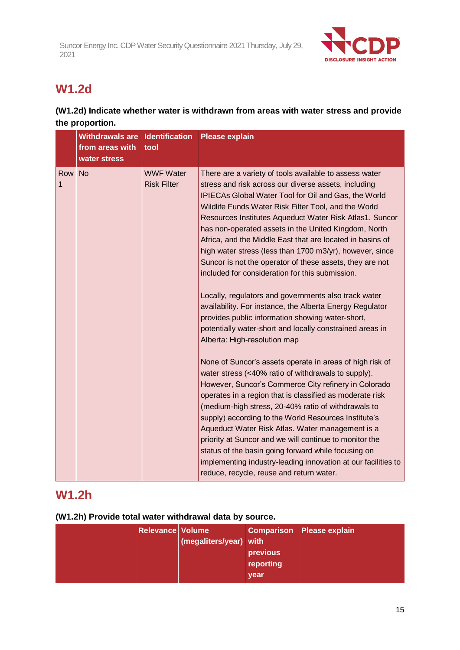

# **W1.2d**

### **(W1.2d) Indicate whether water is withdrawn from areas with water stress and provide the proportion.**

|          | Withdrawals are Identification Please explain<br>from areas with<br>water stress | tool                                   |                                                                                                                                                                                                                                                                                                                                                                                                                                                                                                                                                                                                                                                                                                                                                                                                                                                                                                                                                                                                                                                                                                                                                                                                                                                                                                                                                                                                                                                           |
|----------|----------------------------------------------------------------------------------|----------------------------------------|-----------------------------------------------------------------------------------------------------------------------------------------------------------------------------------------------------------------------------------------------------------------------------------------------------------------------------------------------------------------------------------------------------------------------------------------------------------------------------------------------------------------------------------------------------------------------------------------------------------------------------------------------------------------------------------------------------------------------------------------------------------------------------------------------------------------------------------------------------------------------------------------------------------------------------------------------------------------------------------------------------------------------------------------------------------------------------------------------------------------------------------------------------------------------------------------------------------------------------------------------------------------------------------------------------------------------------------------------------------------------------------------------------------------------------------------------------------|
| Row<br>1 | No                                                                               | <b>WWF Water</b><br><b>Risk Filter</b> | There are a variety of tools available to assess water<br>stress and risk across our diverse assets, including<br>IPIECAs Global Water Tool for Oil and Gas, the World<br>Wildlife Funds Water Risk Filter Tool, and the World<br>Resources Institutes Aqueduct Water Risk Atlas1. Suncor<br>has non-operated assets in the United Kingdom, North<br>Africa, and the Middle East that are located in basins of<br>high water stress (less than 1700 m3/yr), however, since<br>Suncor is not the operator of these assets, they are not<br>included for consideration for this submission.<br>Locally, regulators and governments also track water<br>availability. For instance, the Alberta Energy Regulator<br>provides public information showing water-short,<br>potentially water-short and locally constrained areas in<br>Alberta: High-resolution map<br>None of Suncor's assets operate in areas of high risk of<br>water stress (<40% ratio of withdrawals to supply).<br>However, Suncor's Commerce City refinery in Colorado<br>operates in a region that is classified as moderate risk<br>(medium-high stress, 20-40% ratio of withdrawals to<br>supply) according to the World Resources Institute's<br>Aqueduct Water Risk Atlas. Water management is a<br>priority at Suncor and we will continue to monitor the<br>status of the basin going forward while focusing on<br>implementing industry-leading innovation at our facilities to |
|          |                                                                                  |                                        | reduce, recycle, reuse and return water.                                                                                                                                                                                                                                                                                                                                                                                                                                                                                                                                                                                                                                                                                                                                                                                                                                                                                                                                                                                                                                                                                                                                                                                                                                                                                                                                                                                                                  |

### **W1.2h**

### **(W1.2h) Provide total water withdrawal data by source.**

| <b>Relevance Volume</b> | (megaliters/year) with |                               | <b>Comparison</b> Please explain |
|-------------------------|------------------------|-------------------------------|----------------------------------|
|                         |                        | previous<br>reporting<br>year |                                  |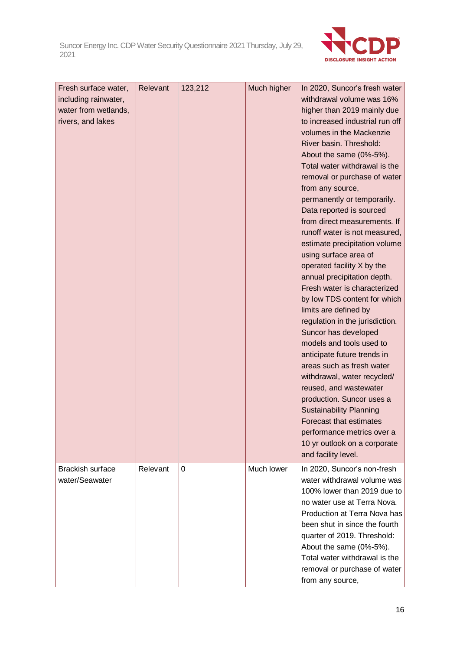

| Fresh surface water,<br>including rainwater,<br>water from wetlands,<br>rivers, and lakes | Relevant | 123,212     | Much higher | In 2020, Suncor's fresh water<br>withdrawal volume was 16%<br>higher than 2019 mainly due<br>to increased industrial run off<br>volumes in the Mackenzie<br>River basin. Threshold:<br>About the same (0%-5%).<br>Total water withdrawal is the<br>removal or purchase of water<br>from any source,<br>permanently or temporarily.<br>Data reported is sourced<br>from direct measurements. If<br>runoff water is not measured,<br>estimate precipitation volume<br>using surface area of<br>operated facility X by the<br>annual precipitation depth.<br>Fresh water is characterized<br>by low TDS content for which<br>limits are defined by<br>regulation in the jurisdiction.<br>Suncor has developed<br>models and tools used to<br>anticipate future trends in<br>areas such as fresh water<br>withdrawal, water recycled/ |
|-------------------------------------------------------------------------------------------|----------|-------------|-------------|-----------------------------------------------------------------------------------------------------------------------------------------------------------------------------------------------------------------------------------------------------------------------------------------------------------------------------------------------------------------------------------------------------------------------------------------------------------------------------------------------------------------------------------------------------------------------------------------------------------------------------------------------------------------------------------------------------------------------------------------------------------------------------------------------------------------------------------|
|                                                                                           |          |             |             | reused, and wastewater<br>production. Suncor uses a<br><b>Sustainability Planning</b><br>Forecast that estimates<br>performance metrics over a<br>10 yr outlook on a corporate<br>and facility level.                                                                                                                                                                                                                                                                                                                                                                                                                                                                                                                                                                                                                             |
| <b>Brackish surface</b><br>water/Seawater                                                 | Relevant | $\mathbf 0$ | Much lower  | In 2020, Suncor's non-fresh<br>water withdrawal volume was<br>100% lower than 2019 due to<br>no water use at Terra Nova.<br>Production at Terra Nova has<br>been shut in since the fourth<br>quarter of 2019. Threshold:<br>About the same (0%-5%).<br>Total water withdrawal is the<br>removal or purchase of water<br>from any source,                                                                                                                                                                                                                                                                                                                                                                                                                                                                                          |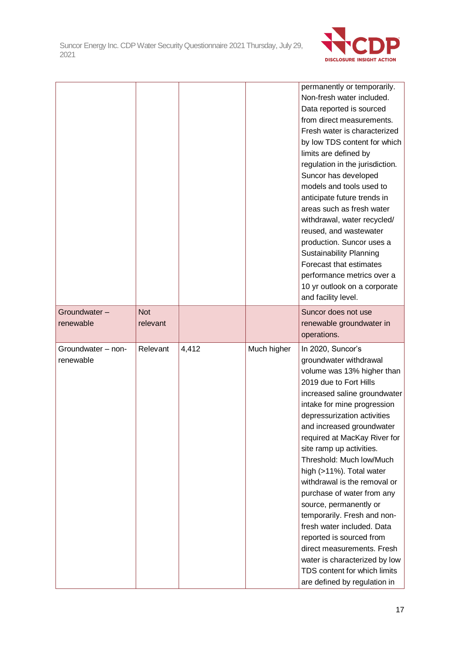

|                                 |                        |       |             | permanently or temporarily.<br>Non-fresh water included.<br>Data reported is sourced<br>from direct measurements.<br>Fresh water is characterized<br>by low TDS content for which<br>limits are defined by<br>regulation in the jurisdiction.<br>Suncor has developed<br>models and tools used to<br>anticipate future trends in<br>areas such as fresh water<br>withdrawal, water recycled/<br>reused, and wastewater<br>production. Suncor uses a<br><b>Sustainability Planning</b><br>Forecast that estimates<br>performance metrics over a<br>10 yr outlook on a corporate<br>and facility level.                                                              |
|---------------------------------|------------------------|-------|-------------|--------------------------------------------------------------------------------------------------------------------------------------------------------------------------------------------------------------------------------------------------------------------------------------------------------------------------------------------------------------------------------------------------------------------------------------------------------------------------------------------------------------------------------------------------------------------------------------------------------------------------------------------------------------------|
| Groundwater-<br>renewable       | <b>Not</b><br>relevant |       |             | Suncor does not use<br>renewable groundwater in<br>operations.                                                                                                                                                                                                                                                                                                                                                                                                                                                                                                                                                                                                     |
| Groundwater - non-<br>renewable | Relevant               | 4,412 | Much higher | In 2020, Suncor's<br>groundwater withdrawal<br>volume was 13% higher than<br>2019 due to Fort Hills<br>increased saline groundwater<br>intake for mine progression<br>depressurization activities<br>and increased groundwater<br>required at MacKay River for<br>site ramp up activities.<br>Threshold: Much Iow/Much<br>high (>11%). Total water<br>withdrawal is the removal or<br>purchase of water from any<br>source, permanently or<br>temporarily. Fresh and non-<br>fresh water included. Data<br>reported is sourced from<br>direct measurements. Fresh<br>water is characterized by low<br>TDS content for which limits<br>are defined by regulation in |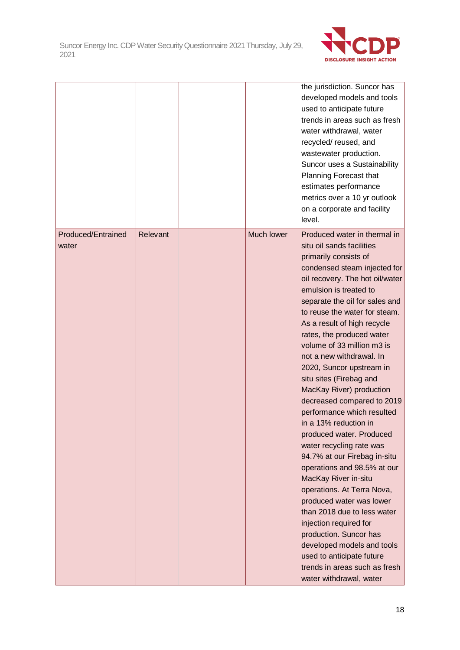

|                             |          |            | the jurisdiction. Suncor has<br>developed models and tools<br>used to anticipate future<br>trends in areas such as fresh<br>water withdrawal, water<br>recycled/reused, and<br>wastewater production.<br>Suncor uses a Sustainability<br>Planning Forecast that<br>estimates performance<br>metrics over a 10 yr outlook<br>on a corporate and facility<br>level.                                                                                                                                                                                                                                                                                                                                                                                                                                                                                                                                                                                                   |
|-----------------------------|----------|------------|---------------------------------------------------------------------------------------------------------------------------------------------------------------------------------------------------------------------------------------------------------------------------------------------------------------------------------------------------------------------------------------------------------------------------------------------------------------------------------------------------------------------------------------------------------------------------------------------------------------------------------------------------------------------------------------------------------------------------------------------------------------------------------------------------------------------------------------------------------------------------------------------------------------------------------------------------------------------|
| Produced/Entrained<br>water | Relevant | Much lower | Produced water in thermal in<br>situ oil sands facilities<br>primarily consists of<br>condensed steam injected for<br>oil recovery. The hot oil/water<br>emulsion is treated to<br>separate the oil for sales and<br>to reuse the water for steam.<br>As a result of high recycle<br>rates, the produced water<br>volume of 33 million m3 is<br>not a new withdrawal. In<br>2020, Suncor upstream in<br>situ sites (Firebag and<br>MacKay River) production<br>decreased compared to 2019<br>performance which resulted<br>in a 13% reduction in<br>produced water. Produced<br>water recycling rate was<br>94.7% at our Firebag in-situ<br>operations and 98.5% at our<br>MacKay River in-situ<br>operations. At Terra Nova,<br>produced water was lower<br>than 2018 due to less water<br>injection required for<br>production. Suncor has<br>developed models and tools<br>used to anticipate future<br>trends in areas such as fresh<br>water withdrawal, water |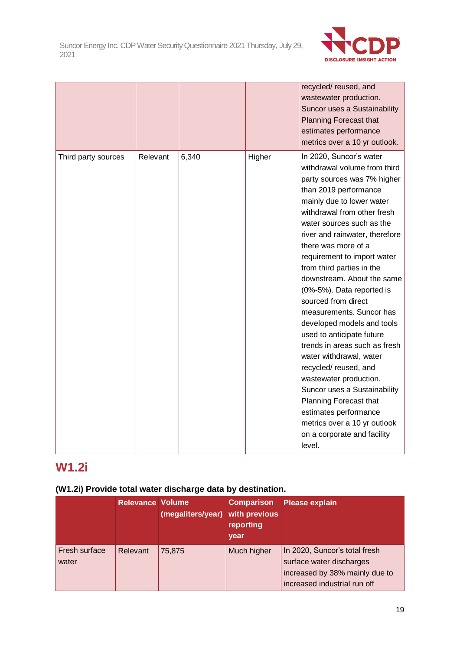

|                     |          |       |        | recycled/ reused, and<br>wastewater production.<br>Suncor uses a Sustainability<br><b>Planning Forecast that</b><br>estimates performance<br>metrics over a 10 yr outlook.                                                                                                                                                                                                                                                                                                                                                                                                                                                                                                                                                                                                       |
|---------------------|----------|-------|--------|----------------------------------------------------------------------------------------------------------------------------------------------------------------------------------------------------------------------------------------------------------------------------------------------------------------------------------------------------------------------------------------------------------------------------------------------------------------------------------------------------------------------------------------------------------------------------------------------------------------------------------------------------------------------------------------------------------------------------------------------------------------------------------|
| Third party sources | Relevant | 6,340 | Higher | In 2020, Suncor's water<br>withdrawal volume from third<br>party sources was 7% higher<br>than 2019 performance<br>mainly due to lower water<br>withdrawal from other fresh<br>water sources such as the<br>river and rainwater, therefore<br>there was more of a<br>requirement to import water<br>from third parties in the<br>downstream. About the same<br>(0%-5%). Data reported is<br>sourced from direct<br>measurements. Suncor has<br>developed models and tools<br>used to anticipate future<br>trends in areas such as fresh<br>water withdrawal, water<br>recycled/reused, and<br>wastewater production.<br>Suncor uses a Sustainability<br>Planning Forecast that<br>estimates performance<br>metrics over a 10 yr outlook<br>on a corporate and facility<br>level. |

# **W1.2i**

### **(W1.2i) Provide total water discharge data by destination.**

|                        | <b>Relevance Volume</b> | (megaliters/year) with previous | <b>Comparison</b><br>reporting<br>year | <b>Please explain</b>                                                                                                       |
|------------------------|-------------------------|---------------------------------|----------------------------------------|-----------------------------------------------------------------------------------------------------------------------------|
| Fresh surface<br>water | Relevant                | 75,875                          | Much higher                            | In 2020, Suncor's total fresh<br>surface water discharges<br>increased by 38% mainly due to<br>increased industrial run off |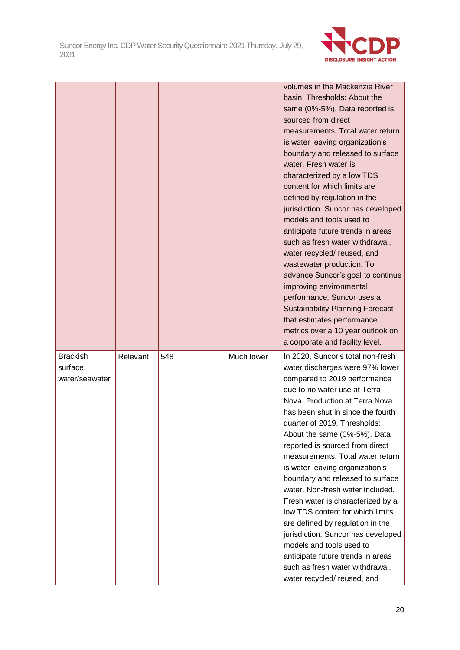

|                                              |          |     |            | volumes in the Mackenzie River<br>basin. Thresholds: About the<br>same (0%-5%). Data reported is<br>sourced from direct<br>measurements. Total water return<br>is water leaving organization's<br>boundary and released to surface<br>water. Fresh water is<br>characterized by a low TDS<br>content for which limits are<br>defined by regulation in the<br>jurisdiction. Suncor has developed<br>models and tools used to<br>anticipate future trends in areas<br>such as fresh water withdrawal,<br>water recycled/ reused, and<br>wastewater production. To<br>advance Suncor's goal to continue<br>improving environmental<br>performance, Suncor uses a<br><b>Sustainability Planning Forecast</b><br>that estimates performance<br>metrics over a 10 year outlook on            |
|----------------------------------------------|----------|-----|------------|----------------------------------------------------------------------------------------------------------------------------------------------------------------------------------------------------------------------------------------------------------------------------------------------------------------------------------------------------------------------------------------------------------------------------------------------------------------------------------------------------------------------------------------------------------------------------------------------------------------------------------------------------------------------------------------------------------------------------------------------------------------------------------------|
| <b>Brackish</b><br>surface<br>water/seawater | Relevant | 548 | Much lower | a corporate and facility level.<br>In 2020, Suncor's total non-fresh<br>water discharges were 97% lower<br>compared to 2019 performance<br>due to no water use at Terra<br>Nova, Production at Terra Nova<br>has been shut in since the fourth<br>quarter of 2019. Thresholds:<br>About the same (0%-5%). Data<br>reported is sourced from direct<br>measurements. Total water return<br>is water leaving organization's<br>boundary and released to surface<br>water. Non-fresh water included.<br>Fresh water is characterized by a<br>low TDS content for which limits<br>are defined by regulation in the<br>jurisdiction. Suncor has developed<br>models and tools used to<br>anticipate future trends in areas<br>such as fresh water withdrawal,<br>water recycled/ reused, and |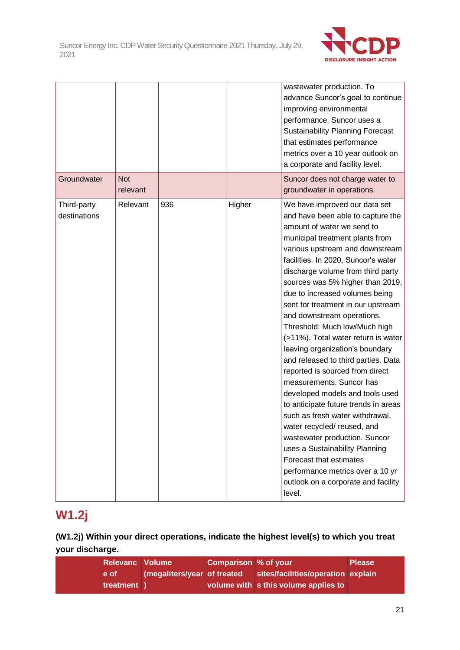

|                             |                        |     |        | wastewater production. To<br>advance Suncor's goal to continue<br>improving environmental<br>performance, Suncor uses a<br><b>Sustainability Planning Forecast</b><br>that estimates performance<br>metrics over a 10 year outlook on<br>a corporate and facility level.                                                                                                                                                                                                                                                                                                                                                                                                                                                                                                                                                                                                                                                                     |
|-----------------------------|------------------------|-----|--------|----------------------------------------------------------------------------------------------------------------------------------------------------------------------------------------------------------------------------------------------------------------------------------------------------------------------------------------------------------------------------------------------------------------------------------------------------------------------------------------------------------------------------------------------------------------------------------------------------------------------------------------------------------------------------------------------------------------------------------------------------------------------------------------------------------------------------------------------------------------------------------------------------------------------------------------------|
| Groundwater                 | <b>Not</b><br>relevant |     |        | Suncor does not charge water to<br>groundwater in operations.                                                                                                                                                                                                                                                                                                                                                                                                                                                                                                                                                                                                                                                                                                                                                                                                                                                                                |
| Third-party<br>destinations | Relevant               | 936 | Higher | We have improved our data set<br>and have been able to capture the<br>amount of water we send to<br>municipal treatment plants from<br>various upstream and downstream<br>facilities. In 2020, Suncor's water<br>discharge volume from third party<br>sources was 5% higher than 2019,<br>due to increased volumes being<br>sent for treatment in our upstream<br>and downstream operations.<br>Threshold: Much low/Much high<br>(>11%). Total water return is water<br>leaving organization's boundary<br>and released to third parties. Data<br>reported is sourced from direct<br>measurements. Suncor has<br>developed models and tools used<br>to anticipate future trends in areas<br>such as fresh water withdrawal,<br>water recycled/reused, and<br>wastewater production. Suncor<br>uses a Sustainability Planning<br>Forecast that estimates<br>performance metrics over a 10 yr<br>outlook on a corporate and facility<br>level. |

# **W1.2j**

### **(W1.2j) Within your direct operations, indicate the highest level(s) to which you treat your discharge.**

| <b>Relevanc Volume</b> |                             | Comparison % of your |                                      | <b>Please</b> |
|------------------------|-----------------------------|----------------------|--------------------------------------|---------------|
| e of                   | (megaliters/year of treated |                      | sites/facilities/operation explain   |               |
| treatment)             |                             |                      | volume with s this volume applies to |               |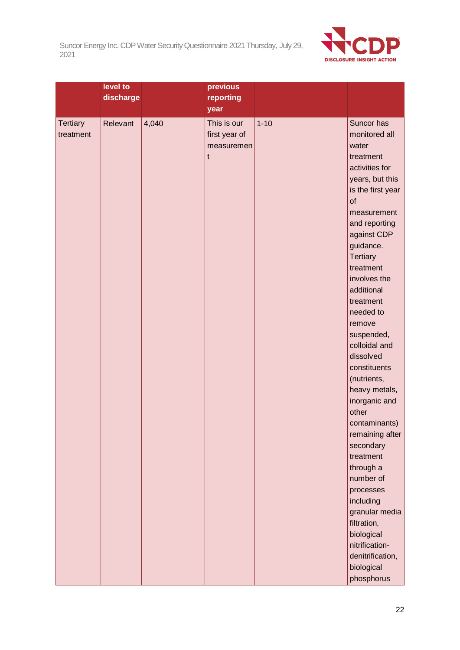

|                              | level to<br>discharge |       | previous<br>reporting<br>year                   |          |                                                                                                                                                                                                                                                                                                                                                                                                                                                                                                                                                                                                                                          |
|------------------------------|-----------------------|-------|-------------------------------------------------|----------|------------------------------------------------------------------------------------------------------------------------------------------------------------------------------------------------------------------------------------------------------------------------------------------------------------------------------------------------------------------------------------------------------------------------------------------------------------------------------------------------------------------------------------------------------------------------------------------------------------------------------------------|
| <b>Tertiary</b><br>treatment | Relevant              | 4,040 | This is our<br>first year of<br>measuremen<br>t | $1 - 10$ | Suncor has<br>monitored all<br>water<br>treatment<br>activities for<br>years, but this<br>is the first year<br>of<br>measurement<br>and reporting<br>against CDP<br>guidance.<br><b>Tertiary</b><br>treatment<br>involves the<br>additional<br>treatment<br>needed to<br>remove<br>suspended,<br>colloidal and<br>dissolved<br>constituents<br>(nutrients,<br>heavy metals,<br>inorganic and<br>other<br>contaminants)<br>remaining after<br>secondary<br>treatment<br>through a<br>number of<br>processes<br>including<br>granular media<br>filtration,<br>biological<br>nitrification-<br>denitrification,<br>biological<br>phosphorus |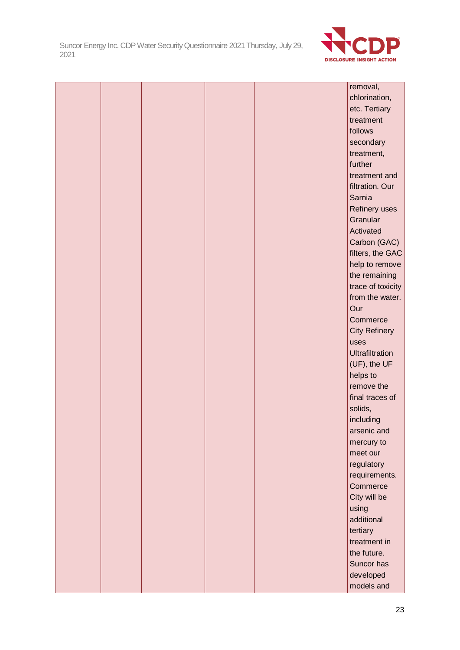

|  |  |  | removal,             |
|--|--|--|----------------------|
|  |  |  | chlorination,        |
|  |  |  | etc. Tertiary        |
|  |  |  | treatment            |
|  |  |  | follows              |
|  |  |  | secondary            |
|  |  |  | treatment,           |
|  |  |  | further              |
|  |  |  | treatment and        |
|  |  |  | filtration. Our      |
|  |  |  | Sarnia               |
|  |  |  | Refinery uses        |
|  |  |  | Granular             |
|  |  |  | Activated            |
|  |  |  | Carbon (GAC)         |
|  |  |  | filters, the GAC     |
|  |  |  | help to remove       |
|  |  |  | the remaining        |
|  |  |  | trace of toxicity    |
|  |  |  | from the water.      |
|  |  |  | Our                  |
|  |  |  | Commerce             |
|  |  |  | <b>City Refinery</b> |
|  |  |  | uses                 |
|  |  |  | Ultrafiltration      |
|  |  |  | (UF), the UF         |
|  |  |  | helps to             |
|  |  |  | remove the           |
|  |  |  | final traces of      |
|  |  |  | solids,              |
|  |  |  | including            |
|  |  |  | arsenic and          |
|  |  |  | mercury to           |
|  |  |  | meet our             |
|  |  |  | regulatory           |
|  |  |  | requirements.        |
|  |  |  | Commerce             |
|  |  |  | City will be         |
|  |  |  | using                |
|  |  |  | additional           |
|  |  |  | tertiary             |
|  |  |  | treatment in         |
|  |  |  | the future.          |
|  |  |  | Suncor has           |
|  |  |  | developed            |
|  |  |  | models and           |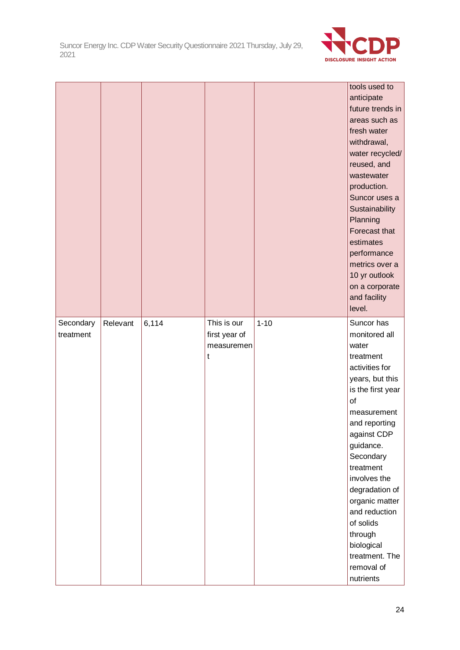

|                        |          |       |                                                 |          | tools used to<br>anticipate<br>future trends in<br>areas such as<br>fresh water<br>withdrawal,<br>water recycled/<br>reused, and<br>wastewater<br>production.<br>Suncor uses a<br>Sustainability<br>Planning<br>Forecast that<br>estimates<br>performance<br>metrics over a<br>10 yr outlook<br>on a corporate<br>and facility<br>level.                        |
|------------------------|----------|-------|-------------------------------------------------|----------|-----------------------------------------------------------------------------------------------------------------------------------------------------------------------------------------------------------------------------------------------------------------------------------------------------------------------------------------------------------------|
| Secondary<br>treatment | Relevant | 6,114 | This is our<br>first year of<br>measuremen<br>t | $1 - 10$ | Suncor has<br>monitored all<br>water<br>treatment<br>activities for<br>years, but this<br>is the first year<br>of<br>measurement<br>and reporting<br>against CDP<br>guidance.<br>Secondary<br>treatment<br>involves the<br>degradation of<br>organic matter<br>and reduction<br>of solids<br>through<br>biological<br>treatment. The<br>removal of<br>nutrients |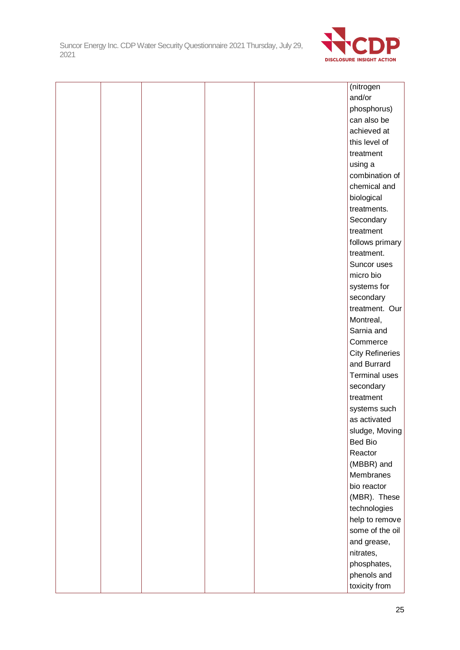

|  |  | (nitrogen              |
|--|--|------------------------|
|  |  | and/or                 |
|  |  | phosphorus)            |
|  |  | can also be            |
|  |  | achieved at            |
|  |  | this level of          |
|  |  | treatment              |
|  |  | using a                |
|  |  | combination of         |
|  |  | chemical and           |
|  |  | biological             |
|  |  | treatments.            |
|  |  | Secondary              |
|  |  | treatment              |
|  |  | follows primary        |
|  |  | treatment.             |
|  |  | Suncor uses            |
|  |  | micro bio              |
|  |  | systems for            |
|  |  | secondary              |
|  |  | treatment. Our         |
|  |  | Montreal,              |
|  |  | Sarnia and             |
|  |  | Commerce               |
|  |  | <b>City Refineries</b> |
|  |  | and Burrard            |
|  |  | <b>Terminal uses</b>   |
|  |  | secondary              |
|  |  | treatment              |
|  |  | systems such           |
|  |  | as activated           |
|  |  | sludge, Moving         |
|  |  | <b>Bed Bio</b>         |
|  |  | Reactor                |
|  |  | (MBBR) and             |
|  |  | Membranes              |
|  |  | bio reactor            |
|  |  | (MBR). These           |
|  |  | technologies           |
|  |  | help to remove         |
|  |  | some of the oil        |
|  |  | and grease,            |
|  |  | nitrates,              |
|  |  | phosphates,            |
|  |  | phenols and            |
|  |  | toxicity from          |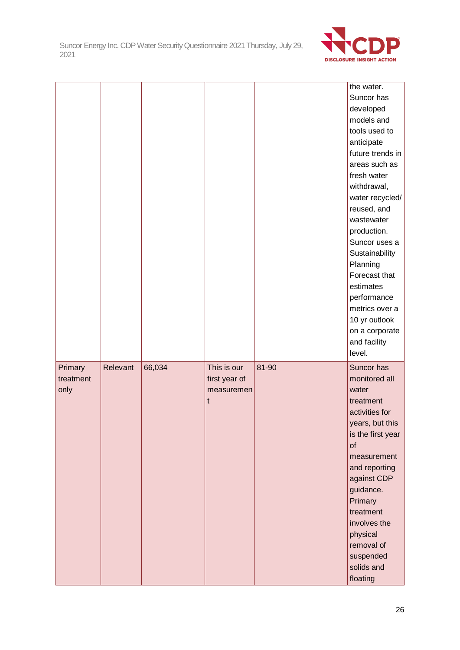

|                              |          |        |                                                 |       | the water.<br>Suncor has<br>developed<br>models and<br>tools used to<br>anticipate<br>future trends in<br>areas such as<br>fresh water<br>withdrawal,<br>water recycled/<br>reused, and<br>wastewater<br>production.<br>Suncor uses a<br>Sustainability<br>Planning<br>Forecast that<br>estimates<br>performance<br>metrics over a<br>10 yr outlook<br>on a corporate<br>and facility<br>level. |
|------------------------------|----------|--------|-------------------------------------------------|-------|-------------------------------------------------------------------------------------------------------------------------------------------------------------------------------------------------------------------------------------------------------------------------------------------------------------------------------------------------------------------------------------------------|
| Primary<br>treatment<br>only | Relevant | 66,034 | This is our<br>first year of<br>measuremen<br>t | 81-90 | Suncor has<br>monitored all<br>water<br>treatment<br>activities for<br>years, but this<br>is the first year<br>of<br>measurement<br>and reporting<br>against CDP<br>guidance.<br>Primary<br>treatment<br>involves the<br>physical<br>removal of<br>suspended<br>solids and<br>floating                                                                                                          |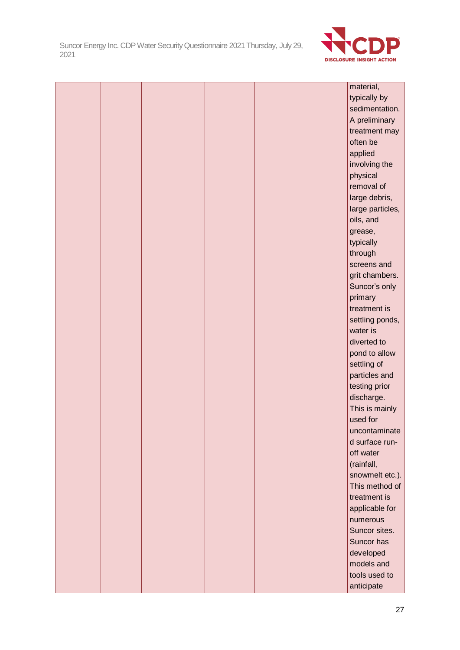

|  |  |  | material,        |
|--|--|--|------------------|
|  |  |  | typically by     |
|  |  |  | sedimentation.   |
|  |  |  | A preliminary    |
|  |  |  | treatment may    |
|  |  |  | often be         |
|  |  |  | applied          |
|  |  |  | involving the    |
|  |  |  | physical         |
|  |  |  | removal of       |
|  |  |  | large debris,    |
|  |  |  | large particles, |
|  |  |  | oils, and        |
|  |  |  | grease,          |
|  |  |  | typically        |
|  |  |  | through          |
|  |  |  | screens and      |
|  |  |  | grit chambers.   |
|  |  |  | Suncor's only    |
|  |  |  | primary          |
|  |  |  | treatment is     |
|  |  |  | settling ponds,  |
|  |  |  | water is         |
|  |  |  | diverted to      |
|  |  |  | pond to allow    |
|  |  |  | settling of      |
|  |  |  | particles and    |
|  |  |  | testing prior    |
|  |  |  | discharge.       |
|  |  |  | This is mainly   |
|  |  |  | used for         |
|  |  |  | uncontaminate    |
|  |  |  | d surface run-   |
|  |  |  | off water        |
|  |  |  | (rainfall,       |
|  |  |  | snowmelt etc.).  |
|  |  |  | This method of   |
|  |  |  | treatment is     |
|  |  |  | applicable for   |
|  |  |  | numerous         |
|  |  |  | Suncor sites.    |
|  |  |  | Suncor has       |
|  |  |  | developed        |
|  |  |  | models and       |
|  |  |  | tools used to    |
|  |  |  | anticipate       |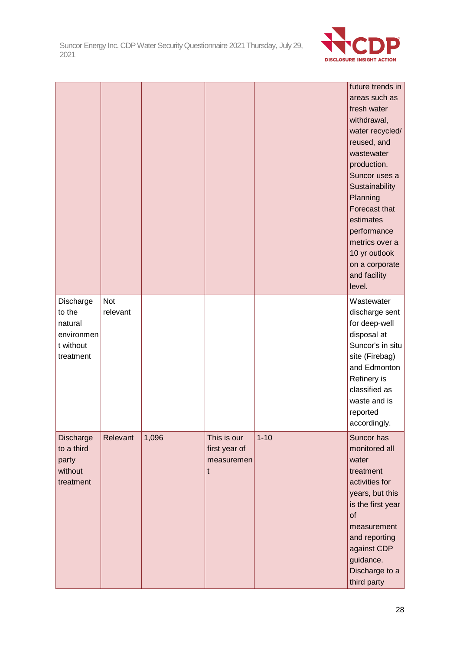

|                                                                        |                        |       |                                                 |          | future trends in<br>areas such as<br>fresh water<br>withdrawal,<br>water recycled/<br>reused, and<br>wastewater<br>production.<br>Suncor uses a<br>Sustainability<br>Planning<br>Forecast that<br>estimates<br>performance<br>metrics over a<br>10 yr outlook<br>on a corporate<br>and facility<br>level. |
|------------------------------------------------------------------------|------------------------|-------|-------------------------------------------------|----------|-----------------------------------------------------------------------------------------------------------------------------------------------------------------------------------------------------------------------------------------------------------------------------------------------------------|
| Discharge<br>to the<br>natural<br>environmen<br>t without<br>treatment | <b>Not</b><br>relevant |       |                                                 |          | Wastewater<br>discharge sent<br>for deep-well<br>disposal at<br>Suncor's in situ<br>site (Firebag)<br>and Edmonton<br>Refinery is<br>classified as<br>waste and is<br>reported<br>accordingly.                                                                                                            |
| Discharge<br>to a third<br>party<br>without<br>treatment               | Relevant               | 1,096 | This is our<br>first year of<br>measuremen<br>t | $1 - 10$ | Suncor has<br>monitored all<br>water<br>treatment<br>activities for<br>years, but this<br>is the first year<br>of<br>measurement<br>and reporting<br>against CDP<br>guidance.<br>Discharge to a<br>third party                                                                                            |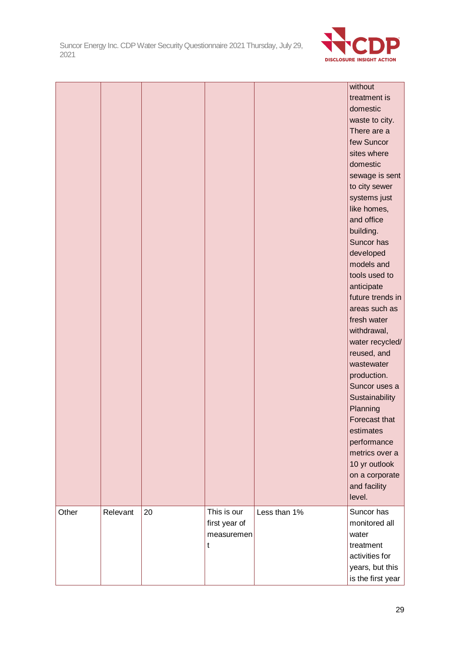

|       |          |    |               |              | without           |
|-------|----------|----|---------------|--------------|-------------------|
|       |          |    |               |              | treatment is      |
|       |          |    |               |              | domestic          |
|       |          |    |               |              | waste to city.    |
|       |          |    |               |              | There are a       |
|       |          |    |               |              | few Suncor        |
|       |          |    |               |              | sites where       |
|       |          |    |               |              | domestic          |
|       |          |    |               |              | sewage is sent    |
|       |          |    |               |              | to city sewer     |
|       |          |    |               |              | systems just      |
|       |          |    |               |              | like homes,       |
|       |          |    |               |              | and office        |
|       |          |    |               |              | building.         |
|       |          |    |               |              | Suncor has        |
|       |          |    |               |              | developed         |
|       |          |    |               |              | models and        |
|       |          |    |               |              | tools used to     |
|       |          |    |               |              | anticipate        |
|       |          |    |               |              | future trends in  |
|       |          |    |               |              | areas such as     |
|       |          |    |               |              | fresh water       |
|       |          |    |               |              | withdrawal,       |
|       |          |    |               |              | water recycled/   |
|       |          |    |               |              | reused, and       |
|       |          |    |               |              | wastewater        |
|       |          |    |               |              | production.       |
|       |          |    |               |              | Suncor uses a     |
|       |          |    |               |              | Sustainability    |
|       |          |    |               |              | Planning          |
|       |          |    |               |              | Forecast that     |
|       |          |    |               |              | estimates         |
|       |          |    |               |              | performance       |
|       |          |    |               |              | metrics over a    |
|       |          |    |               |              | 10 yr outlook     |
|       |          |    |               |              | on a corporate    |
|       |          |    |               |              | and facility      |
|       |          |    |               |              | level.            |
|       |          |    |               |              |                   |
| Other | Relevant | 20 | This is our   | Less than 1% | Suncor has        |
|       |          |    | first year of |              | monitored all     |
|       |          |    | measuremen    |              | water             |
|       |          |    | t             |              | treatment         |
|       |          |    |               |              | activities for    |
|       |          |    |               |              | years, but this   |
|       |          |    |               |              | is the first year |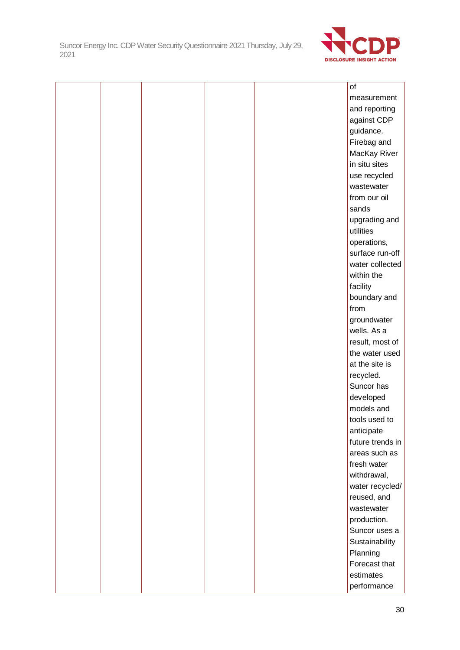

|  |  | of               |
|--|--|------------------|
|  |  | measurement      |
|  |  | and reporting    |
|  |  | against CDP      |
|  |  | guidance.        |
|  |  | Firebag and      |
|  |  | MacKay River     |
|  |  | in situ sites    |
|  |  | use recycled     |
|  |  | wastewater       |
|  |  | from our oil     |
|  |  | sands            |
|  |  | upgrading and    |
|  |  | utilities        |
|  |  | operations,      |
|  |  | surface run-off  |
|  |  | water collected  |
|  |  | within the       |
|  |  | facility         |
|  |  | boundary and     |
|  |  | from             |
|  |  | groundwater      |
|  |  | wells. As a      |
|  |  | result, most of  |
|  |  | the water used   |
|  |  | at the site is   |
|  |  | recycled.        |
|  |  | Suncor has       |
|  |  | developed        |
|  |  | models and       |
|  |  | tools used to    |
|  |  | anticipate       |
|  |  | future trends in |
|  |  | areas such as    |
|  |  | fresh water      |
|  |  | withdrawal,      |
|  |  | water recycled/  |
|  |  | reused, and      |
|  |  | wastewater       |
|  |  | production.      |
|  |  | Suncor uses a    |
|  |  | Sustainability   |
|  |  | Planning         |
|  |  | Forecast that    |
|  |  | estimates        |
|  |  | performance      |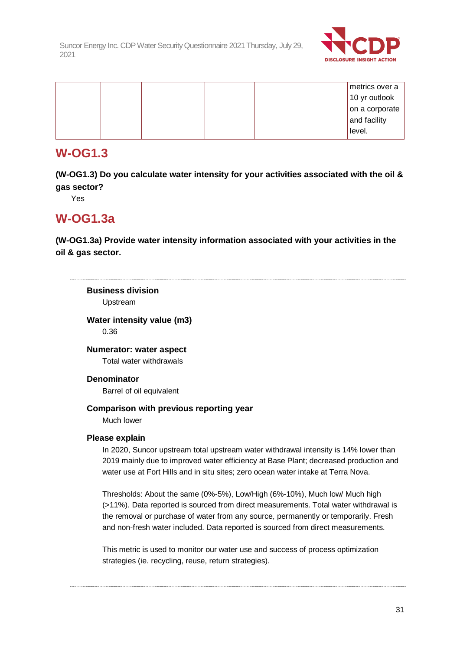

|  |  |  | metrics over a  |
|--|--|--|-----------------|
|  |  |  | $10$ yr outlook |
|  |  |  | on a corporate  |
|  |  |  | and facility    |
|  |  |  | level.          |
|  |  |  |                 |

# **W-OG1.3**

**(W-OG1.3) Do you calculate water intensity for your activities associated with the oil & gas sector?**

Yes

# **W-OG1.3a**

**(W-OG1.3a) Provide water intensity information associated with your activities in the oil & gas sector.**

**Business division**

Upstream

**Water intensity value (m3)** 0.36

**Numerator: water aspect** Total water withdrawals

#### **Denominator**

Barrel of oil equivalent

#### **Comparison with previous reporting year**

Much lower

#### **Please explain**

In 2020, Suncor upstream total upstream water withdrawal intensity is 14% lower than 2019 mainly due to improved water efficiency at Base Plant; decreased production and water use at Fort Hills and in situ sites; zero ocean water intake at Terra Nova.

Thresholds: About the same (0%-5%), Low/High (6%-10%), Much low/ Much high (>11%). Data reported is sourced from direct measurements. Total water withdrawal is the removal or purchase of water from any source, permanently or temporarily. Fresh and non-fresh water included. Data reported is sourced from direct measurements.

This metric is used to monitor our water use and success of process optimization strategies (ie. recycling, reuse, return strategies).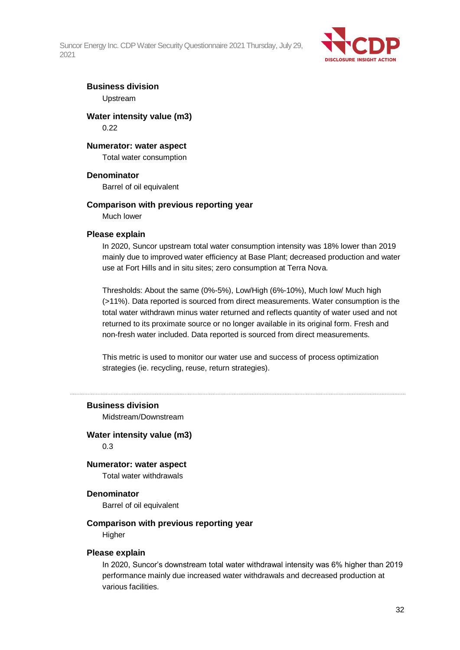

### **Business division**

Upstream

#### **Water intensity value (m3)** 0.22

### **Numerator: water aspect**

Total water consumption

#### **Denominator**

Barrel of oil equivalent

#### **Comparison with previous reporting year**

Much lower

#### **Please explain**

In 2020, Suncor upstream total water consumption intensity was 18% lower than 2019 mainly due to improved water efficiency at Base Plant; decreased production and water use at Fort Hills and in situ sites; zero consumption at Terra Nova.

Thresholds: About the same (0%-5%), Low/High (6%-10%), Much low/ Much high (>11%). Data reported is sourced from direct measurements. Water consumption is the total water withdrawn minus water returned and reflects quantity of water used and not returned to its proximate source or no longer available in its original form. Fresh and non-fresh water included. Data reported is sourced from direct measurements.

This metric is used to monitor our water use and success of process optimization strategies (ie. recycling, reuse, return strategies).

#### **Business division**

Midstream/Downstream

### **Water intensity value (m3)**

0.3

#### **Numerator: water aspect**

Total water withdrawals

#### **Denominator**

Barrel of oil equivalent

#### **Comparison with previous reporting year**

**Higher** 

#### **Please explain**

In 2020, Suncor's downstream total water withdrawal intensity was 6% higher than 2019 performance mainly due increased water withdrawals and decreased production at various facilities.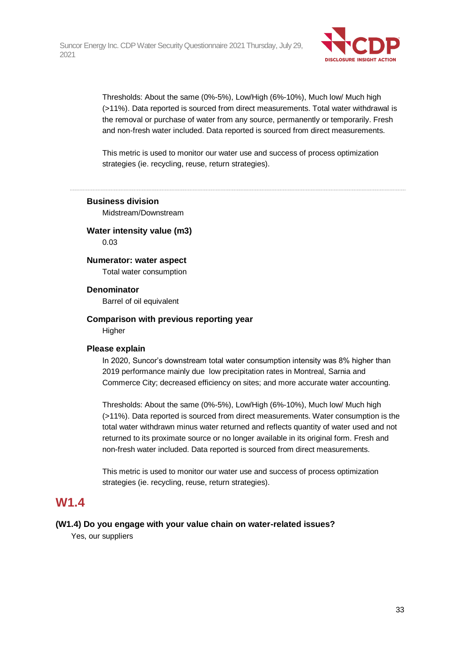

Thresholds: About the same (0%-5%), Low/High (6%-10%), Much low/ Much high (>11%). Data reported is sourced from direct measurements. Total water withdrawal is the removal or purchase of water from any source, permanently or temporarily. Fresh and non-fresh water included. Data reported is sourced from direct measurements.

This metric is used to monitor our water use and success of process optimization strategies (ie. recycling, reuse, return strategies).

#### **Business division**

Midstream/Downstream

#### **Water intensity value (m3)**

0.03

#### **Numerator: water aspect**

Total water consumption

#### **Denominator**

Barrel of oil equivalent

#### **Comparison with previous reporting year Higher**

#### **Please explain**

In 2020, Suncor's downstream total water consumption intensity was 8% higher than 2019 performance mainly due low precipitation rates in Montreal, Sarnia and Commerce City; decreased efficiency on sites; and more accurate water accounting.

Thresholds: About the same (0%-5%), Low/High (6%-10%), Much low/ Much high (>11%). Data reported is sourced from direct measurements. Water consumption is the total water withdrawn minus water returned and reflects quantity of water used and not returned to its proximate source or no longer available in its original form. Fresh and non-fresh water included. Data reported is sourced from direct measurements.

This metric is used to monitor our water use and success of process optimization strategies (ie. recycling, reuse, return strategies).

### **W1.4**

#### **(W1.4) Do you engage with your value chain on water-related issues?**

Yes, our suppliers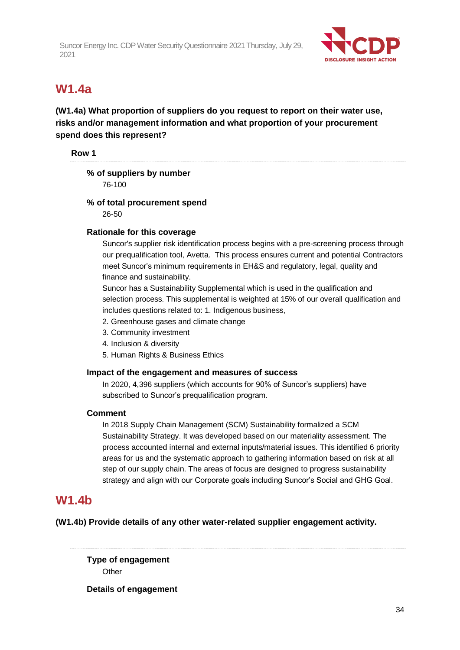

# **W1.4a**

**(W1.4a) What proportion of suppliers do you request to report on their water use, risks and/or management information and what proportion of your procurement spend does this represent?**

**Row 1**

### **% of suppliers by number**

76-100

#### **% of total procurement spend**

26-50

#### **Rationale for this coverage**

Suncor's supplier risk identification process begins with a pre-screening process through our prequalification tool, Avetta. This process ensures current and potential Contractors meet Suncor's minimum requirements in EH&S and regulatory, legal, quality and finance and sustainability.

Suncor has a Sustainability Supplemental which is used in the qualification and selection process. This supplemental is weighted at 15% of our overall qualification and includes questions related to: 1. Indigenous business,

- 2. Greenhouse gases and climate change
- 3. Community investment
- 4. Inclusion & diversity
- 5. Human Rights & Business Ethics

#### **Impact of the engagement and measures of success**

In 2020, 4,396 suppliers (which accounts for 90% of Suncor's suppliers) have subscribed to Suncor's prequalification program.

#### **Comment**

In 2018 Supply Chain Management (SCM) Sustainability formalized a SCM Sustainability Strategy. It was developed based on our materiality assessment. The process accounted internal and external inputs/material issues. This identified 6 priority areas for us and the systematic approach to gathering information based on risk at all step of our supply chain. The areas of focus are designed to progress sustainability strategy and align with our Corporate goals including Suncor's Social and GHG Goal.

### **W1.4b**

**(W1.4b) Provide details of any other water-related supplier engagement activity.**

**Type of engagement Other** 

**Details of engagement**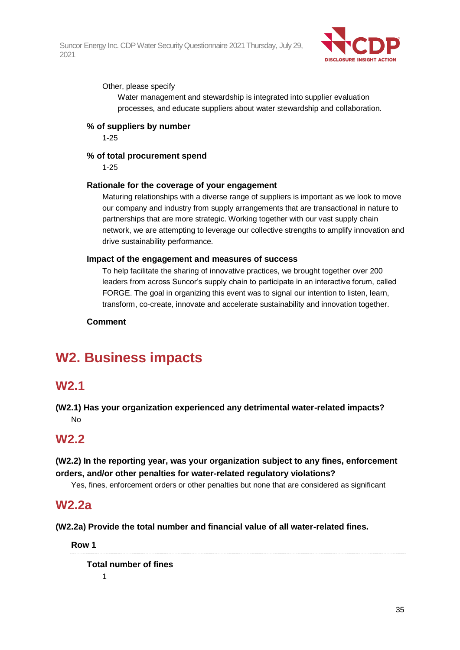

Other, please specify

Water management and stewardship is integrated into supplier evaluation processes, and educate suppliers about water stewardship and collaboration.

#### **% of suppliers by number**

1-25

#### **% of total procurement spend**

1-25

#### **Rationale for the coverage of your engagement**

Maturing relationships with a diverse range of suppliers is important as we look to move our company and industry from supply arrangements that are transactional in nature to partnerships that are more strategic. Working together with our vast supply chain network, we are attempting to leverage our collective strengths to amplify innovation and drive sustainability performance.

#### **Impact of the engagement and measures of success**

To help facilitate the sharing of innovative practices, we brought together over 200 leaders from across Suncor's supply chain to participate in an interactive forum, called FORGE. The goal in organizing this event was to signal our intention to listen, learn, transform, co-create, innovate and accelerate sustainability and innovation together.

**Comment**

# **W2. Business impacts**

### **W2.1**

**(W2.1) Has your organization experienced any detrimental water-related impacts?** No

### **W2.2**

### **(W2.2) In the reporting year, was your organization subject to any fines, enforcement orders, and/or other penalties for water-related regulatory violations?**

Yes, fines, enforcement orders or other penalties but none that are considered as significant

### **W2.2a**

**(W2.2a) Provide the total number and financial value of all water-related fines.**

**Row 1**

**Total number of fines**

1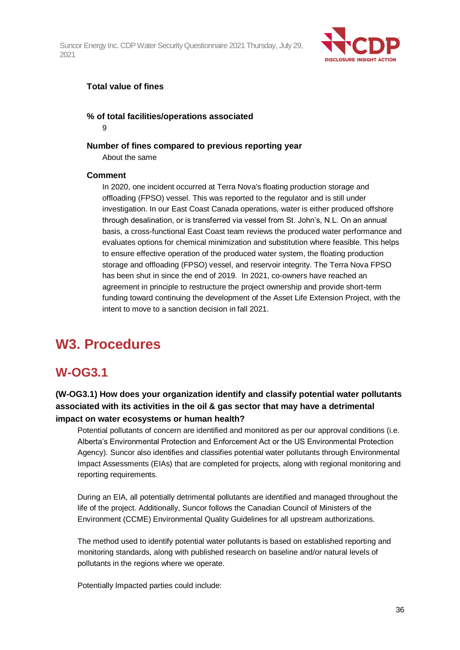

#### **Total value of fines**

#### **% of total facilities/operations associated**

9

#### **Number of fines compared to previous reporting year**

About the same

#### **Comment**

In 2020, one incident occurred at Terra Nova's floating production storage and offloading (FPSO) vessel. This was reported to the regulator and is still under investigation. In our East Coast Canada operations, water is either produced offshore through desalination, or is transferred via vessel from St. John's, N.L. On an annual basis, a cross-functional East Coast team reviews the produced water performance and evaluates options for chemical minimization and substitution where feasible. This helps to ensure effective operation of the produced water system, the floating production storage and offloading (FPSO) vessel, and reservoir integrity. The Terra Nova FPSO has been shut in since the end of 2019. In 2021, co-owners have reached an agreement in principle to restructure the project ownership and provide short-term funding toward continuing the development of the Asset Life Extension Project, with the intent to move to a sanction decision in fall 2021.

# **W3. Procedures**

### **W-OG3.1**

**(W-OG3.1) How does your organization identify and classify potential water pollutants associated with its activities in the oil & gas sector that may have a detrimental impact on water ecosystems or human health?**

Potential pollutants of concern are identified and monitored as per our approval conditions (i.e. Alberta's Environmental Protection and Enforcement Act or the US Environmental Protection Agency). Suncor also identifies and classifies potential water pollutants through Environmental Impact Assessments (EIAs) that are completed for projects, along with regional monitoring and reporting requirements.

During an EIA, all potentially detrimental pollutants are identified and managed throughout the life of the project. Additionally, Suncor follows the Canadian Council of Ministers of the Environment (CCME) Environmental Quality Guidelines for all upstream authorizations.

The method used to identify potential water pollutants is based on established reporting and monitoring standards, along with published research on baseline and/or natural levels of pollutants in the regions where we operate.

Potentially Impacted parties could include: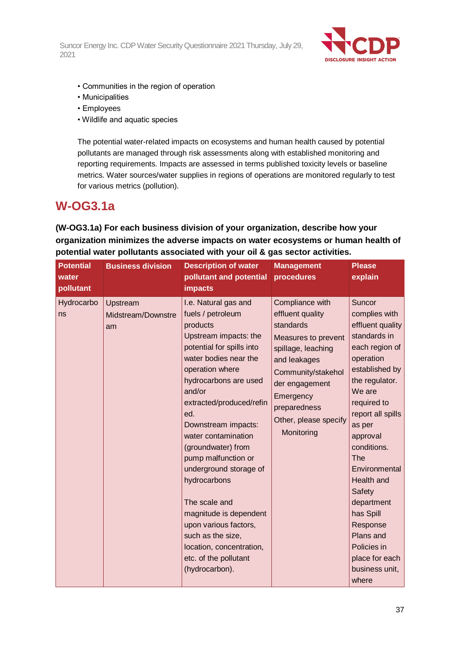

- Communities in the region of operation
- Municipalities
- Employees
- Wildlife and aquatic species

The potential water-related impacts on ecosystems and human health caused by potential pollutants are managed through risk assessments along with established monitoring and reporting requirements. Impacts are assessed in terms published toxicity levels or baseline metrics. Water sources/water supplies in regions of operations are monitored regularly to test for various metrics (pollution).

## **W-OG3.1a**

**(W-OG3.1a) For each business division of your organization, describe how your organization minimizes the adverse impacts on water ecosystems or human health of potential water pollutants associated with your oil & gas sector activities.**

| <b>Potential</b><br>water | <b>Business division</b>             | <b>Description of water</b><br>pollutant and potential                                                                                                                                                                                                                                                                                                                                                                                                                                                                             | <b>Management</b><br>procedures                                                                                                                                                                                           | <b>Please</b><br>explain                                                                                                                                                                                                                                                                                                                                                                 |
|---------------------------|--------------------------------------|------------------------------------------------------------------------------------------------------------------------------------------------------------------------------------------------------------------------------------------------------------------------------------------------------------------------------------------------------------------------------------------------------------------------------------------------------------------------------------------------------------------------------------|---------------------------------------------------------------------------------------------------------------------------------------------------------------------------------------------------------------------------|------------------------------------------------------------------------------------------------------------------------------------------------------------------------------------------------------------------------------------------------------------------------------------------------------------------------------------------------------------------------------------------|
| pollutant                 |                                      | <b>impacts</b>                                                                                                                                                                                                                                                                                                                                                                                                                                                                                                                     |                                                                                                                                                                                                                           |                                                                                                                                                                                                                                                                                                                                                                                          |
| Hydrocarbo<br>ns          | Upstream<br>Midstream/Downstre<br>am | I.e. Natural gas and<br>fuels / petroleum<br>products<br>Upstream impacts: the<br>potential for spills into<br>water bodies near the<br>operation where<br>hydrocarbons are used<br>and/or<br>extracted/produced/refin<br>ed.<br>Downstream impacts:<br>water contamination<br>(groundwater) from<br>pump malfunction or<br>underground storage of<br>hydrocarbons<br>The scale and<br>magnitude is dependent<br>upon various factors,<br>such as the size,<br>location, concentration,<br>etc. of the pollutant<br>(hydrocarbon). | Compliance with<br>effluent quality<br>standards<br>Measures to prevent<br>spillage, leaching<br>and leakages<br>Community/stakehol<br>der engagement<br>Emergency<br>preparedness<br>Other, please specify<br>Monitoring | Suncor<br>complies with<br>effluent quality<br>standards in<br>each region of<br>operation<br>established by<br>the regulator.<br>We are<br>required to<br>report all spills<br>as per<br>approval<br>conditions.<br><b>The</b><br>Environmental<br>Health and<br>Safety<br>department<br>has Spill<br>Response<br>Plans and<br>Policies in<br>place for each<br>business unit,<br>where |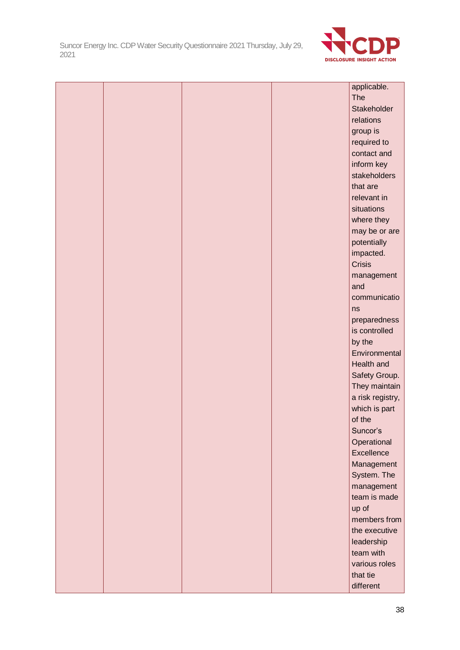

|  |  | applicable.      |
|--|--|------------------|
|  |  | <b>The</b>       |
|  |  | Stakeholder      |
|  |  | relations        |
|  |  | group is         |
|  |  | required to      |
|  |  | contact and      |
|  |  | inform key       |
|  |  | stakeholders     |
|  |  | that are         |
|  |  | relevant in      |
|  |  | situations       |
|  |  | where they       |
|  |  | may be or are    |
|  |  | potentially      |
|  |  | impacted.        |
|  |  | <b>Crisis</b>    |
|  |  | management       |
|  |  | and              |
|  |  | communicatio     |
|  |  | ns               |
|  |  | preparedness     |
|  |  | is controlled    |
|  |  | by the           |
|  |  | Environmental    |
|  |  | Health and       |
|  |  | Safety Group.    |
|  |  | They maintain    |
|  |  | a risk registry, |
|  |  | which is part    |
|  |  | of the           |
|  |  | Suncor's         |
|  |  | Operational      |
|  |  | Excellence       |
|  |  | Management       |
|  |  | System. The      |
|  |  | management       |
|  |  | team is made     |
|  |  | up of            |
|  |  | members from     |
|  |  | the executive    |
|  |  | leadership       |
|  |  | team with        |
|  |  | various roles    |
|  |  | that tie         |
|  |  | different        |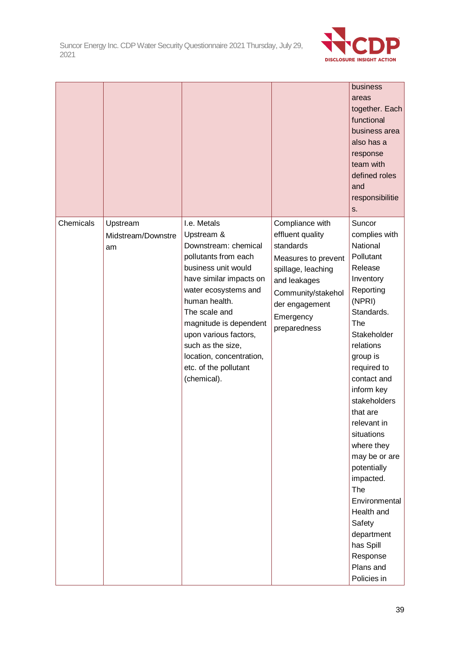

|           |                                      |                                                                                                                                                                                                                                                                                                                                   |                                                                                                                                                                                    | business<br>areas<br>together. Each<br>functional<br>business area<br>also has a<br>response<br>team with<br>defined roles<br>and<br>responsibilitie<br>S.                                                                                                                                                                                                                                                                                      |
|-----------|--------------------------------------|-----------------------------------------------------------------------------------------------------------------------------------------------------------------------------------------------------------------------------------------------------------------------------------------------------------------------------------|------------------------------------------------------------------------------------------------------------------------------------------------------------------------------------|-------------------------------------------------------------------------------------------------------------------------------------------------------------------------------------------------------------------------------------------------------------------------------------------------------------------------------------------------------------------------------------------------------------------------------------------------|
| Chemicals | Upstream<br>Midstream/Downstre<br>am | I.e. Metals<br>Upstream &<br>Downstream: chemical<br>pollutants from each<br>business unit would<br>have similar impacts on<br>water ecosystems and<br>human health.<br>The scale and<br>magnitude is dependent<br>upon various factors,<br>such as the size,<br>location, concentration,<br>etc. of the pollutant<br>(chemical). | Compliance with<br>effluent quality<br>standards<br>Measures to prevent<br>spillage, leaching<br>and leakages<br>Community/stakehol<br>der engagement<br>Emergency<br>preparedness | Suncor<br>complies with<br>National<br>Pollutant<br>Release<br>Inventory<br>Reporting<br>(NPRI)<br>Standards.<br>The<br>Stakeholder<br>relations<br>group is<br>required to<br>contact and<br>inform key<br>stakeholders<br>that are<br>relevant in<br>situations<br>where they<br>may be or are<br>potentially<br>impacted.<br>The<br>Environmental<br>Health and<br>Safety<br>department<br>has Spill<br>Response<br>Plans and<br>Policies in |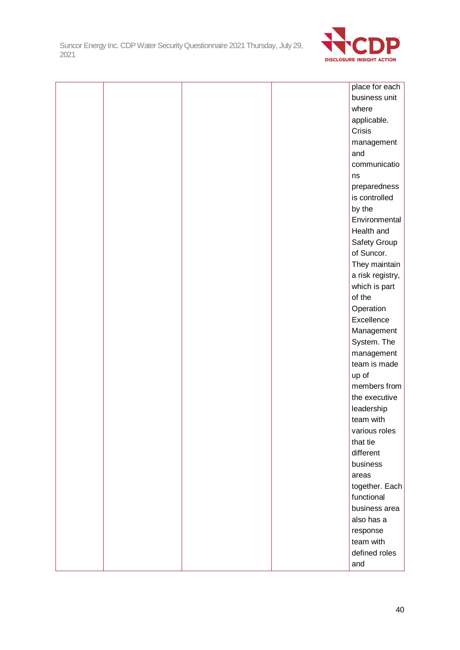

|  |  | place for each   |
|--|--|------------------|
|  |  | business unit    |
|  |  | where            |
|  |  | applicable.      |
|  |  | Crisis           |
|  |  | management       |
|  |  | and              |
|  |  | communicatio     |
|  |  | ns               |
|  |  | preparedness     |
|  |  | is controlled    |
|  |  | by the           |
|  |  | Environmental    |
|  |  | Health and       |
|  |  | Safety Group     |
|  |  | of Suncor.       |
|  |  | They maintain    |
|  |  | a risk registry, |
|  |  | which is part    |
|  |  | of the           |
|  |  | Operation        |
|  |  | Excellence       |
|  |  |                  |
|  |  | Management       |
|  |  | System. The      |
|  |  | management       |
|  |  | team is made     |
|  |  | up of            |
|  |  | members from     |
|  |  | the executive    |
|  |  | leadership       |
|  |  | team with        |
|  |  | various roles    |
|  |  | that tie         |
|  |  | different        |
|  |  | business         |
|  |  | areas            |
|  |  | together. Each   |
|  |  | functional       |
|  |  | business area    |
|  |  | also has a       |
|  |  | response         |
|  |  | team with        |
|  |  | defined roles    |
|  |  | and              |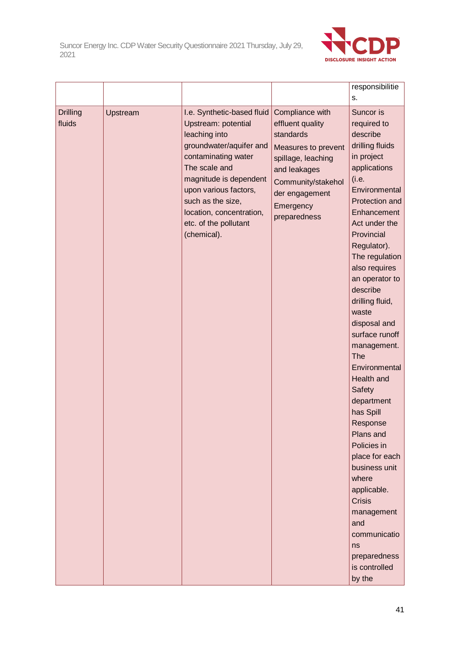

|                 |          |                                                   |                     | responsibilitie              |
|-----------------|----------|---------------------------------------------------|---------------------|------------------------------|
|                 |          |                                                   |                     | S.                           |
| <b>Drilling</b> | Upstream | I.e. Synthetic-based fluid                        | Compliance with     | Suncor is                    |
| fluids          |          | Upstream: potential                               | effluent quality    | required to                  |
|                 |          | leaching into                                     | standards           | describe                     |
|                 |          | groundwater/aquifer and                           | Measures to prevent | drilling fluids              |
|                 |          | contaminating water                               | spillage, leaching  | in project                   |
|                 |          | The scale and                                     | and leakages        | applications                 |
|                 |          | magnitude is dependent                            | Community/stakehol  | (i.e.                        |
|                 |          | upon various factors,                             | der engagement      | Environmental                |
|                 |          | such as the size,                                 | Emergency           | Protection and               |
|                 |          | location, concentration,<br>etc. of the pollutant | preparedness        | Enhancement<br>Act under the |
|                 |          | (chemical).                                       |                     | Provincial                   |
|                 |          |                                                   |                     | Regulator).                  |
|                 |          |                                                   |                     | The regulation               |
|                 |          |                                                   |                     | also requires                |
|                 |          |                                                   |                     | an operator to               |
|                 |          |                                                   |                     | describe                     |
|                 |          |                                                   |                     | drilling fluid,              |
|                 |          |                                                   |                     | waste                        |
|                 |          |                                                   |                     | disposal and                 |
|                 |          |                                                   |                     | surface runoff               |
|                 |          |                                                   |                     | management.                  |
|                 |          |                                                   |                     | <b>The</b>                   |
|                 |          |                                                   |                     | Environmental                |
|                 |          |                                                   |                     | Health and                   |
|                 |          |                                                   |                     | Safety<br>department         |
|                 |          |                                                   |                     | has Spill                    |
|                 |          |                                                   |                     | Response                     |
|                 |          |                                                   |                     | Plans and                    |
|                 |          |                                                   |                     | Policies in                  |
|                 |          |                                                   |                     | place for each               |
|                 |          |                                                   |                     | business unit                |
|                 |          |                                                   |                     | where                        |
|                 |          |                                                   |                     | applicable.                  |
|                 |          |                                                   |                     | <b>Crisis</b>                |
|                 |          |                                                   |                     | management                   |
|                 |          |                                                   |                     | and                          |
|                 |          |                                                   |                     | communicatio                 |
|                 |          |                                                   |                     | ns                           |
|                 |          |                                                   |                     | preparedness                 |
|                 |          |                                                   |                     | is controlled                |
|                 |          |                                                   |                     | by the                       |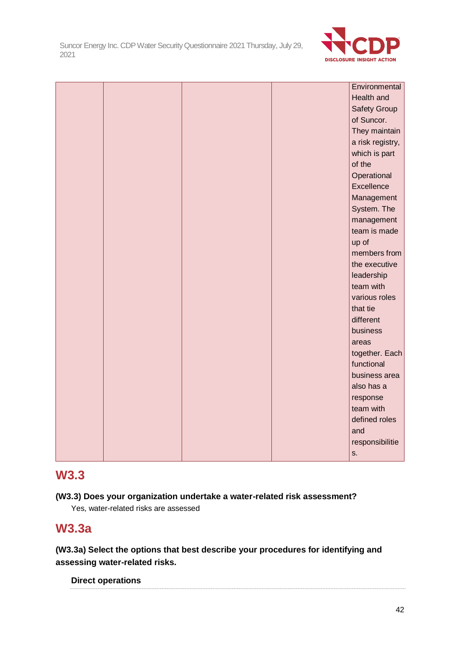

|  |  | Environmental    |
|--|--|------------------|
|  |  | Health and       |
|  |  | Safety Group     |
|  |  | of Suncor.       |
|  |  | They maintain    |
|  |  | a risk registry, |
|  |  | which is part    |
|  |  | of the           |
|  |  | Operational      |
|  |  | Excellence       |
|  |  | Management       |
|  |  | System. The      |
|  |  | management       |
|  |  | team is made     |
|  |  | up of            |
|  |  | members from     |
|  |  | the executive    |
|  |  | leadership       |
|  |  | team with        |
|  |  | various roles    |
|  |  | that tie         |
|  |  | different        |
|  |  | business         |
|  |  | areas            |
|  |  | together. Each   |
|  |  | functional       |
|  |  | business area    |
|  |  | also has a       |
|  |  | response         |
|  |  | team with        |
|  |  | defined roles    |
|  |  | and              |
|  |  | responsibilitie  |
|  |  | S.               |

## **W3.3**

**(W3.3) Does your organization undertake a water-related risk assessment?** Yes, water-related risks are assessed

## **W3.3a**

**(W3.3a) Select the options that best describe your procedures for identifying and assessing water-related risks.**

**Direct operations**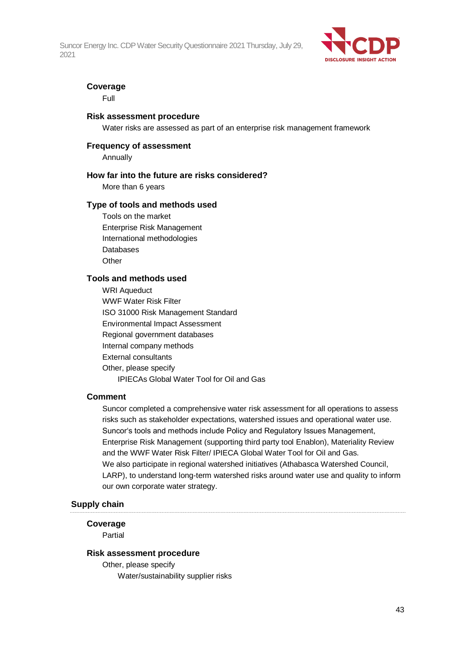

#### **Coverage**

Full

#### **Risk assessment procedure**

Water risks are assessed as part of an enterprise risk management framework

#### **Frequency of assessment**

Annually

#### **How far into the future are risks considered?**

More than 6 years

#### **Type of tools and methods used**

Tools on the market Enterprise Risk Management International methodologies Databases **Other** 

#### **Tools and methods used**

WRI Aqueduct WWF Water Risk Filter ISO 31000 Risk Management Standard Environmental Impact Assessment Regional government databases Internal company methods External consultants Other, please specify IPIECAs Global Water Tool for Oil and Gas

#### **Comment**

Suncor completed a comprehensive water risk assessment for all operations to assess risks such as stakeholder expectations, watershed issues and operational water use. Suncor's tools and methods include Policy and Regulatory Issues Management, Enterprise Risk Management (supporting third party tool Enablon), Materiality Review and the WWF Water Risk Filter/ IPIECA Global Water Tool for Oil and Gas. We also participate in regional watershed initiatives (Athabasca Watershed Council, LARP), to understand long-term watershed risks around water use and quality to inform our own corporate water strategy.

#### **Supply chain**

#### **Coverage**

Partial

#### **Risk assessment procedure**

Other, please specify Water/sustainability supplier risks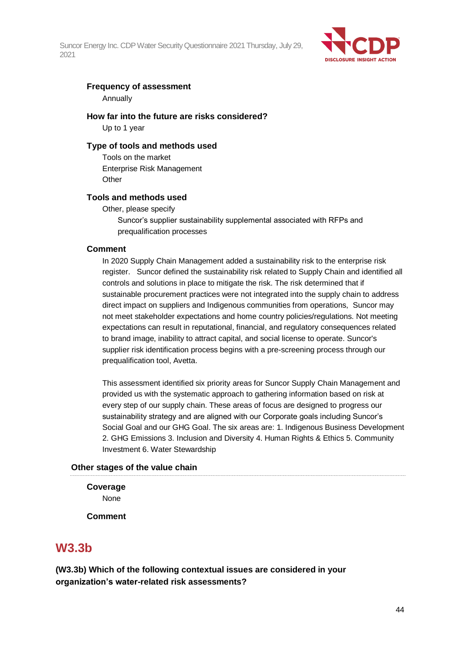

## **Frequency of assessment**

Annually

**How far into the future are risks considered?**

Up to 1 year

### **Type of tools and methods used**

Tools on the market Enterprise Risk Management **Other** 

### **Tools and methods used**

Other, please specify Suncor's supplier sustainability supplemental associated with RFPs and prequalification processes

### **Comment**

In 2020 Supply Chain Management added a sustainability risk to the enterprise risk register. Suncor defined the sustainability risk related to Supply Chain and identified all controls and solutions in place to mitigate the risk. The risk determined that if sustainable procurement practices were not integrated into the supply chain to address direct impact on suppliers and Indigenous communities from operations, Suncor may not meet stakeholder expectations and home country policies/regulations. Not meeting expectations can result in reputational, financial, and regulatory consequences related to brand image, inability to attract capital, and social license to operate. Suncor's supplier risk identification process begins with a pre-screening process through our prequalification tool, Avetta.

This assessment identified six priority areas for Suncor Supply Chain Management and provided us with the systematic approach to gathering information based on risk at every step of our supply chain. These areas of focus are designed to progress our sustainability strategy and are aligned with our Corporate goals including Suncor's Social Goal and our GHG Goal. The six areas are: 1. Indigenous Business Development 2. GHG Emissions 3. Inclusion and Diversity 4. Human Rights & Ethics 5. Community Investment 6. Water Stewardship

### **Other stages of the value chain**

**Coverage** None

**Comment**

## **W3.3b**

**(W3.3b) Which of the following contextual issues are considered in your organization's water-related risk assessments?**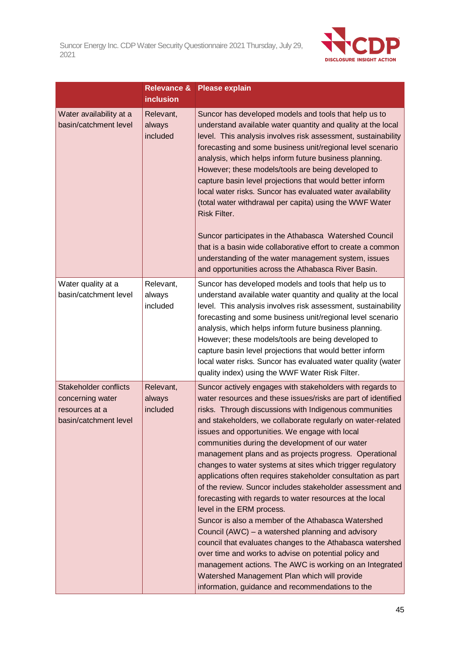

|                                                                                      | <b>Relevance &amp;</b><br><b>inclusion</b> | <b>Please explain</b>                                                                                                                                                                                                                                                                                                                                                                                                                                                                                                                                                                                                                                                                                                                                                                                                                                                                                                                                                                                                                                                                                  |
|--------------------------------------------------------------------------------------|--------------------------------------------|--------------------------------------------------------------------------------------------------------------------------------------------------------------------------------------------------------------------------------------------------------------------------------------------------------------------------------------------------------------------------------------------------------------------------------------------------------------------------------------------------------------------------------------------------------------------------------------------------------------------------------------------------------------------------------------------------------------------------------------------------------------------------------------------------------------------------------------------------------------------------------------------------------------------------------------------------------------------------------------------------------------------------------------------------------------------------------------------------------|
| Water availability at a<br>basin/catchment level                                     | Relevant,<br>always<br>included            | Suncor has developed models and tools that help us to<br>understand available water quantity and quality at the local<br>level. This analysis involves risk assessment, sustainability<br>forecasting and some business unit/regional level scenario<br>analysis, which helps inform future business planning.<br>However; these models/tools are being developed to<br>capture basin level projections that would better inform<br>local water risks. Suncor has evaluated water availability<br>(total water withdrawal per capita) using the WWF Water<br><b>Risk Filter.</b><br>Suncor participates in the Athabasca Watershed Council<br>that is a basin wide collaborative effort to create a common<br>understanding of the water management system, issues<br>and opportunities across the Athabasca River Basin.                                                                                                                                                                                                                                                                              |
| Water quality at a<br>basin/catchment level                                          | Relevant,<br>always<br>included            | Suncor has developed models and tools that help us to<br>understand available water quantity and quality at the local<br>level. This analysis involves risk assessment, sustainability<br>forecasting and some business unit/regional level scenario<br>analysis, which helps inform future business planning.<br>However; these models/tools are being developed to<br>capture basin level projections that would better inform<br>local water risks. Suncor has evaluated water quality (water<br>quality index) using the WWF Water Risk Filter.                                                                                                                                                                                                                                                                                                                                                                                                                                                                                                                                                    |
| Stakeholder conflicts<br>concerning water<br>resources at a<br>basin/catchment level | Relevant,<br>always<br>included            | Suncor actively engages with stakeholders with regards to<br>water resources and these issues/risks are part of identified<br>risks. Through discussions with Indigenous communities<br>and stakeholders, we collaborate regularly on water-related<br>issues and opportunities. We engage with local<br>communities during the development of our water<br>management plans and as projects progress. Operational<br>changes to water systems at sites which trigger regulatory<br>applications often requires stakeholder consultation as part<br>of the review. Suncor includes stakeholder assessment and<br>forecasting with regards to water resources at the local<br>level in the ERM process.<br>Suncor is also a member of the Athabasca Watershed<br>Council (AWC) - a watershed planning and advisory<br>council that evaluates changes to the Athabasca watershed<br>over time and works to advise on potential policy and<br>management actions. The AWC is working on an Integrated<br>Watershed Management Plan which will provide<br>information, guidance and recommendations to the |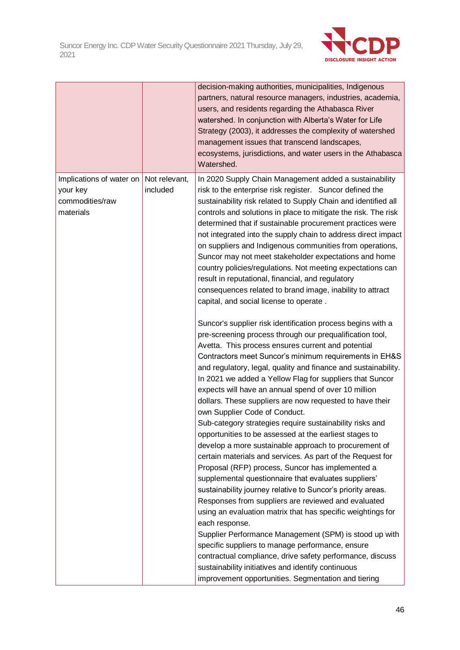

|                                                                      |                           | decision-making authorities, municipalities, Indigenous<br>partners, natural resource managers, industries, academia,<br>users, and residents regarding the Athabasca River<br>watershed. In conjunction with Alberta's Water for Life<br>Strategy (2003), it addresses the complexity of watershed<br>management issues that transcend landscapes,<br>ecosystems, jurisdictions, and water users in the Athabasca<br>Watershed.                                                                                                                                                                                                                                                                                                                                                                                                                                                                                                                                                                                                                                                                                                                                                                                                                                                                                                                                                                                                                                                                                                                                                                                                                                                                                                                                                                                                                                                                                                                                                                                                                                                                                           |
|----------------------------------------------------------------------|---------------------------|----------------------------------------------------------------------------------------------------------------------------------------------------------------------------------------------------------------------------------------------------------------------------------------------------------------------------------------------------------------------------------------------------------------------------------------------------------------------------------------------------------------------------------------------------------------------------------------------------------------------------------------------------------------------------------------------------------------------------------------------------------------------------------------------------------------------------------------------------------------------------------------------------------------------------------------------------------------------------------------------------------------------------------------------------------------------------------------------------------------------------------------------------------------------------------------------------------------------------------------------------------------------------------------------------------------------------------------------------------------------------------------------------------------------------------------------------------------------------------------------------------------------------------------------------------------------------------------------------------------------------------------------------------------------------------------------------------------------------------------------------------------------------------------------------------------------------------------------------------------------------------------------------------------------------------------------------------------------------------------------------------------------------------------------------------------------------------------------------------------------------|
| Implications of water on<br>your key<br>commodities/raw<br>materials | Not relevant,<br>included | In 2020 Supply Chain Management added a sustainability<br>risk to the enterprise risk register. Suncor defined the<br>sustainability risk related to Supply Chain and identified all<br>controls and solutions in place to mitigate the risk. The risk<br>determined that if sustainable procurement practices were<br>not integrated into the supply chain to address direct impact<br>on suppliers and Indigenous communities from operations,<br>Suncor may not meet stakeholder expectations and home<br>country policies/regulations. Not meeting expectations can<br>result in reputational, financial, and regulatory<br>consequences related to brand image, inability to attract<br>capital, and social license to operate.<br>Suncor's supplier risk identification process begins with a<br>pre-screening process through our prequalification tool,<br>Avetta. This process ensures current and potential<br>Contractors meet Suncor's minimum requirements in EH&S<br>and regulatory, legal, quality and finance and sustainability.<br>In 2021 we added a Yellow Flag for suppliers that Suncor<br>expects will have an annual spend of over 10 million<br>dollars. These suppliers are now requested to have their<br>own Supplier Code of Conduct.<br>Sub-category strategies require sustainability risks and<br>opportunities to be assessed at the earliest stages to<br>develop a more sustainable approach to procurement of<br>certain materials and services. As part of the Request for<br>Proposal (RFP) process, Suncor has implemented a<br>supplemental questionnaire that evaluates suppliers'<br>sustainability journey relative to Suncor's priority areas.<br>Responses from suppliers are reviewed and evaluated<br>using an evaluation matrix that has specific weightings for<br>each response.<br>Supplier Performance Management (SPM) is stood up with<br>specific suppliers to manage performance, ensure<br>contractual compliance, drive safety performance, discuss<br>sustainability initiatives and identify continuous<br>improvement opportunities. Segmentation and tiering |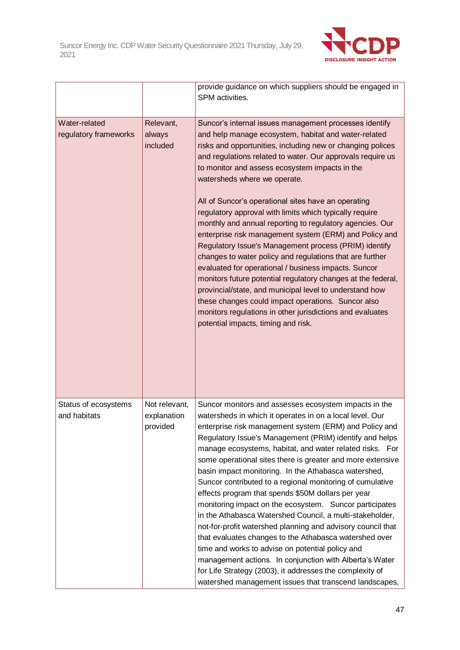

|                                        |                                          | provide guidance on which suppliers should be engaged in<br>SPM activities.                                                                                                                                                                                                                                                                                                                                                                                                                                                                                                                                                                                                                                                                                                                                                                                                                                                                                                                                                            |
|----------------------------------------|------------------------------------------|----------------------------------------------------------------------------------------------------------------------------------------------------------------------------------------------------------------------------------------------------------------------------------------------------------------------------------------------------------------------------------------------------------------------------------------------------------------------------------------------------------------------------------------------------------------------------------------------------------------------------------------------------------------------------------------------------------------------------------------------------------------------------------------------------------------------------------------------------------------------------------------------------------------------------------------------------------------------------------------------------------------------------------------|
| Water-related<br>regulatory frameworks | Relevant,<br>always<br>included          | Suncor's internal issues management processes identify<br>and help manage ecosystem, habitat and water-related<br>risks and opportunities, including new or changing polices<br>and regulations related to water. Our approvals require us<br>to monitor and assess ecosystem impacts in the<br>watersheds where we operate.<br>All of Suncor's operational sites have an operating<br>regulatory approval with limits which typically require<br>monthly and annual reporting to regulatory agencies. Our<br>enterprise risk management system (ERM) and Policy and<br>Regulatory Issue's Management process (PRIM) identify<br>changes to water policy and regulations that are further<br>evaluated for operational / business impacts. Suncor<br>monitors future potential regulatory changes at the federal,<br>provincial/state, and municipal level to understand how<br>these changes could impact operations. Suncor also<br>monitors regulations in other jurisdictions and evaluates<br>potential impacts, timing and risk. |
| Status of ecosystems<br>and habitats   | Not relevant,<br>explanation<br>provided | Suncor monitors and assesses ecosystem impacts in the<br>watersheds in which it operates in on a local level. Our<br>enterprise risk management system (ERM) and Policy and<br>Regulatory Issue's Management (PRIM) identify and helps<br>manage ecosystems, habitat, and water related risks. For<br>some operational sites there is greater and more extensive<br>basin impact monitoring. In the Athabasca watershed,<br>Suncor contributed to a regional monitoring of cumulative<br>effects program that spends \$50M dollars per year<br>monitoring impact on the ecosystem. Suncor participates<br>in the Athabasca Watershed Council, a multi-stakeholder,<br>not-for-profit watershed planning and advisory council that<br>that evaluates changes to the Athabasca watershed over<br>time and works to advise on potential policy and<br>management actions. In conjunction with Alberta's Water<br>for Life Strategy (2003), it addresses the complexity of<br>watershed management issues that transcend landscapes,       |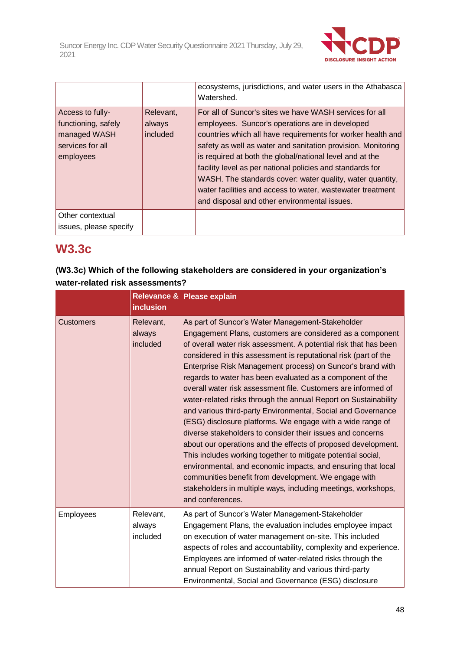

|                                                                                          |                                 | ecosystems, jurisdictions, and water users in the Athabasca<br>Watershed.                                                                                                                                                                                                                                                                                                                                                                                                                                                                     |
|------------------------------------------------------------------------------------------|---------------------------------|-----------------------------------------------------------------------------------------------------------------------------------------------------------------------------------------------------------------------------------------------------------------------------------------------------------------------------------------------------------------------------------------------------------------------------------------------------------------------------------------------------------------------------------------------|
| Access to fully-<br>functioning, safely<br>managed WASH<br>services for all<br>employees | Relevant.<br>always<br>included | For all of Suncor's sites we have WASH services for all<br>employees. Suncor's operations are in developed<br>countries which all have requirements for worker health and<br>safety as well as water and sanitation provision. Monitoring<br>is required at both the global/national level and at the<br>facility level as per national policies and standards for<br>WASH. The standards cover: water quality, water quantity,<br>water facilities and access to water, wastewater treatment<br>and disposal and other environmental issues. |
| Other contextual<br>issues, please specify                                               |                                 |                                                                                                                                                                                                                                                                                                                                                                                                                                                                                                                                               |

## **W3.3c**

## **(W3.3c) Which of the following stakeholders are considered in your organization's water-related risk assessments?**

|                  | <b>inclusion</b>                | Relevance & Please explain                                                                                                                                                                                                                                                                                                                                                                                                                                                                                                                                                                                                                                                                                                                                                                                                                                                                                                                                                                                                                                    |
|------------------|---------------------------------|---------------------------------------------------------------------------------------------------------------------------------------------------------------------------------------------------------------------------------------------------------------------------------------------------------------------------------------------------------------------------------------------------------------------------------------------------------------------------------------------------------------------------------------------------------------------------------------------------------------------------------------------------------------------------------------------------------------------------------------------------------------------------------------------------------------------------------------------------------------------------------------------------------------------------------------------------------------------------------------------------------------------------------------------------------------|
| <b>Customers</b> | Relevant,<br>always<br>included | As part of Suncor's Water Management-Stakeholder<br>Engagement Plans, customers are considered as a component<br>of overall water risk assessment. A potential risk that has been<br>considered in this assessment is reputational risk (part of the<br>Enterprise Risk Management process) on Suncor's brand with<br>regards to water has been evaluated as a component of the<br>overall water risk assessment file. Customers are informed of<br>water-related risks through the annual Report on Sustainability<br>and various third-party Environmental, Social and Governance<br>(ESG) disclosure platforms. We engage with a wide range of<br>diverse stakeholders to consider their issues and concerns<br>about our operations and the effects of proposed development.<br>This includes working together to mitigate potential social,<br>environmental, and economic impacts, and ensuring that local<br>communities benefit from development. We engage with<br>stakeholders in multiple ways, including meetings, workshops,<br>and conferences. |
| <b>Employees</b> | Relevant,<br>always<br>included | As part of Suncor's Water Management-Stakeholder<br>Engagement Plans, the evaluation includes employee impact<br>on execution of water management on-site. This included<br>aspects of roles and accountability, complexity and experience.<br>Employees are informed of water-related risks through the<br>annual Report on Sustainability and various third-party<br>Environmental, Social and Governance (ESG) disclosure                                                                                                                                                                                                                                                                                                                                                                                                                                                                                                                                                                                                                                  |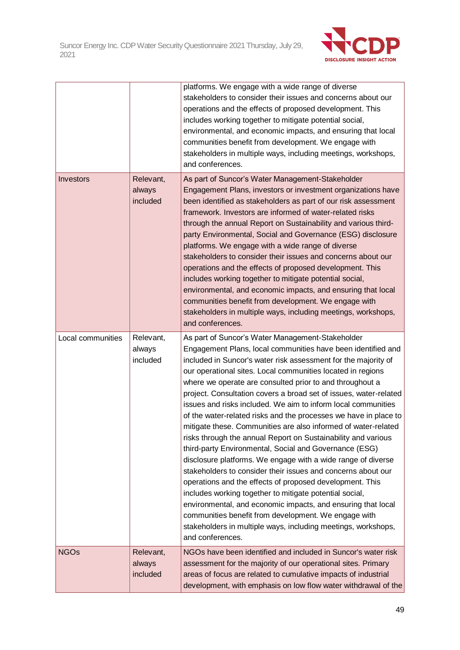

|                   |                                 | platforms. We engage with a wide range of diverse<br>stakeholders to consider their issues and concerns about our<br>operations and the effects of proposed development. This<br>includes working together to mitigate potential social,<br>environmental, and economic impacts, and ensuring that local<br>communities benefit from development. We engage with<br>stakeholders in multiple ways, including meetings, workshops,<br>and conferences.                                                                                                                                                                                                                                                                                                                                                                                                                                                                                                                                                                                                                                                                                                                                    |
|-------------------|---------------------------------|------------------------------------------------------------------------------------------------------------------------------------------------------------------------------------------------------------------------------------------------------------------------------------------------------------------------------------------------------------------------------------------------------------------------------------------------------------------------------------------------------------------------------------------------------------------------------------------------------------------------------------------------------------------------------------------------------------------------------------------------------------------------------------------------------------------------------------------------------------------------------------------------------------------------------------------------------------------------------------------------------------------------------------------------------------------------------------------------------------------------------------------------------------------------------------------|
| Investors         | Relevant,<br>always<br>included | As part of Suncor's Water Management-Stakeholder<br>Engagement Plans, investors or investment organizations have<br>been identified as stakeholders as part of our risk assessment<br>framework. Investors are informed of water-related risks<br>through the annual Report on Sustainability and various third-<br>party Environmental, Social and Governance (ESG) disclosure<br>platforms. We engage with a wide range of diverse<br>stakeholders to consider their issues and concerns about our<br>operations and the effects of proposed development. This<br>includes working together to mitigate potential social,<br>environmental, and economic impacts, and ensuring that local<br>communities benefit from development. We engage with<br>stakeholders in multiple ways, including meetings, workshops,<br>and conferences.                                                                                                                                                                                                                                                                                                                                                 |
| Local communities | Relevant,<br>always<br>included | As part of Suncor's Water Management-Stakeholder<br>Engagement Plans, local communities have been identified and<br>included in Suncor's water risk assessment for the majority of<br>our operational sites. Local communities located in regions<br>where we operate are consulted prior to and throughout a<br>project. Consultation covers a broad set of issues, water-related<br>issues and risks included. We aim to inform local communities<br>of the water-related risks and the processes we have in place to<br>mitigate these. Communities are also informed of water-related<br>risks through the annual Report on Sustainability and various<br>third-party Environmental, Social and Governance (ESG)<br>disclosure platforms. We engage with a wide range of diverse<br>stakeholders to consider their issues and concerns about our<br>operations and the effects of proposed development. This<br>includes working together to mitigate potential social,<br>environmental, and economic impacts, and ensuring that local<br>communities benefit from development. We engage with<br>stakeholders in multiple ways, including meetings, workshops,<br>and conferences. |
| <b>NGOs</b>       | Relevant,<br>always<br>included | NGOs have been identified and included in Suncor's water risk<br>assessment for the majority of our operational sites. Primary<br>areas of focus are related to cumulative impacts of industrial<br>development, with emphasis on low flow water withdrawal of the                                                                                                                                                                                                                                                                                                                                                                                                                                                                                                                                                                                                                                                                                                                                                                                                                                                                                                                       |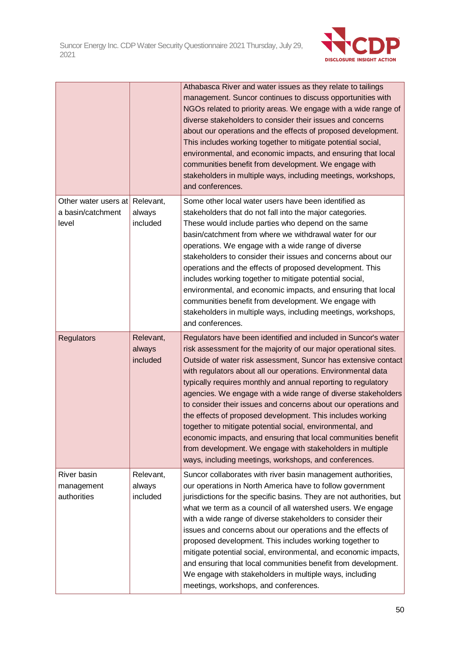

|                                                              |                                 | Athabasca River and water issues as they relate to tailings<br>management. Suncor continues to discuss opportunities with<br>NGOs related to priority areas. We engage with a wide range of<br>diverse stakeholders to consider their issues and concerns<br>about our operations and the effects of proposed development.<br>This includes working together to mitigate potential social,<br>environmental, and economic impacts, and ensuring that local<br>communities benefit from development. We engage with<br>stakeholders in multiple ways, including meetings, workshops,<br>and conferences.                                                                                                                                                                                    |
|--------------------------------------------------------------|---------------------------------|--------------------------------------------------------------------------------------------------------------------------------------------------------------------------------------------------------------------------------------------------------------------------------------------------------------------------------------------------------------------------------------------------------------------------------------------------------------------------------------------------------------------------------------------------------------------------------------------------------------------------------------------------------------------------------------------------------------------------------------------------------------------------------------------|
| Other water users at Relevant,<br>a basin/catchment<br>level | always<br>included              | Some other local water users have been identified as<br>stakeholders that do not fall into the major categories.<br>These would include parties who depend on the same<br>basin/catchment from where we withdrawal water for our<br>operations. We engage with a wide range of diverse<br>stakeholders to consider their issues and concerns about our<br>operations and the effects of proposed development. This<br>includes working together to mitigate potential social,<br>environmental, and economic impacts, and ensuring that local<br>communities benefit from development. We engage with<br>stakeholders in multiple ways, including meetings, workshops,<br>and conferences.                                                                                                 |
| <b>Regulators</b>                                            | Relevant,<br>always<br>included | Regulators have been identified and included in Suncor's water<br>risk assessment for the majority of our major operational sites.<br>Outside of water risk assessment, Suncor has extensive contact<br>with regulators about all our operations. Environmental data<br>typically requires monthly and annual reporting to regulatory<br>agencies. We engage with a wide range of diverse stakeholders<br>to consider their issues and concerns about our operations and<br>the effects of proposed development. This includes working<br>together to mitigate potential social, environmental, and<br>economic impacts, and ensuring that local communities benefit<br>from development. We engage with stakeholders in multiple<br>ways, including meetings, workshops, and conferences. |
| River basin<br>management<br>authorities                     | Relevant,<br>always<br>included | Suncor collaborates with river basin management authorities,<br>our operations in North America have to follow government<br>jurisdictions for the specific basins. They are not authorities, but<br>what we term as a council of all watershed users. We engage<br>with a wide range of diverse stakeholders to consider their<br>issues and concerns about our operations and the effects of<br>proposed development. This includes working together to<br>mitigate potential social, environmental, and economic impacts,<br>and ensuring that local communities benefit from development.<br>We engage with stakeholders in multiple ways, including<br>meetings, workshops, and conferences.                                                                                          |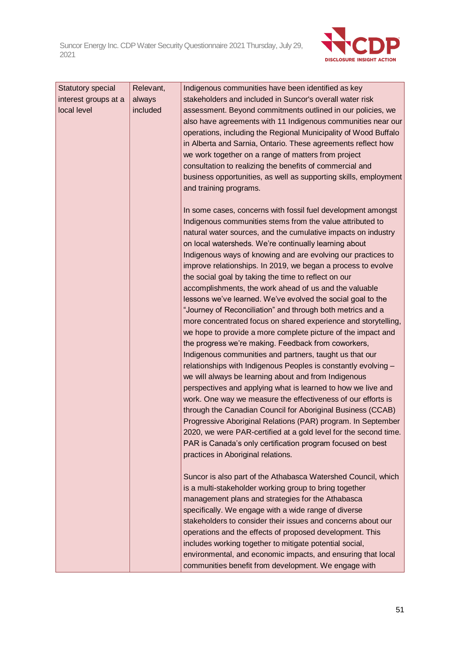

| <b>Statutory special</b> | Relevant, | Indigenous communities have been identified as key                                                                        |
|--------------------------|-----------|---------------------------------------------------------------------------------------------------------------------------|
| interest groups at a     | always    | stakeholders and included in Suncor's overall water risk                                                                  |
| local level              | included  | assessment. Beyond commitments outlined in our policies, we                                                               |
|                          |           | also have agreements with 11 Indigenous communities near our                                                              |
|                          |           | operations, including the Regional Municipality of Wood Buffalo                                                           |
|                          |           | in Alberta and Sarnia, Ontario. These agreements reflect how                                                              |
|                          |           | we work together on a range of matters from project                                                                       |
|                          |           | consultation to realizing the benefits of commercial and                                                                  |
|                          |           | business opportunities, as well as supporting skills, employment                                                          |
|                          |           | and training programs.                                                                                                    |
|                          |           | In some cases, concerns with fossil fuel development amongst                                                              |
|                          |           | Indigenous communities stems from the value attributed to                                                                 |
|                          |           | natural water sources, and the cumulative impacts on industry                                                             |
|                          |           | on local watersheds. We're continually learning about                                                                     |
|                          |           | Indigenous ways of knowing and are evolving our practices to                                                              |
|                          |           | improve relationships. In 2019, we began a process to evolve                                                              |
|                          |           | the social goal by taking the time to reflect on our                                                                      |
|                          |           | accomplishments, the work ahead of us and the valuable                                                                    |
|                          |           | lessons we've learned. We've evolved the social goal to the                                                               |
|                          |           | "Journey of Reconciliation" and through both metrics and a                                                                |
|                          |           | more concentrated focus on shared experience and storytelling,                                                            |
|                          |           | we hope to provide a more complete picture of the impact and                                                              |
|                          |           | the progress we're making. Feedback from coworkers,                                                                       |
|                          |           | Indigenous communities and partners, taught us that our<br>relationships with Indigenous Peoples is constantly evolving - |
|                          |           | we will always be learning about and from Indigenous                                                                      |
|                          |           | perspectives and applying what is learned to how we live and                                                              |
|                          |           | work. One way we measure the effectiveness of our efforts is                                                              |
|                          |           | through the Canadian Council for Aboriginal Business (CCAB)                                                               |
|                          |           | Progressive Aboriginal Relations (PAR) program. In September                                                              |
|                          |           | 2020, we were PAR-certified at a gold level for the second time.                                                          |
|                          |           | PAR is Canada's only certification program focused on best                                                                |
|                          |           | practices in Aboriginal relations.                                                                                        |
|                          |           |                                                                                                                           |
|                          |           | Suncor is also part of the Athabasca Watershed Council, which                                                             |
|                          |           | is a multi-stakeholder working group to bring together                                                                    |
|                          |           | management plans and strategies for the Athabasca                                                                         |
|                          |           | specifically. We engage with a wide range of diverse                                                                      |
|                          |           | stakeholders to consider their issues and concerns about our                                                              |
|                          |           | operations and the effects of proposed development. This                                                                  |
|                          |           | includes working together to mitigate potential social,                                                                   |
|                          |           | environmental, and economic impacts, and ensuring that local                                                              |
|                          |           | communities benefit from development. We engage with                                                                      |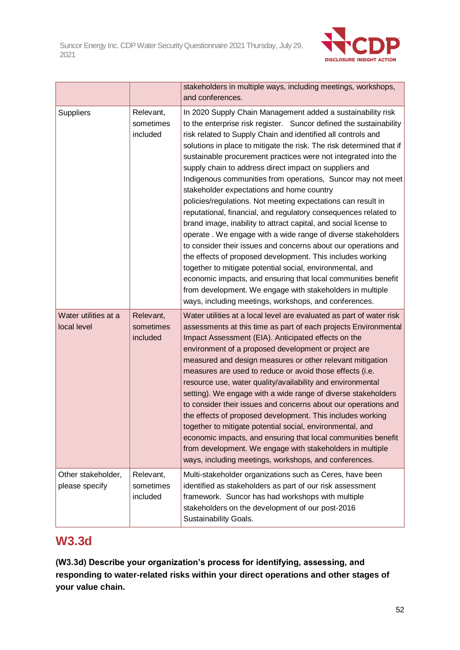

|                                      |                                    | stakeholders in multiple ways, including meetings, workshops,<br>and conferences.                                                                                                                                                                                                                                                                                                                                                                                                                                                                                                                                                                                                                                                                                                                                                                                                                                                                                                                                                                                                                                                                                             |
|--------------------------------------|------------------------------------|-------------------------------------------------------------------------------------------------------------------------------------------------------------------------------------------------------------------------------------------------------------------------------------------------------------------------------------------------------------------------------------------------------------------------------------------------------------------------------------------------------------------------------------------------------------------------------------------------------------------------------------------------------------------------------------------------------------------------------------------------------------------------------------------------------------------------------------------------------------------------------------------------------------------------------------------------------------------------------------------------------------------------------------------------------------------------------------------------------------------------------------------------------------------------------|
| <b>Suppliers</b>                     | Relevant,<br>sometimes<br>included | In 2020 Supply Chain Management added a sustainability risk<br>to the enterprise risk register. Suncor defined the sustainability<br>risk related to Supply Chain and identified all controls and<br>solutions in place to mitigate the risk. The risk determined that if<br>sustainable procurement practices were not integrated into the<br>supply chain to address direct impact on suppliers and<br>Indigenous communities from operations, Suncor may not meet<br>stakeholder expectations and home country<br>policies/regulations. Not meeting expectations can result in<br>reputational, financial, and regulatory consequences related to<br>brand image, inability to attract capital, and social license to<br>operate . We engage with a wide range of diverse stakeholders<br>to consider their issues and concerns about our operations and<br>the effects of proposed development. This includes working<br>together to mitigate potential social, environmental, and<br>economic impacts, and ensuring that local communities benefit<br>from development. We engage with stakeholders in multiple<br>ways, including meetings, workshops, and conferences. |
| Water utilities at a<br>local level  | Relevant,<br>sometimes<br>included | Water utilities at a local level are evaluated as part of water risk<br>assessments at this time as part of each projects Environmental<br>Impact Assessment (EIA). Anticipated effects on the<br>environment of a proposed development or project are<br>measured and design measures or other relevant mitigation<br>measures are used to reduce or avoid those effects (i.e.<br>resource use, water quality/availability and environmental<br>setting). We engage with a wide range of diverse stakeholders<br>to consider their issues and concerns about our operations and<br>the effects of proposed development. This includes working<br>together to mitigate potential social, environmental, and<br>economic impacts, and ensuring that local communities benefit<br>from development. We engage with stakeholders in multiple<br>ways, including meetings, workshops, and conferences.                                                                                                                                                                                                                                                                            |
| Other stakeholder,<br>please specify | Relevant,<br>sometimes<br>included | Multi-stakeholder organizations such as Ceres, have been<br>identified as stakeholders as part of our risk assessment<br>framework. Suncor has had workshops with multiple<br>stakeholders on the development of our post-2016<br>Sustainability Goals.                                                                                                                                                                                                                                                                                                                                                                                                                                                                                                                                                                                                                                                                                                                                                                                                                                                                                                                       |

## **W3.3d**

**(W3.3d) Describe your organization's process for identifying, assessing, and responding to water-related risks within your direct operations and other stages of your value chain.**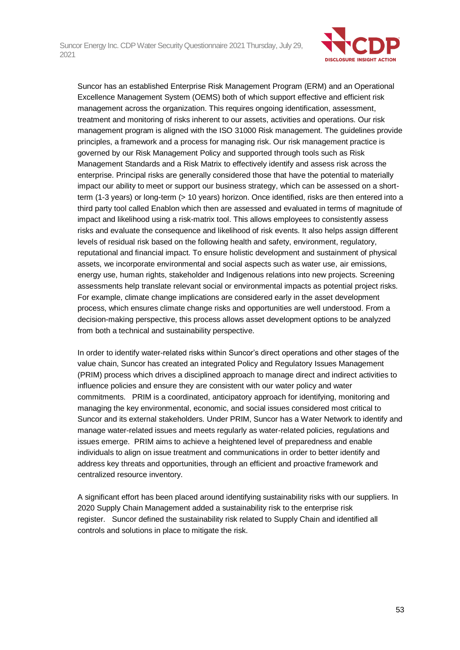

Suncor has an established Enterprise Risk Management Program (ERM) and an Operational Excellence Management System (OEMS) both of which support effective and efficient risk management across the organization. This requires ongoing identification, assessment, treatment and monitoring of risks inherent to our assets, activities and operations. Our risk management program is aligned with the ISO 31000 Risk management. The guidelines provide principles, a framework and a process for managing risk. Our risk management practice is governed by our Risk Management Policy and supported through tools such as Risk Management Standards and a Risk Matrix to effectively identify and assess risk across the enterprise. Principal risks are generally considered those that have the potential to materially impact our ability to meet or support our business strategy, which can be assessed on a shortterm (1-3 years) or long-term (> 10 years) horizon. Once identified, risks are then entered into a third party tool called Enablon which then are assessed and evaluated in terms of magnitude of impact and likelihood using a risk-matrix tool. This allows employees to consistently assess risks and evaluate the consequence and likelihood of risk events. It also helps assign different levels of residual risk based on the following health and safety, environment, regulatory, reputational and financial impact. To ensure holistic development and sustainment of physical assets, we incorporate environmental and social aspects such as water use, air emissions, energy use, human rights, stakeholder and Indigenous relations into new projects. Screening assessments help translate relevant social or environmental impacts as potential project risks. For example, climate change implications are considered early in the asset development process, which ensures climate change risks and opportunities are well understood. From a decision-making perspective, this process allows asset development options to be analyzed from both a technical and sustainability perspective.

In order to identify water-related risks within Suncor's direct operations and other stages of the value chain, Suncor has created an integrated Policy and Regulatory Issues Management (PRIM) process which drives a disciplined approach to manage direct and indirect activities to influence policies and ensure they are consistent with our water policy and water commitments. PRIM is a coordinated, anticipatory approach for identifying, monitoring and managing the key environmental, economic, and social issues considered most critical to Suncor and its external stakeholders. Under PRIM, Suncor has a Water Network to identify and manage water-related issues and meets regularly as water-related policies, regulations and issues emerge. PRIM aims to achieve a heightened level of preparedness and enable individuals to align on issue treatment and communications in order to better identify and address key threats and opportunities, through an efficient and proactive framework and centralized resource inventory.

A significant effort has been placed around identifying sustainability risks with our suppliers. In 2020 Supply Chain Management added a sustainability risk to the enterprise risk register. Suncor defined the sustainability risk related to Supply Chain and identified all controls and solutions in place to mitigate the risk.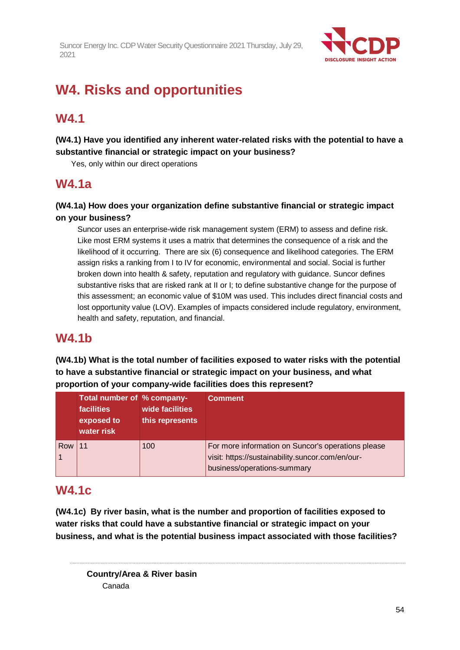

# **W4. Risks and opportunities**

## **W4.1**

**(W4.1) Have you identified any inherent water-related risks with the potential to have a substantive financial or strategic impact on your business?**

Yes, only within our direct operations

## **W4.1a**

### **(W4.1a) How does your organization define substantive financial or strategic impact on your business?**

Suncor uses an enterprise-wide risk management system (ERM) to assess and define risk. Like most ERM systems it uses a matrix that determines the consequence of a risk and the likelihood of it occurring. There are six (6) consequence and likelihood categories. The ERM assign risks a ranking from I to IV for economic, environmental and social. Social is further broken down into health & safety, reputation and regulatory with guidance. Suncor defines substantive risks that are risked rank at II or I; to define substantive change for the purpose of this assessment; an economic value of \$10M was used. This includes direct financial costs and lost opportunity value (LOV). Examples of impacts considered include regulatory, environment, health and safety, reputation, and financial.

## **W4.1b**

**(W4.1b) What is the total number of facilities exposed to water risks with the potential to have a substantive financial or strategic impact on your business, and what proportion of your company-wide facilities does this represent?**

|     | Total number of % company-<br>facilities<br>exposed to<br>water risk | wide facilities<br>this represents | <b>Comment</b>                                                                                                                        |
|-----|----------------------------------------------------------------------|------------------------------------|---------------------------------------------------------------------------------------------------------------------------------------|
| Row | 11                                                                   | 100                                | For more information on Suncor's operations please<br>visit: https://sustainability.suncor.com/en/our-<br>business/operations-summary |

## **W4.1c**

**(W4.1c) By river basin, what is the number and proportion of facilities exposed to water risks that could have a substantive financial or strategic impact on your business, and what is the potential business impact associated with those facilities?**

**Country/Area & River basin** Canada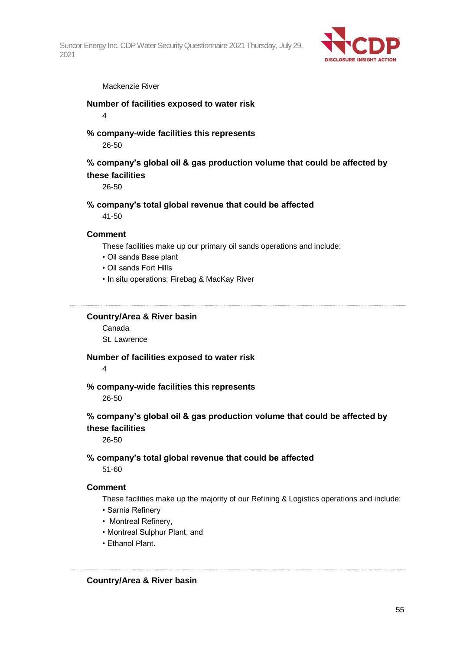

#### Mackenzie River

**Number of facilities exposed to water risk**

4

**% company-wide facilities this represents**

26-50

### **% company's global oil & gas production volume that could be affected by these facilities**

26-50

#### **% company's total global revenue that could be affected**

41-50

#### **Comment**

These facilities make up our primary oil sands operations and include:

- Oil sands Base plant
- Oil sands Fort Hills
- In situ operations; Firebag & MacKay River

#### **Country/Area & River basin**

Canada St. Lawrence

#### **Number of facilities exposed to water risk**

4

#### **% company-wide facilities this represents**

26-50

### **% company's global oil & gas production volume that could be affected by these facilities**

26-50

#### **% company's total global revenue that could be affected** 51-60

#### **Comment**

These facilities make up the majority of our Refining & Logistics operations and include:

- Sarnia Refinery
- Montreal Refinery,
- Montreal Sulphur Plant, and
- Ethanol Plant.

#### **Country/Area & River basin**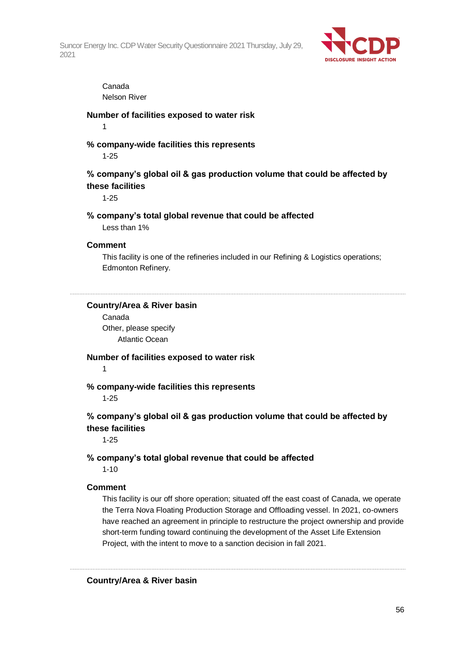

### Canada Nelson River

### **Number of facilities exposed to water risk**

1

### **% company-wide facilities this represents**

1-25

## **% company's global oil & gas production volume that could be affected by these facilities**

1-25

#### **% company's total global revenue that could be affected**

Less than 1%

#### **Comment**

This facility is one of the refineries included in our Refining & Logistics operations; Edmonton Refinery.

#### **Country/Area & River basin**

Canada Other, please specify Atlantic Ocean

#### **Number of facilities exposed to water risk**

1

#### **% company-wide facilities this represents**

1-25

### **% company's global oil & gas production volume that could be affected by these facilities**

1-25

### **% company's total global revenue that could be affected**

1-10

#### **Comment**

This facility is our off shore operation; situated off the east coast of Canada, we operate the Terra Nova Floating Production Storage and Offloading vessel. In 2021, co-owners have reached an agreement in principle to restructure the project ownership and provide short-term funding toward continuing the development of the Asset Life Extension Project, with the intent to move to a sanction decision in fall 2021.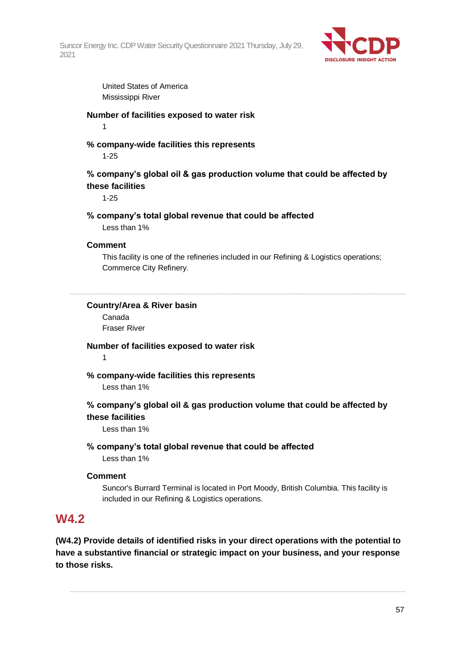

United States of America Mississippi River

### **Number of facilities exposed to water risk**

1

### **% company-wide facilities this represents**

1-25

## **% company's global oil & gas production volume that could be affected by these facilities**

1-25

#### **% company's total global revenue that could be affected**

Less than 1%

#### **Comment**

This facility is one of the refineries included in our Refining & Logistics operations; Commerce City Refinery.

#### **Country/Area & River basin**

Canada Fraser River

#### **Number of facilities exposed to water risk** 1

**% company-wide facilities this represents** Less than 1%

## **% company's global oil & gas production volume that could be affected by these facilities**

Less than 1%

#### **% company's total global revenue that could be affected**

Less than 1%

#### **Comment**

Suncor's Burrard Terminal is located in Port Moody, British Columbia. This facility is included in our Refining & Logistics operations.

## **W4.2**

**(W4.2) Provide details of identified risks in your direct operations with the potential to have a substantive financial or strategic impact on your business, and your response to those risks.**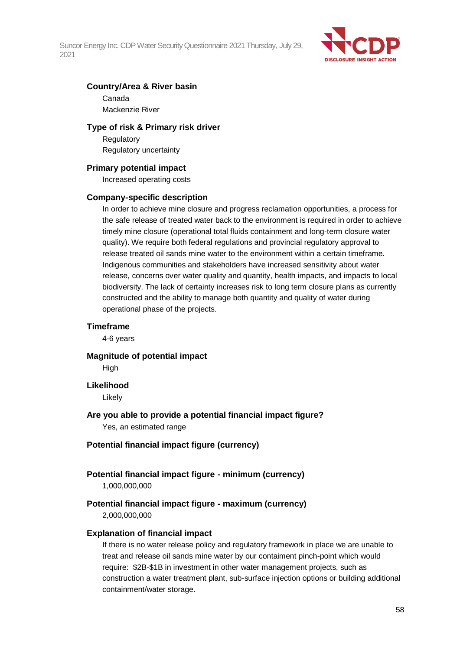

#### **Country/Area & River basin**

Canada Mackenzie River

#### **Type of risk & Primary risk driver**

**Regulatory** Regulatory uncertainty

#### **Primary potential impact**

Increased operating costs

#### **Company-specific description**

In order to achieve mine closure and progress reclamation opportunities, a process for the safe release of treated water back to the environment is required in order to achieve timely mine closure (operational total fluids containment and long-term closure water quality). We require both federal regulations and provincial regulatory approval to release treated oil sands mine water to the environment within a certain timeframe. Indigenous communities and stakeholders have increased sensitivity about water release, concerns over water quality and quantity, health impacts, and impacts to local biodiversity. The lack of certainty increases risk to long term closure plans as currently constructed and the ability to manage both quantity and quality of water during operational phase of the projects.

#### **Timeframe**

4-6 years

**Magnitude of potential impact**

**High** 

#### **Likelihood**

Likely

#### **Are you able to provide a potential financial impact figure?**

Yes, an estimated range

#### **Potential financial impact figure (currency)**

#### **Potential financial impact figure - minimum (currency)** 1,000,000,000

#### **Potential financial impact figure - maximum (currency)**

2,000,000,000

#### **Explanation of financial impact**

If there is no water release policy and regulatory framework in place we are unable to treat and release oil sands mine water by our contaiment pinch-point which would require: \$2B-\$1B in investment in other water management projects, such as construction a water treatment plant, sub-surface injection options or building additional containment/water storage.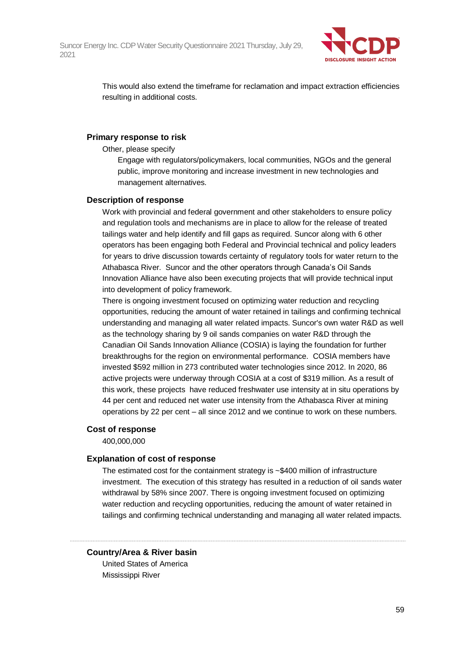

This would also extend the timeframe for reclamation and impact extraction efficiencies resulting in additional costs.

#### **Primary response to risk**

Other, please specify

Engage with regulators/policymakers, local communities, NGOs and the general public, improve monitoring and increase investment in new technologies and management alternatives.

#### **Description of response**

Work with provincial and federal government and other stakeholders to ensure policy and regulation tools and mechanisms are in place to allow for the release of treated tailings water and help identify and fill gaps as required. Suncor along with 6 other operators has been engaging both Federal and Provincial technical and policy leaders for years to drive discussion towards certainty of regulatory tools for water return to the Athabasca River. Suncor and the other operators through Canada's Oil Sands Innovation Alliance have also been executing projects that will provide technical input into development of policy framework.

There is ongoing investment focused on optimizing water reduction and recycling opportunities, reducing the amount of water retained in tailings and confirming technical understanding and managing all water related impacts. Suncor's own water R&D as well as the technology sharing by 9 oil sands companies on water R&D through the Canadian Oil Sands Innovation Alliance (COSIA) is laying the foundation for further breakthroughs for the region on environmental performance. COSIA members have invested \$592 million in 273 contributed water technologies since 2012. In 2020, 86 active projects were underway through COSIA at a cost of \$319 million. As a result of this work, these projects have reduced freshwater use intensity at in situ operations by 44 per cent and reduced net water use intensity from the Athabasca River at mining operations by 22 per cent – all since 2012 and we continue to work on these numbers.

#### **Cost of response**

400,000,000

#### **Explanation of cost of response**

The estimated cost for the containment strategy is  $\sim$  \$400 million of infrastructure investment. The execution of this strategy has resulted in a reduction of oil sands water withdrawal by 58% since 2007. There is ongoing investment focused on optimizing water reduction and recycling opportunities, reducing the amount of water retained in tailings and confirming technical understanding and managing all water related impacts.

#### **Country/Area & River basin**

United States of America Mississippi River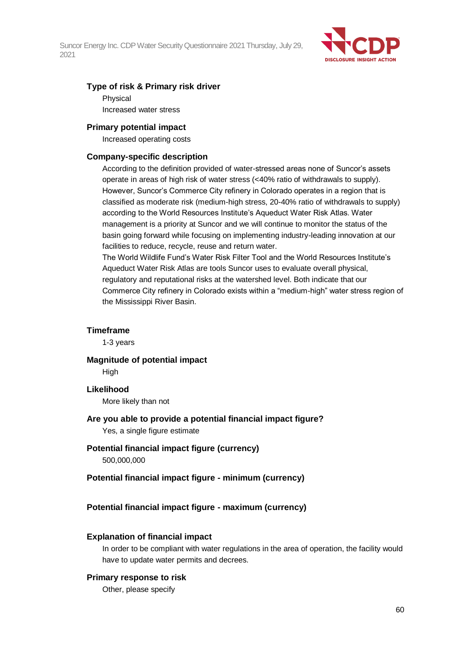

#### **Type of risk & Primary risk driver**

Physical

Increased water stress

#### **Primary potential impact**

Increased operating costs

#### **Company-specific description**

According to the definition provided of water-stressed areas none of Suncor's assets operate in areas of high risk of water stress (<40% ratio of withdrawals to supply). However, Suncor's Commerce City refinery in Colorado operates in a region that is classified as moderate risk (medium-high stress, 20-40% ratio of withdrawals to supply) according to the World Resources Institute's Aqueduct Water Risk Atlas. Water management is a priority at Suncor and we will continue to monitor the status of the basin going forward while focusing on implementing industry-leading innovation at our facilities to reduce, recycle, reuse and return water.

The World Wildlife Fund's Water Risk Filter Tool and the World Resources Institute's Aqueduct Water Risk Atlas are tools Suncor uses to evaluate overall physical, regulatory and reputational risks at the watershed level. Both indicate that our Commerce City refinery in Colorado exists within a "medium-high" water stress region of the Mississippi River Basin.

#### **Timeframe**

1-3 years

#### **Magnitude of potential impact**

**High** 

#### **Likelihood**

More likely than not

## **Are you able to provide a potential financial impact figure?**

Yes, a single figure estimate

## **Potential financial impact figure (currency)**

500,000,000

#### **Potential financial impact figure - minimum (currency)**

#### **Potential financial impact figure - maximum (currency)**

#### **Explanation of financial impact**

In order to be compliant with water regulations in the area of operation, the facility would have to update water permits and decrees.

#### **Primary response to risk**

Other, please specify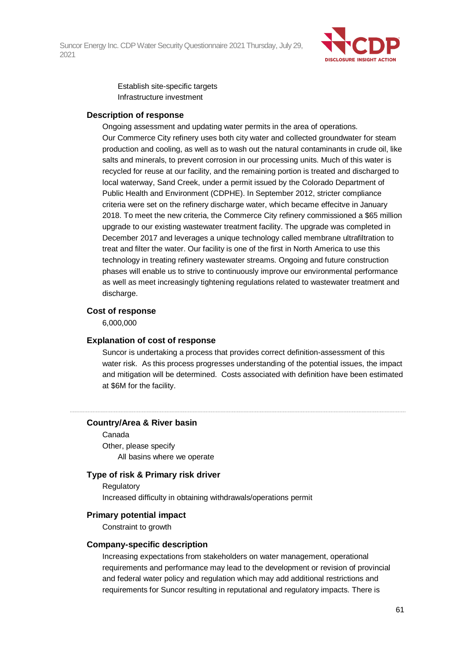

Establish site-specific targets Infrastructure investment

#### **Description of response**

Ongoing assessment and updating water permits in the area of operations. Our Commerce City refinery uses both city water and collected groundwater for steam production and cooling, as well as to wash out the natural contaminants in crude oil, like salts and minerals, to prevent corrosion in our processing units. Much of this water is recycled for reuse at our facility, and the remaining portion is treated and discharged to local waterway, Sand Creek, under a permit issued by the Colorado Department of Public Health and Environment (CDPHE). In September 2012, stricter compliance criteria were set on the refinery discharge water, which became effecitve in January 2018. To meet the new criteria, the Commerce City refinery commissioned a \$65 million upgrade to our existing wastewater treatment facility. The upgrade was completed in December 2017 and leverages a unique technology called membrane ultrafiltration to treat and filter the water. Our facility is one of the first in North America to use this technology in treating refinery wastewater streams. Ongoing and future construction phases will enable us to strive to continuously improve our environmental performance as well as meet increasingly tightening regulations related to wastewater treatment and discharge.

#### **Cost of response**

6,000,000

#### **Explanation of cost of response**

Suncor is undertaking a process that provides correct definition-assessment of this water risk. As this process progresses understanding of the potential issues, the impact and mitigation will be determined. Costs associated with definition have been estimated at \$6M for the facility.

#### **Country/Area & River basin**

Canada Other, please specify All basins where we operate

#### **Type of risk & Primary risk driver**

**Regulatory** Increased difficulty in obtaining withdrawals/operations permit

#### **Primary potential impact**

Constraint to growth

#### **Company-specific description**

Increasing expectations from stakeholders on water management, operational requirements and performance may lead to the development or revision of provincial and federal water policy and regulation which may add additional restrictions and requirements for Suncor resulting in reputational and regulatory impacts. There is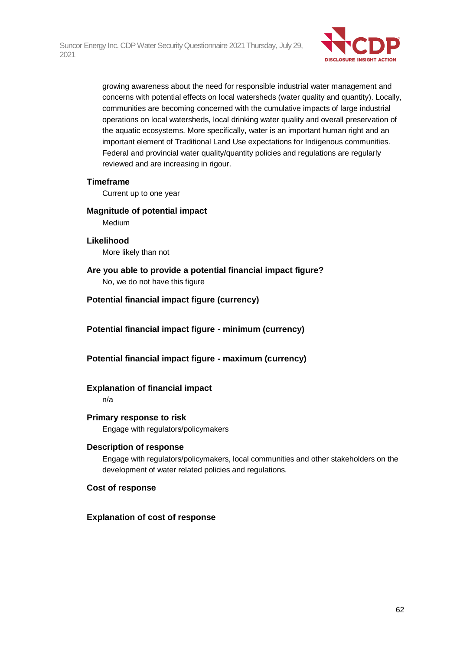

growing awareness about the need for responsible industrial water management and concerns with potential effects on local watersheds (water quality and quantity). Locally, communities are becoming concerned with the cumulative impacts of large industrial operations on local watersheds, local drinking water quality and overall preservation of the aquatic ecosystems. More specifically, water is an important human right and an important element of Traditional Land Use expectations for Indigenous communities. Federal and provincial water quality/quantity policies and regulations are regularly reviewed and are increasing in rigour.

#### **Timeframe**

Current up to one year

#### **Magnitude of potential impact**

Medium

**Likelihood** More likely than not

### **Are you able to provide a potential financial impact figure?**

No, we do not have this figure

#### **Potential financial impact figure (currency)**

**Potential financial impact figure - minimum (currency)**

#### **Potential financial impact figure - maximum (currency)**

#### **Explanation of financial impact**

n/a

### **Primary response to risk**

Engage with regulators/policymakers

#### **Description of response**

Engage with regulators/policymakers, local communities and other stakeholders on the development of water related policies and regulations.

#### **Cost of response**

**Explanation of cost of response**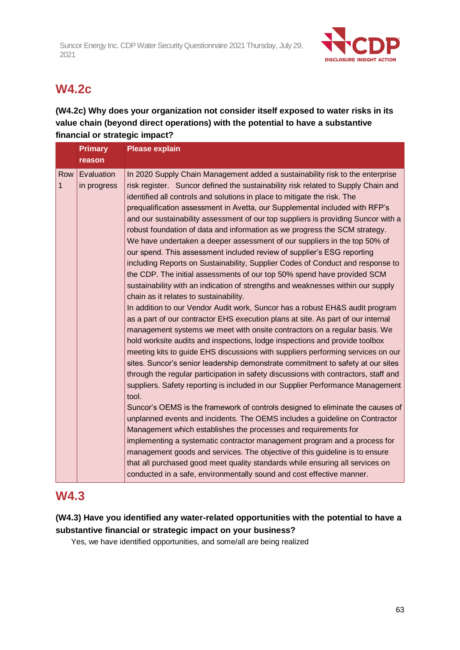

## **W4.2c**

## **(W4.2c) Why does your organization not consider itself exposed to water risks in its value chain (beyond direct operations) with the potential to have a substantive financial or strategic impact?**

|                    | <b>Primary</b><br>reason  | <b>Please explain</b>                                                                                                                                                                                                                                                                                                                                                                                                                                                                                                                                                                                                                                                                                                                                                                                                                                                                                                                                                                                                                                                                                                                                                                                                                                                                                                                                                                                                                                                                                                                                                                                                                                                                                                                                                                                                                                                                                                                                                                                                                                                                                                                                                                               |
|--------------------|---------------------------|-----------------------------------------------------------------------------------------------------------------------------------------------------------------------------------------------------------------------------------------------------------------------------------------------------------------------------------------------------------------------------------------------------------------------------------------------------------------------------------------------------------------------------------------------------------------------------------------------------------------------------------------------------------------------------------------------------------------------------------------------------------------------------------------------------------------------------------------------------------------------------------------------------------------------------------------------------------------------------------------------------------------------------------------------------------------------------------------------------------------------------------------------------------------------------------------------------------------------------------------------------------------------------------------------------------------------------------------------------------------------------------------------------------------------------------------------------------------------------------------------------------------------------------------------------------------------------------------------------------------------------------------------------------------------------------------------------------------------------------------------------------------------------------------------------------------------------------------------------------------------------------------------------------------------------------------------------------------------------------------------------------------------------------------------------------------------------------------------------------------------------------------------------------------------------------------------------|
| Row<br>$\mathbf 1$ | Evaluation<br>in progress | In 2020 Supply Chain Management added a sustainability risk to the enterprise<br>risk register. Suncor defined the sustainability risk related to Supply Chain and<br>identified all controls and solutions in place to mitigate the risk. The<br>prequalification assessment in Avetta, our Supplemental included with RFP's<br>and our sustainability assessment of our top suppliers is providing Suncor with a<br>robust foundation of data and information as we progress the SCM strategy.<br>We have undertaken a deeper assessment of our suppliers in the top 50% of<br>our spend. This assessment included review of supplier's ESG reporting<br>including Reports on Sustainability, Supplier Codes of Conduct and response to<br>the CDP. The initial assessments of our top 50% spend have provided SCM<br>sustainability with an indication of strengths and weaknesses within our supply<br>chain as it relates to sustainability.<br>In addition to our Vendor Audit work, Suncor has a robust EH&S audit program<br>as a part of our contractor EHS execution plans at site. As part of our internal<br>management systems we meet with onsite contractors on a regular basis. We<br>hold worksite audits and inspections, lodge inspections and provide toolbox<br>meeting kits to guide EHS discussions with suppliers performing services on our<br>sites. Suncor's senior leadership demonstrate commitment to safety at our sites<br>through the regular participation in safety discussions with contractors, staff and<br>suppliers. Safety reporting is included in our Supplier Performance Management<br>tool.<br>Suncor's OEMS is the framework of controls designed to eliminate the causes of<br>unplanned events and incidents. The OEMS includes a guideline on Contractor<br>Management which establishes the processes and requirements for<br>implementing a systematic contractor management program and a process for<br>management goods and services. The objective of this guideline is to ensure<br>that all purchased good meet quality standards while ensuring all services on<br>conducted in a safe, environmentally sound and cost effective manner. |

## **W4.3**

## **(W4.3) Have you identified any water-related opportunities with the potential to have a substantive financial or strategic impact on your business?**

Yes, we have identified opportunities, and some/all are being realized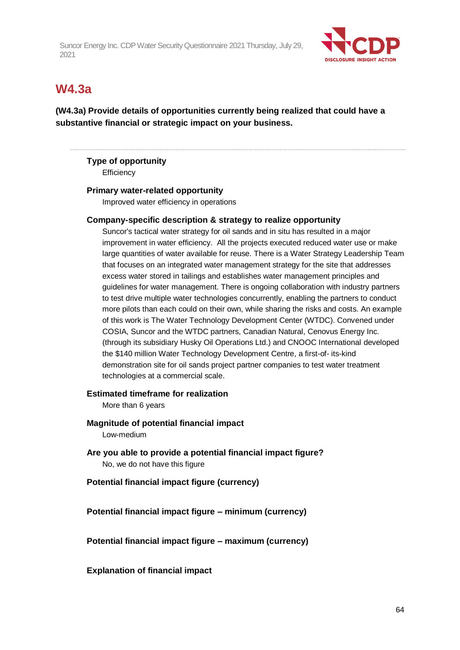

## **W4.3a**

**(W4.3a) Provide details of opportunities currently being realized that could have a substantive financial or strategic impact on your business.**

#### **Type of opportunity**

**Efficiency** 

#### **Primary water-related opportunity**

Improved water efficiency in operations

#### **Company-specific description & strategy to realize opportunity**

Suncor's tactical water strategy for oil sands and in situ has resulted in a major improvement in water efficiency. All the projects executed reduced water use or make large quantities of water available for reuse. There is a Water Strategy Leadership Team that focuses on an integrated water management strategy for the site that addresses excess water stored in tailings and establishes water management principles and guidelines for water management. There is ongoing collaboration with industry partners to test drive multiple water technologies concurrently, enabling the partners to conduct more pilots than each could on their own, while sharing the risks and costs. An example of this work is The Water Technology Development Center (WTDC). Convened under COSIA, Suncor and the WTDC partners, Canadian Natural, Cenovus Energy Inc. (through its subsidiary Husky Oil Operations Ltd.) and CNOOC International developed the \$140 million Water Technology Development Centre, a first-of- its-kind demonstration site for oil sands project partner companies to test water treatment technologies at a commercial scale.

#### **Estimated timeframe for realization**

More than 6 years

**Magnitude of potential financial impact** Low-medium

- **Are you able to provide a potential financial impact figure?** No, we do not have this figure
- **Potential financial impact figure (currency)**

**Potential financial impact figure – minimum (currency)**

**Potential financial impact figure – maximum (currency)**

#### **Explanation of financial impact**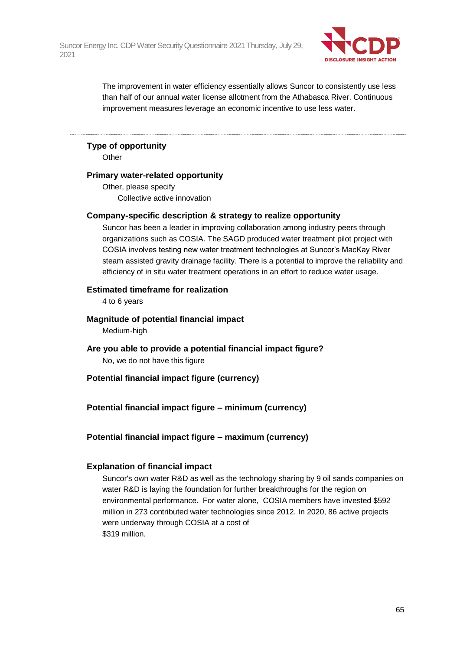

The improvement in water efficiency essentially allows Suncor to consistently use less than half of our annual water license allotment from the Athabasca River. Continuous improvement measures leverage an economic incentive to use less water.

### **Type of opportunity**

**Other** 

#### **Primary water-related opportunity**

Other, please specify Collective active innovation

#### **Company-specific description & strategy to realize opportunity**

Suncor has been a leader in improving collaboration among industry peers through organizations such as COSIA. The SAGD produced water treatment pilot project with COSIA involves testing new water treatment technologies at Suncor's MacKay River steam assisted gravity drainage facility. There is a potential to improve the reliability and efficiency of in situ water treatment operations in an effort to reduce water usage.

#### **Estimated timeframe for realization**

4 to 6 years

- **Magnitude of potential financial impact** Medium-high
- **Are you able to provide a potential financial impact figure?** No, we do not have this figure

#### **Potential financial impact figure (currency)**

### **Potential financial impact figure – minimum (currency)**

#### **Potential financial impact figure – maximum (currency)**

#### **Explanation of financial impact**

Suncor's own water R&D as well as the technology sharing by 9 oil sands companies on water R&D is laying the foundation for further breakthroughs for the region on environmental performance. For water alone, COSIA members have invested \$592 million in 273 contributed water technologies since 2012. In 2020, 86 active projects were underway through COSIA at a cost of \$319 million.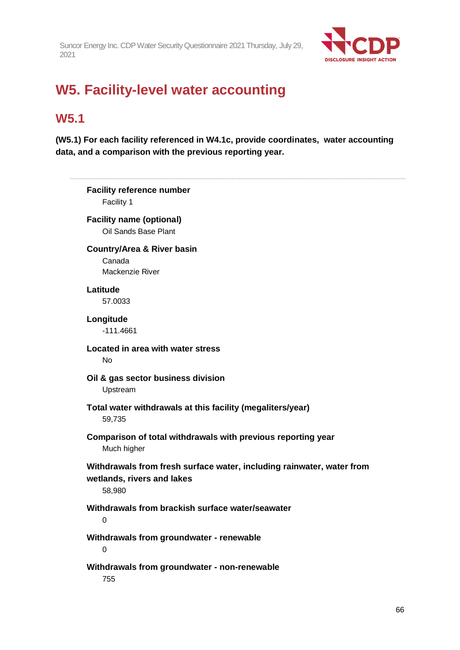

# **W5. Facility-level water accounting**

## **W5.1**

**(W5.1) For each facility referenced in W4.1c, provide coordinates, water accounting data, and a comparison with the previous reporting year.**

**Facility reference number** Facility 1 **Facility name (optional)** Oil Sands Base Plant **Country/Area & River basin** Canada Mackenzie River **Latitude** 57.0033 **Longitude** -111.4661 **Located in area with water stress** No **Oil & gas sector business division** Upstream **Total water withdrawals at this facility (megaliters/year)** 59,735 **Comparison of total withdrawals with previous reporting year** Much higher **Withdrawals from fresh surface water, including rainwater, water from wetlands, rivers and lakes** 58,980 **Withdrawals from brackish surface water/seawater** 0 **Withdrawals from groundwater - renewable** 0 **Withdrawals from groundwater - non-renewable** 755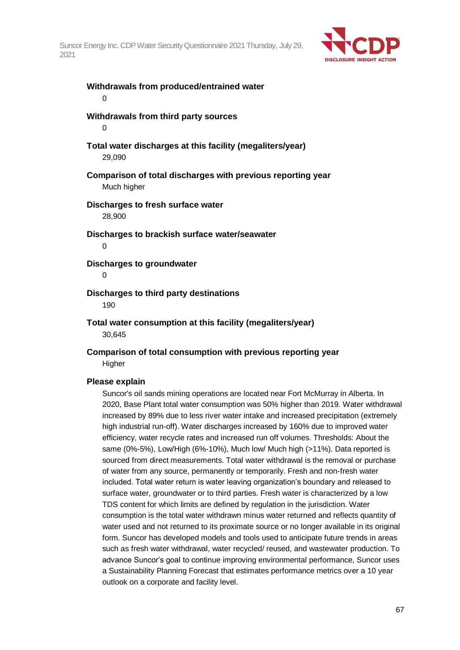

**Withdrawals from produced/entrained water** 0 **Withdrawals from third party sources**  $\Omega$ **Total water discharges at this facility (megaliters/year)** 29,090 **Comparison of total discharges with previous reporting year** Much higher **Discharges to fresh surface water** 28,900 **Discharges to brackish surface water/seawater**  $\Omega$ **Discharges to groundwater**  $\Omega$ **Discharges to third party destinations** 190 **Total water consumption at this facility (megaliters/year)** 30,645

**Comparison of total consumption with previous reporting year Higher** 

#### **Please explain**

Suncor's oil sands mining operations are located near Fort McMurray in Alberta. In 2020, Base Plant total water consumption was 50% higher than 2019. Water withdrawal increased by 89% due to less river water intake and increased precipitation (extremely high industrial run-off). Water discharges increased by 160% due to improved water efficiency, water recycle rates and increased run off volumes. Thresholds: About the same (0%-5%), Low/High (6%-10%), Much low/ Much high (>11%). Data reported is sourced from direct measurements. Total water withdrawal is the removal or purchase of water from any source, permanently or temporarily. Fresh and non-fresh water included. Total water return is water leaving organization's boundary and released to surface water, groundwater or to third parties. Fresh water is characterized by a low TDS content for which limits are defined by regulation in the jurisdiction. Water consumption is the total water withdrawn minus water returned and reflects quantity of water used and not returned to its proximate source or no longer available in its original form. Suncor has developed models and tools used to anticipate future trends in areas such as fresh water withdrawal, water recycled/ reused, and wastewater production. To advance Suncor's goal to continue improving environmental performance, Suncor uses a Sustainability Planning Forecast that estimates performance metrics over a 10 year outlook on a corporate and facility level.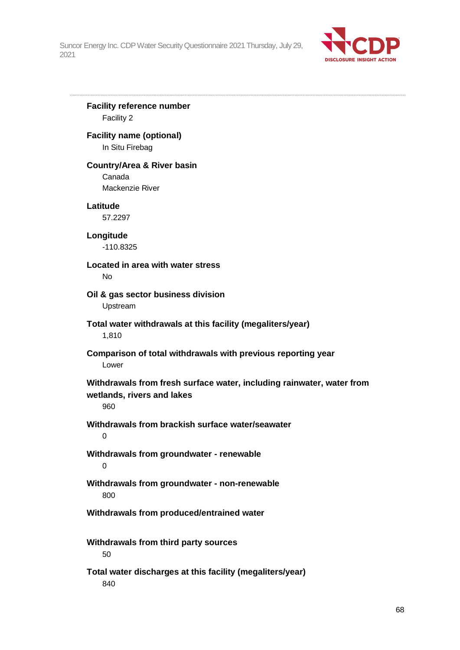

**Facility reference number** Facility 2 **Facility name (optional)** In Situ Firebag **Country/Area & River basin** Canada Mackenzie River **Latitude** 57.2297 **Longitude** -110.8325 **Located in area with water stress** No **Oil & gas sector business division** Upstream **Total water withdrawals at this facility (megaliters/year)** 1,810 **Comparison of total withdrawals with previous reporting year** Lower **Withdrawals from fresh surface water, including rainwater, water from wetlands, rivers and lakes** 960 **Withdrawals from brackish surface water/seawater** 0 **Withdrawals from groundwater - renewable** 0 **Withdrawals from groundwater - non-renewable** 800 **Withdrawals from produced/entrained water Withdrawals from third party sources** 50 **Total water discharges at this facility (megaliters/year)** 840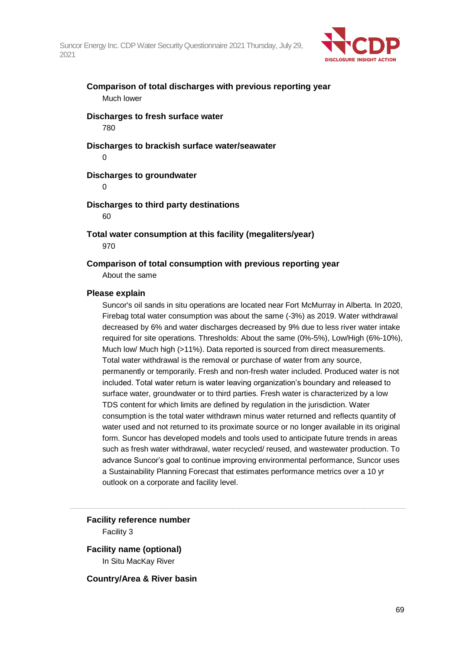

**Comparison of total discharges with previous reporting year** Much lower

## **Discharges to fresh surface water**

780

## **Discharges to brackish surface water/seawater**

0

#### **Discharges to groundwater**

 $\Omega$ 

#### **Discharges to third party destinations**

60

**Total water consumption at this facility (megaliters/year)** 970

### **Comparison of total consumption with previous reporting year**

About the same

#### **Please explain**

Suncor's oil sands in situ operations are located near Fort McMurray in Alberta. In 2020, Firebag total water consumption was about the same (-3%) as 2019. Water withdrawal decreased by 6% and water discharges decreased by 9% due to less river water intake required for site operations. Thresholds: About the same (0%-5%), Low/High (6%-10%), Much low/ Much high (>11%). Data reported is sourced from direct measurements. Total water withdrawal is the removal or purchase of water from any source, permanently or temporarily. Fresh and non-fresh water included. Produced water is not included. Total water return is water leaving organization's boundary and released to surface water, groundwater or to third parties. Fresh water is characterized by a low TDS content for which limits are defined by regulation in the jurisdiction. Water consumption is the total water withdrawn minus water returned and reflects quantity of water used and not returned to its proximate source or no longer available in its original form. Suncor has developed models and tools used to anticipate future trends in areas such as fresh water withdrawal, water recycled/ reused, and wastewater production. To advance Suncor's goal to continue improving environmental performance, Suncor uses a Sustainability Planning Forecast that estimates performance metrics over a 10 yr outlook on a corporate and facility level.

**Facility reference number** Facility 3

**Facility name (optional)** In Situ MacKay River

**Country/Area & River basin**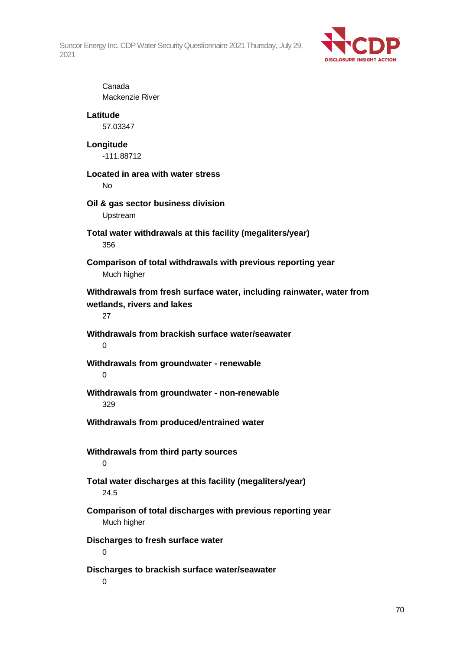

Canada Mackenzie River

#### **Latitude**

57.03347

#### **Longitude**

-111.88712

**Located in area with water stress**

No

### **Oil & gas sector business division**

Upstream

**Total water withdrawals at this facility (megaliters/year)** 356

**Comparison of total withdrawals with previous reporting year** Much higher

**Withdrawals from fresh surface water, including rainwater, water from wetlands, rivers and lakes**

27

**Withdrawals from brackish surface water/seawater** 0

**Withdrawals from groundwater - renewable**

0

- **Withdrawals from groundwater - non-renewable** 329
- **Withdrawals from produced/entrained water**

**Withdrawals from third party sources**  $\Omega$ 

**Total water discharges at this facility (megaliters/year)** 24.5

**Comparison of total discharges with previous reporting year** Much higher

**Discharges to fresh surface water**

 $\Omega$ 

**Discharges to brackish surface water/seawater**

 $\Omega$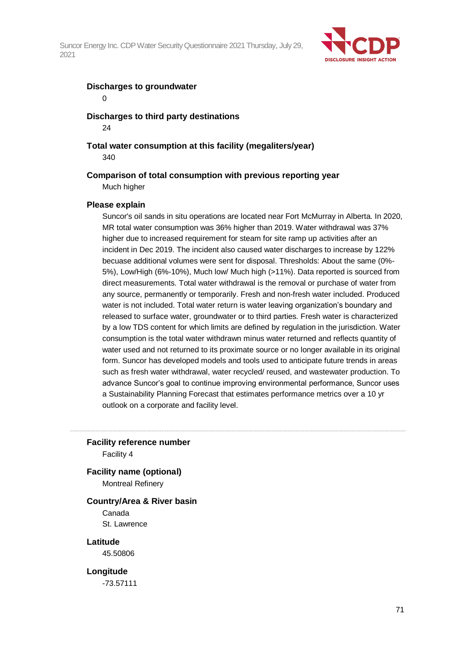

#### **Discharges to groundwater**

0

#### **Discharges to third party destinations**

24

### **Total water consumption at this facility (megaliters/year)**

340

#### **Comparison of total consumption with previous reporting year**

Much higher

#### **Please explain**

Suncor's oil sands in situ operations are located near Fort McMurray in Alberta. In 2020, MR total water consumption was 36% higher than 2019. Water withdrawal was 37% higher due to increased requirement for steam for site ramp up activities after an incident in Dec 2019. The incident also caused water discharges to increase by 122% becuase additional volumes were sent for disposal. Thresholds: About the same (0%- 5%), Low/High (6%-10%), Much low/ Much high (>11%). Data reported is sourced from direct measurements. Total water withdrawal is the removal or purchase of water from any source, permanently or temporarily. Fresh and non-fresh water included. Produced water is not included. Total water return is water leaving organization's boundary and released to surface water, groundwater or to third parties. Fresh water is characterized by a low TDS content for which limits are defined by regulation in the jurisdiction. Water consumption is the total water withdrawn minus water returned and reflects quantity of water used and not returned to its proximate source or no longer available in its original form. Suncor has developed models and tools used to anticipate future trends in areas such as fresh water withdrawal, water recycled/ reused, and wastewater production. To advance Suncor's goal to continue improving environmental performance, Suncor uses a Sustainability Planning Forecast that estimates performance metrics over a 10 yr outlook on a corporate and facility level.

**Facility reference number**

Facility 4

**Facility name (optional)** Montreal Refinery

#### **Country/Area & River basin**

Canada St. Lawrence

**Latitude**

45.50806

**Longitude**

-73.57111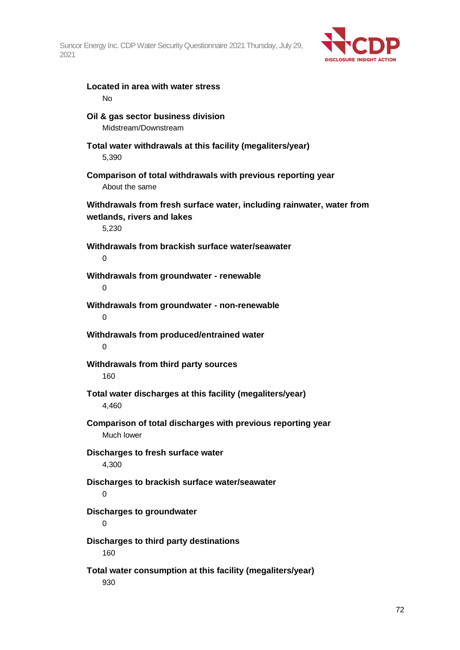

| Located in area with water stress<br><b>No</b>                                                               |
|--------------------------------------------------------------------------------------------------------------|
| Oil & gas sector business division<br>Midstream/Downstream                                                   |
| Total water withdrawals at this facility (megaliters/year)<br>5,390                                          |
| Comparison of total withdrawals with previous reporting year<br>About the same                               |
| Withdrawals from fresh surface water, including rainwater, water from<br>wetlands, rivers and lakes<br>5,230 |
| Withdrawals from brackish surface water/seawater<br>$\Omega$                                                 |
| Withdrawals from groundwater - renewable<br>0                                                                |
| Withdrawals from groundwater - non-renewable<br>0                                                            |
| Withdrawals from produced/entrained water<br>0                                                               |
| Withdrawals from third party sources<br>160                                                                  |
| Total water discharges at this facility (megaliters/year)<br>4,460                                           |
| Comparison of total discharges with previous reporting year<br>Much lower                                    |
| Discharges to fresh surface water<br>4,300                                                                   |
| Discharges to brackish surface water/seawater<br>0                                                           |
| <b>Discharges to groundwater</b><br>0                                                                        |
| <b>Discharges to third party destinations</b><br>160                                                         |
| Total water consumption at this facility (megaliters/year)<br>930                                            |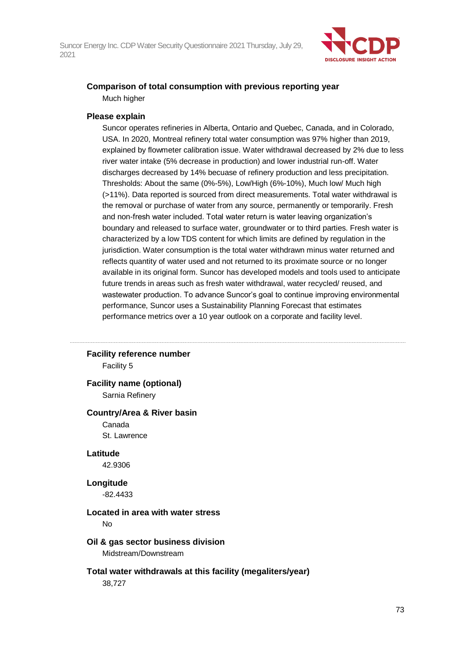

### **Comparison of total consumption with previous reporting year** Much higher

#### **Please explain**

Suncor operates refineries in Alberta, Ontario and Quebec, Canada, and in Colorado, USA. In 2020, Montreal refinery total water consumption was 97% higher than 2019, explained by flowmeter calibration issue. Water withdrawal decreased by 2% due to less river water intake (5% decrease in production) and lower industrial run-off. Water discharges decreased by 14% becuase of refinery production and less precipitation. Thresholds: About the same (0%-5%), Low/High (6%-10%), Much low/ Much high (>11%). Data reported is sourced from direct measurements. Total water withdrawal is the removal or purchase of water from any source, permanently or temporarily. Fresh and non-fresh water included. Total water return is water leaving organization's boundary and released to surface water, groundwater or to third parties. Fresh water is characterized by a low TDS content for which limits are defined by regulation in the jurisdiction. Water consumption is the total water withdrawn minus water returned and reflects quantity of water used and not returned to its proximate source or no longer available in its original form. Suncor has developed models and tools used to anticipate future trends in areas such as fresh water withdrawal, water recycled/ reused, and wastewater production. To advance Suncor's goal to continue improving environmental performance, Suncor uses a Sustainability Planning Forecast that estimates performance metrics over a 10 year outlook on a corporate and facility level.

#### **Facility reference number**

Facility 5

## **Facility name (optional)**

Sarnia Refinery

#### **Country/Area & River basin**

Canada St. Lawrence

#### **Latitude**

42.9306

**Longitude**

-82.4433

### **Located in area with water stress**

No

#### **Oil & gas sector business division**

Midstream/Downstream

#### **Total water withdrawals at this facility (megaliters/year)**

38,727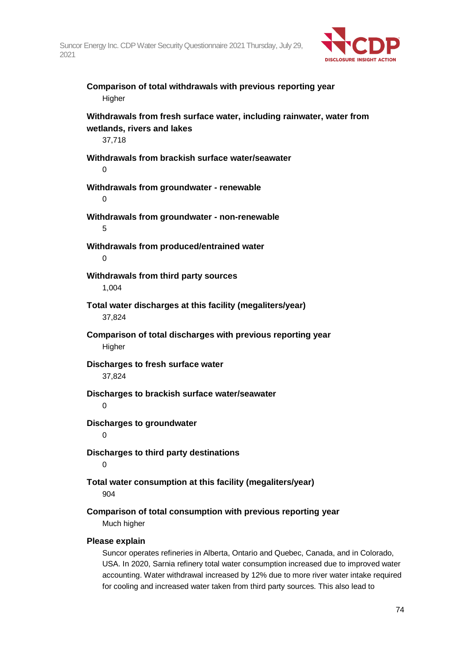

| Comparison of total withdrawals with previous reporting year<br>Higher                                        |
|---------------------------------------------------------------------------------------------------------------|
| Withdrawals from fresh surface water, including rainwater, water from<br>wetlands, rivers and lakes<br>37,718 |
| Withdrawals from brackish surface water/seawater<br>0                                                         |
| Withdrawals from groundwater - renewable<br>0                                                                 |
| Withdrawals from groundwater - non-renewable<br>5                                                             |
| Withdrawals from produced/entrained water<br>0                                                                |
| Withdrawals from third party sources<br>1,004                                                                 |
| Total water discharges at this facility (megaliters/year)<br>37,824                                           |
| Comparison of total discharges with previous reporting year<br>Higher                                         |
| Discharges to fresh surface water<br>37,824                                                                   |
| Discharges to brackish surface water/seawater<br>$\mathbf 0$                                                  |
| Discharges to groundwater<br>0                                                                                |
| Discharges to third party destinations<br>0                                                                   |
| Total water consumption at this facility (megaliters/year)<br>904                                             |
| Comparison of total consumption with previous reporting year<br>Much higher                                   |
| Please explain                                                                                                |

Suncor operates refineries in Alberta, Ontario and Quebec, Canada, and in Colorado, USA. In 2020, Sarnia refinery total water consumption increased due to improved water accounting. Water withdrawal increased by 12% due to more river water intake required for cooling and increased water taken from third party sources. This also lead to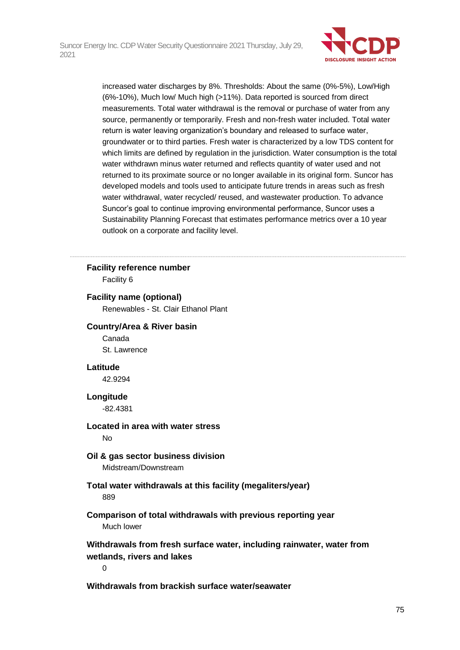

increased water discharges by 8%. Thresholds: About the same (0%-5%), Low/High (6%-10%), Much low/ Much high (>11%). Data reported is sourced from direct measurements. Total water withdrawal is the removal or purchase of water from any source, permanently or temporarily. Fresh and non-fresh water included. Total water return is water leaving organization's boundary and released to surface water, groundwater or to third parties. Fresh water is characterized by a low TDS content for which limits are defined by regulation in the jurisdiction. Water consumption is the total water withdrawn minus water returned and reflects quantity of water used and not returned to its proximate source or no longer available in its original form. Suncor has developed models and tools used to anticipate future trends in areas such as fresh water withdrawal, water recycled/ reused, and wastewater production. To advance Suncor's goal to continue improving environmental performance, Suncor uses a Sustainability Planning Forecast that estimates performance metrics over a 10 year outlook on a corporate and facility level.

#### **Facility reference number**

Facility 6

#### **Facility name (optional)**

Renewables - St. Clair Ethanol Plant

#### **Country/Area & River basin**

Canada St. Lawrence

#### **Latitude**

42.9294

#### **Longitude**

-82.4381

### **Located in area with water stress**

No

## **Oil & gas sector business division**

Midstream/Downstream

#### **Total water withdrawals at this facility (megaliters/year)** 889

**Comparison of total withdrawals with previous reporting year** Much lower

**Withdrawals from fresh surface water, including rainwater, water from wetlands, rivers and lakes**

 $\Omega$ 

#### **Withdrawals from brackish surface water/seawater**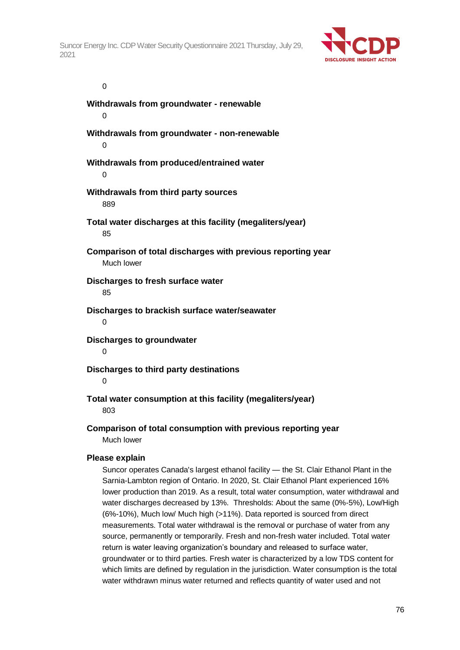

0

**Withdrawals from groundwater - renewable**  $\Omega$ **Withdrawals from groundwater - non-renewable**

 $\Omega$ 

**Withdrawals from produced/entrained water**

 $\Omega$ 

## **Withdrawals from third party sources**

889

**Total water discharges at this facility (megaliters/year)** 85

**Comparison of total discharges with previous reporting year** Much lower

**Discharges to fresh surface water** 85

**Discharges to brackish surface water/seawater**  $\Omega$ 

**Discharges to groundwater** 0

### **Discharges to third party destinations**

 $\Omega$ 

### **Total water consumption at this facility (megaliters/year)**

803

**Comparison of total consumption with previous reporting year**

Much lower

### **Please explain**

Suncor operates Canada's largest ethanol facility — the St. Clair Ethanol Plant in the Sarnia-Lambton region of Ontario. In 2020, St. Clair Ethanol Plant experienced 16% lower production than 2019. As a result, total water consumption, water withdrawal and water discharges decreased by 13%. Thresholds: About the same (0%-5%), Low/High (6%-10%), Much low/ Much high (>11%). Data reported is sourced from direct measurements. Total water withdrawal is the removal or purchase of water from any source, permanently or temporarily. Fresh and non-fresh water included. Total water return is water leaving organization's boundary and released to surface water, groundwater or to third parties. Fresh water is characterized by a low TDS content for which limits are defined by regulation in the jurisdiction. Water consumption is the total water withdrawn minus water returned and reflects quantity of water used and not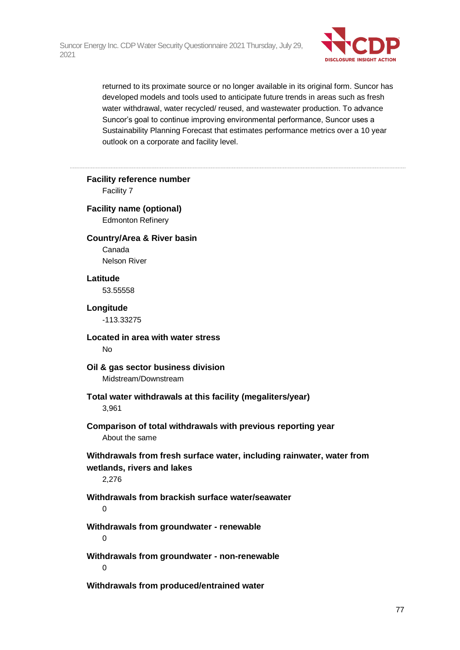

returned to its proximate source or no longer available in its original form. Suncor has developed models and tools used to anticipate future trends in areas such as fresh water withdrawal, water recycled/ reused, and wastewater production. To advance Suncor's goal to continue improving environmental performance, Suncor uses a Sustainability Planning Forecast that estimates performance metrics over a 10 year outlook on a corporate and facility level.

| <b>Facility reference number</b><br>Facility 7                                                               |
|--------------------------------------------------------------------------------------------------------------|
| <b>Facility name (optional)</b><br><b>Edmonton Refinery</b>                                                  |
| <b>Country/Area &amp; River basin</b><br>Canada<br><b>Nelson River</b>                                       |
| Latitude<br>53.55558                                                                                         |
| Longitude<br>$-113.33275$                                                                                    |
| Located in area with water stress<br><b>No</b>                                                               |
| Oil & gas sector business division<br>Midstream/Downstream                                                   |
| Total water withdrawals at this facility (megaliters/year)<br>3,961                                          |
| Comparison of total withdrawals with previous reporting year<br>About the same                               |
| Withdrawals from fresh surface water, including rainwater, water from<br>wetlands, rivers and lakes<br>2,276 |
| Withdrawals from brackish surface water/seawater<br>0                                                        |
| Withdrawals from groundwater - renewable<br>0                                                                |
| Withdrawals from groundwater - non-renewable<br>0                                                            |
| Withdrawals from produced/entrained water                                                                    |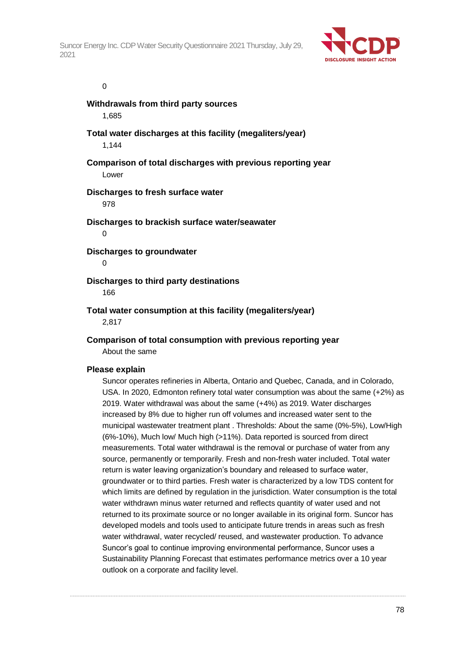

#### 0

**Withdrawals from third party sources** 1,685 **Total water discharges at this facility (megaliters/year)** 1,144

**Comparison of total discharges with previous reporting year** Lower

**Discharges to fresh surface water** 978

**Discharges to brackish surface water/seawater**

 $\Omega$ 

**Discharges to groundwater**

 $\Omega$ 

#### **Discharges to third party destinations**

166

#### **Total water consumption at this facility (megaliters/year)**

2,817

#### **Comparison of total consumption with previous reporting year**

About the same

#### **Please explain**

Suncor operates refineries in Alberta, Ontario and Quebec, Canada, and in Colorado, USA. In 2020, Edmonton refinery total water consumption was about the same (+2%) as 2019. Water withdrawal was about the same (+4%) as 2019. Water discharges increased by 8% due to higher run off volumes and increased water sent to the municipal wastewater treatment plant . Thresholds: About the same (0%-5%), Low/High (6%-10%), Much low/ Much high (>11%). Data reported is sourced from direct measurements. Total water withdrawal is the removal or purchase of water from any source, permanently or temporarily. Fresh and non-fresh water included. Total water return is water leaving organization's boundary and released to surface water, groundwater or to third parties. Fresh water is characterized by a low TDS content for which limits are defined by regulation in the jurisdiction. Water consumption is the total water withdrawn minus water returned and reflects quantity of water used and not returned to its proximate source or no longer available in its original form. Suncor has developed models and tools used to anticipate future trends in areas such as fresh water withdrawal, water recycled/ reused, and wastewater production. To advance Suncor's goal to continue improving environmental performance, Suncor uses a Sustainability Planning Forecast that estimates performance metrics over a 10 year outlook on a corporate and facility level.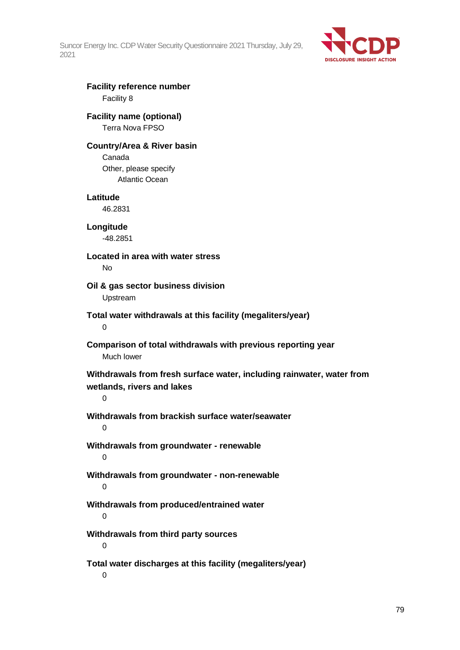

**Facility reference number** Facility 8

**Facility name (optional)** Terra Nova FPSO

### **Country/Area & River basin**

Canada Other, please specify Atlantic Ocean

#### **Latitude**

46.2831

**Longitude** -48.2851

**Located in area with water stress** No

**Oil & gas sector business division** Upstream

**Total water withdrawals at this facility (megaliters/year)**

 $\Omega$ 

**Comparison of total withdrawals with previous reporting year** Much lower

**Withdrawals from fresh surface water, including rainwater, water from wetlands, rivers and lakes**

0

**Withdrawals from brackish surface water/seawater**  $\Omega$ 

**Withdrawals from groundwater - renewable**  $\Omega$ 

**Withdrawals from groundwater - non-renewable**

 $\Omega$ 

**Withdrawals from produced/entrained water**

 $\Omega$ 

**Withdrawals from third party sources**

0

**Total water discharges at this facility (megaliters/year)**

 $\Omega$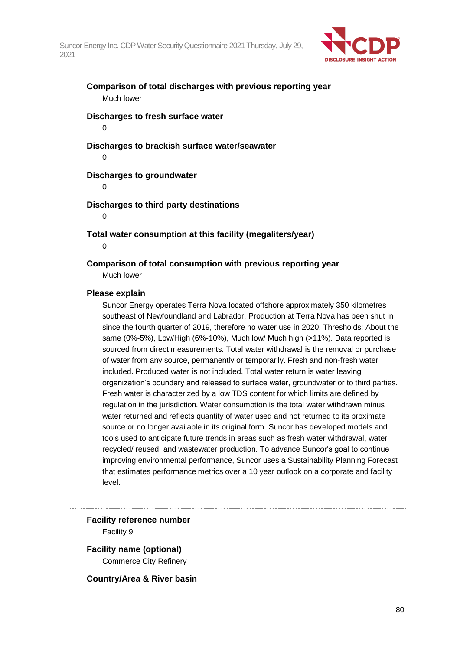

**Comparison of total discharges with previous reporting year** Much lower

**Discharges to fresh surface water** 0

**Discharges to brackish surface water/seawater**  $\Omega$ 

**Discharges to groundwater**

 $\Omega$ 

**Discharges to third party destinations**

0

**Total water consumption at this facility (megaliters/year)**

 $\Omega$ 

**Comparison of total consumption with previous reporting year** Much lower

#### **Please explain**

Suncor Energy operates Terra Nova located offshore approximately 350 kilometres southeast of Newfoundland and Labrador. Production at Terra Nova has been shut in since the fourth quarter of 2019, therefore no water use in 2020. Thresholds: About the same (0%-5%), Low/High (6%-10%), Much low/ Much high (>11%). Data reported is sourced from direct measurements. Total water withdrawal is the removal or purchase of water from any source, permanently or temporarily. Fresh and non-fresh water included. Produced water is not included. Total water return is water leaving organization's boundary and released to surface water, groundwater or to third parties. Fresh water is characterized by a low TDS content for which limits are defined by regulation in the jurisdiction. Water consumption is the total water withdrawn minus water returned and reflects quantity of water used and not returned to its proximate source or no longer available in its original form. Suncor has developed models and tools used to anticipate future trends in areas such as fresh water withdrawal, water recycled/ reused, and wastewater production. To advance Suncor's goal to continue improving environmental performance, Suncor uses a Sustainability Planning Forecast that estimates performance metrics over a 10 year outlook on a corporate and facility level.

**Facility reference number** Facility 9

**Facility name (optional)** Commerce City Refinery

**Country/Area & River basin**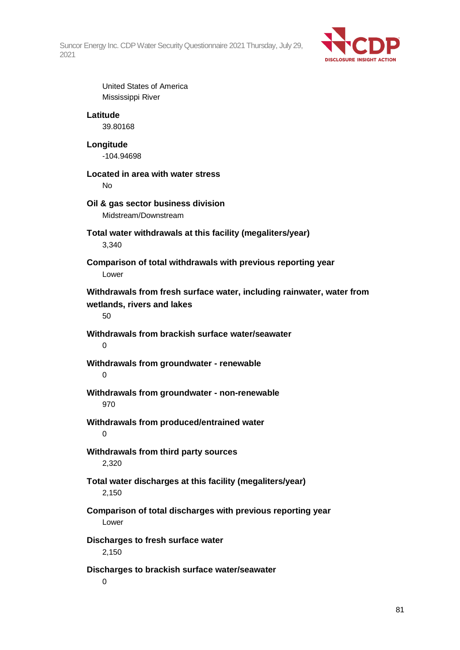

United States of America Mississippi River

#### **Latitude**

39.80168

#### **Longitude**

-104.94698

**Located in area with water stress** No

**Oil & gas sector business division** Midstream/Downstream

**Total water withdrawals at this facility (megaliters/year)** 3,340

**Comparison of total withdrawals with previous reporting year** Lower

**Withdrawals from fresh surface water, including rainwater, water from wetlands, rivers and lakes**

50

**Withdrawals from brackish surface water/seawater** 0

**Withdrawals from groundwater - renewable**

0

**Withdrawals from groundwater - non-renewable** 970

**Withdrawals from produced/entrained water**  $\Omega$ 

**Withdrawals from third party sources** 2,320

**Total water discharges at this facility (megaliters/year)**

2,150

**Comparison of total discharges with previous reporting year** Lower

**Discharges to fresh surface water**

2,150

**Discharges to brackish surface water/seawater**

 $\Omega$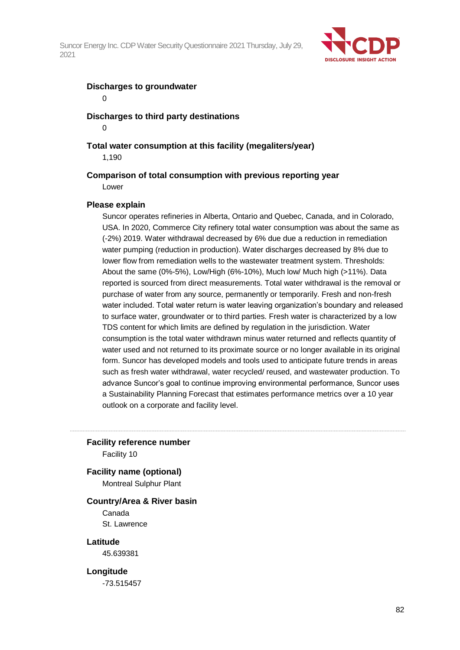

#### **Discharges to groundwater**

0

#### **Discharges to third party destinations**

 $\Omega$ 

#### **Total water consumption at this facility (megaliters/year)**

1,190

#### **Comparison of total consumption with previous reporting year**

Lower

#### **Please explain**

Suncor operates refineries in Alberta, Ontario and Quebec, Canada, and in Colorado, USA. In 2020, Commerce City refinery total water consumption was about the same as (-2%) 2019. Water withdrawal decreased by 6% due due a reduction in remediation water pumping (reduction in production). Water discharges decreased by 8% due to lower flow from remediation wells to the wastewater treatment system. Thresholds: About the same (0%-5%), Low/High (6%-10%), Much low/ Much high (>11%). Data reported is sourced from direct measurements. Total water withdrawal is the removal or purchase of water from any source, permanently or temporarily. Fresh and non-fresh water included. Total water return is water leaving organization's boundary and released to surface water, groundwater or to third parties. Fresh water is characterized by a low TDS content for which limits are defined by regulation in the jurisdiction. Water consumption is the total water withdrawn minus water returned and reflects quantity of water used and not returned to its proximate source or no longer available in its original form. Suncor has developed models and tools used to anticipate future trends in areas such as fresh water withdrawal, water recycled/ reused, and wastewater production. To advance Suncor's goal to continue improving environmental performance, Suncor uses a Sustainability Planning Forecast that estimates performance metrics over a 10 year outlook on a corporate and facility level.

#### **Facility reference number**

Facility 10

#### **Facility name (optional)**

Montreal Sulphur Plant

#### **Country/Area & River basin**

Canada St. Lawrence

**Latitude**

45.639381

#### **Longitude**

-73.515457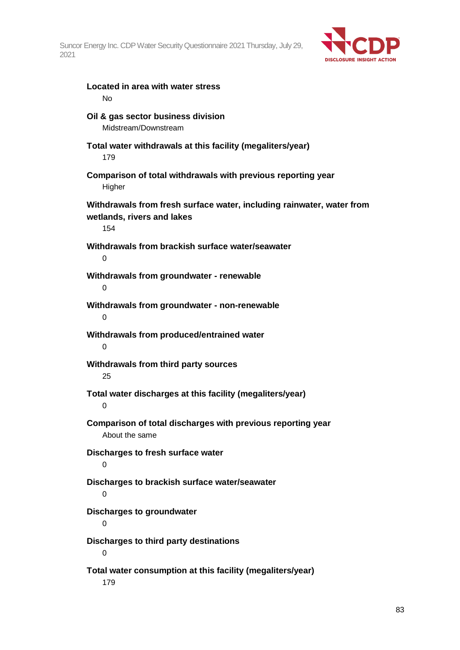

| Located in area with water stress<br>No                                                                    |
|------------------------------------------------------------------------------------------------------------|
| Oil & gas sector business division<br>Midstream/Downstream                                                 |
| Total water withdrawals at this facility (megaliters/year)<br>179                                          |
| Comparison of total withdrawals with previous reporting year<br>Higher                                     |
| Withdrawals from fresh surface water, including rainwater, water from<br>wetlands, rivers and lakes<br>154 |
| Withdrawals from brackish surface water/seawater<br>0                                                      |
| Withdrawals from groundwater - renewable<br>$\Omega$                                                       |
| Withdrawals from groundwater - non-renewable<br>0                                                          |
| Withdrawals from produced/entrained water<br>0                                                             |
| Withdrawals from third party sources<br>25                                                                 |
| Total water discharges at this facility (megaliters/year)<br>$\overline{0}$                                |
| Comparison of total discharges with previous reporting year<br>About the same                              |
| Discharges to fresh surface water<br>0                                                                     |
| Discharges to brackish surface water/seawater<br>0                                                         |
| <b>Discharges to groundwater</b><br>0                                                                      |
| Discharges to third party destinations<br>0                                                                |
| Total water consumption at this facility (megaliters/year)<br>179                                          |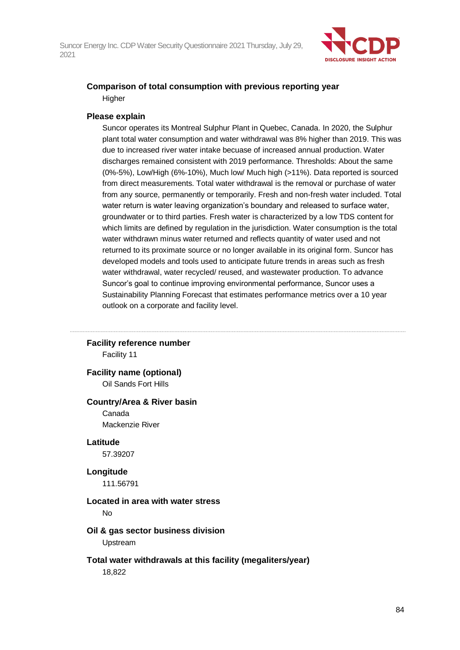

### **Comparison of total consumption with previous reporting year Higher**

#### **Please explain**

Suncor operates its Montreal Sulphur Plant in Quebec, Canada. In 2020, the Sulphur plant total water consumption and water withdrawal was 8% higher than 2019. This was due to increased river water intake becuase of increased annual production. Water discharges remained consistent with 2019 performance. Thresholds: About the same (0%-5%), Low/High (6%-10%), Much low/ Much high (>11%). Data reported is sourced from direct measurements. Total water withdrawal is the removal or purchase of water from any source, permanently or temporarily. Fresh and non-fresh water included. Total water return is water leaving organization's boundary and released to surface water, groundwater or to third parties. Fresh water is characterized by a low TDS content for which limits are defined by regulation in the jurisdiction. Water consumption is the total water withdrawn minus water returned and reflects quantity of water used and not returned to its proximate source or no longer available in its original form. Suncor has developed models and tools used to anticipate future trends in areas such as fresh water withdrawal, water recycled/ reused, and wastewater production. To advance Suncor's goal to continue improving environmental performance, Suncor uses a Sustainability Planning Forecast that estimates performance metrics over a 10 year outlook on a corporate and facility level.

#### **Facility reference number**

Facility 11

**Facility name (optional)** Oil Sands Fort Hills

#### **Country/Area & River basin**

Canada Mackenzie River

#### **Latitude**

57.39207

#### **Longitude**

111.56791

#### **Located in area with water stress**

No

## **Oil & gas sector business division**

Upstream

### **Total water withdrawals at this facility (megaliters/year)**

18,822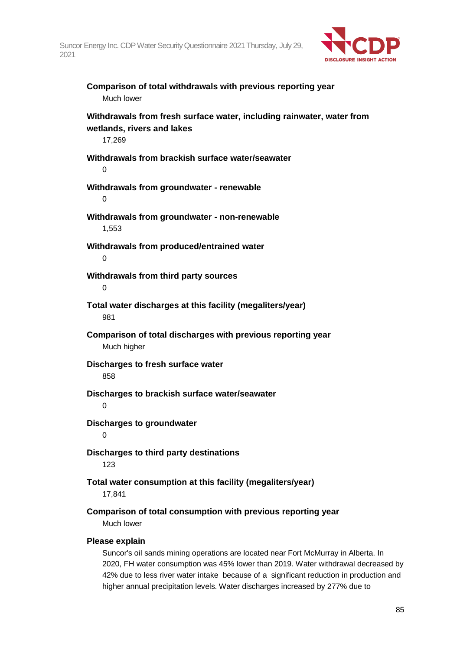

| Comparison of total withdrawals with previous reporting year<br>Much lower                                    |
|---------------------------------------------------------------------------------------------------------------|
| Withdrawals from fresh surface water, including rainwater, water from<br>wetlands, rivers and lakes<br>17,269 |
| Withdrawals from brackish surface water/seawater<br>0                                                         |
| Withdrawals from groundwater - renewable<br>0                                                                 |
| Withdrawals from groundwater - non-renewable<br>1,553                                                         |
| Withdrawals from produced/entrained water<br>0                                                                |
| Withdrawals from third party sources<br>$\Omega$                                                              |
| Total water discharges at this facility (megaliters/year)<br>981                                              |
| Comparison of total discharges with previous reporting year<br>Much higher                                    |
| Discharges to fresh surface water<br>858                                                                      |
| Discharges to brackish surface water/seawater<br>0                                                            |
| <b>Discharges to groundwater</b><br>0                                                                         |
| Discharges to third party destinations<br>123                                                                 |
| Total water consumption at this facility (megaliters/year)<br>17,841                                          |
| Comparison of total consumption with previous reporting year<br>Much lower                                    |
| Please explain                                                                                                |

Suncor's oil sands mining operations are located near Fort McMurray in Alberta. In 2020, FH water consumption was 45% lower than 2019. Water withdrawal decreased by 42% due to less river water intake because of a significant reduction in production and higher annual precipitation levels. Water discharges increased by 277% due to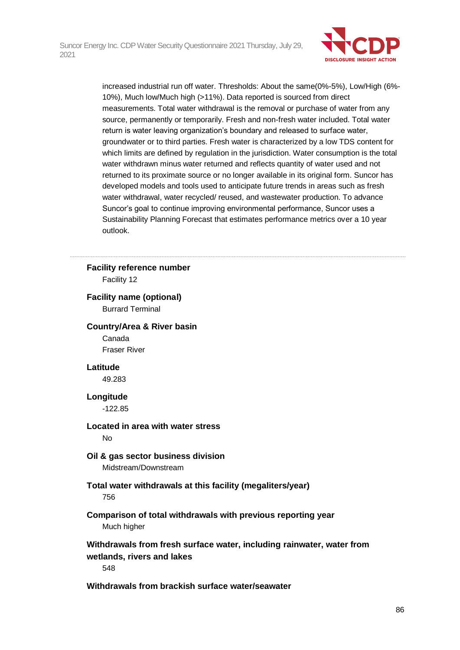

increased industrial run off water. Thresholds: About the same(0%-5%), Low/High (6%- 10%), Much low/Much high (>11%). Data reported is sourced from direct measurements. Total water withdrawal is the removal or purchase of water from any source, permanently or temporarily. Fresh and non-fresh water included. Total water return is water leaving organization's boundary and released to surface water, groundwater or to third parties. Fresh water is characterized by a low TDS content for which limits are defined by regulation in the jurisdiction. Water consumption is the total water withdrawn minus water returned and reflects quantity of water used and not returned to its proximate source or no longer available in its original form. Suncor has developed models and tools used to anticipate future trends in areas such as fresh water withdrawal, water recycled/ reused, and wastewater production. To advance Suncor's goal to continue improving environmental performance, Suncor uses a Sustainability Planning Forecast that estimates performance metrics over a 10 year outlook.

#### **Facility reference number**

Facility 12

#### **Facility name (optional)**

Burrard Terminal

#### **Country/Area & River basin**

Canada Fraser River

#### **Latitude**

49.283

#### **Longitude**

-122.85

### **Located in area with water stress**

No

#### **Oil & gas sector business division** Midstream/Downstream

#### **Total water withdrawals at this facility (megaliters/year)** 756

**Comparison of total withdrawals with previous reporting year** Much higher

### **Withdrawals from fresh surface water, including rainwater, water from wetlands, rivers and lakes**

548

#### **Withdrawals from brackish surface water/seawater**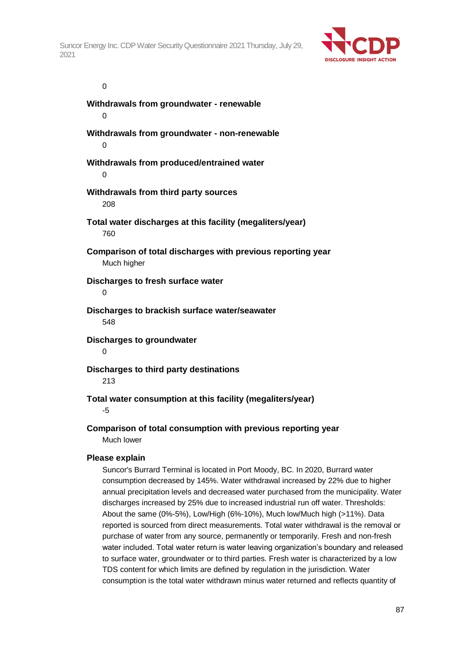

0

**Withdrawals from groundwater - renewable**  $\Omega$ **Withdrawals from groundwater - non-renewable**  $\Omega$ 

**Withdrawals from produced/entrained water**  $\Omega$ 

**Withdrawals from third party sources** 208

**Total water discharges at this facility (megaliters/year)** 760

**Comparison of total discharges with previous reporting year** Much higher

**Discharges to fresh surface water**  $\Omega$ 

**Discharges to brackish surface water/seawater** 548

**Discharges to groundwater** 0

**Discharges to third party destinations**

213

**Total water consumption at this facility (megaliters/year)**

-5

**Comparison of total consumption with previous reporting year**

Much lower

### **Please explain**

Suncor's Burrard Terminal is located in Port Moody, BC. In 2020, Burrard water consumption decreased by 145%. Water withdrawal increased by 22% due to higher annual precipitation levels and decreased water purchased from the municipality. Water discharges increased by 25% due to increased industrial run off water. Thresholds: About the same (0%-5%), Low/High (6%-10%), Much low/Much high (>11%). Data reported is sourced from direct measurements. Total water withdrawal is the removal or purchase of water from any source, permanently or temporarily. Fresh and non-fresh water included. Total water return is water leaving organization's boundary and released to surface water, groundwater or to third parties. Fresh water is characterized by a low TDS content for which limits are defined by regulation in the jurisdiction. Water consumption is the total water withdrawn minus water returned and reflects quantity of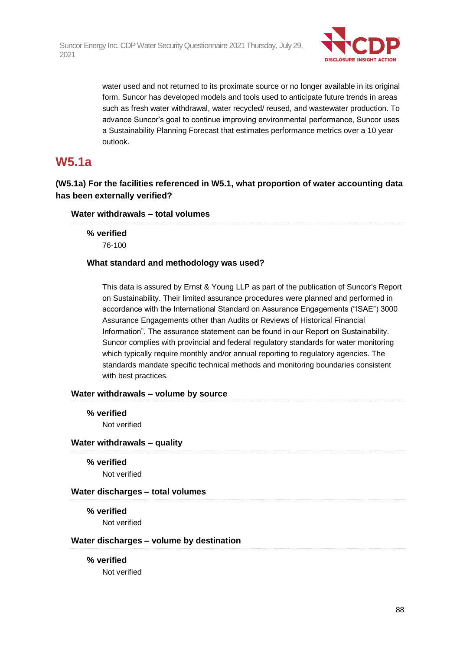

water used and not returned to its proximate source or no longer available in its original form. Suncor has developed models and tools used to anticipate future trends in areas such as fresh water withdrawal, water recycled/ reused, and wastewater production. To advance Suncor's goal to continue improving environmental performance, Suncor uses a Sustainability Planning Forecast that estimates performance metrics over a 10 year outlook.

## **W5.1a**

**(W5.1a) For the facilities referenced in W5.1, what proportion of water accounting data has been externally verified?**

**Water withdrawals – total volumes**

**% verified** 76-100

### **What standard and methodology was used?**

This data is assured by Ernst & Young LLP as part of the publication of Suncor's Report on Sustainability. Their limited assurance procedures were planned and performed in accordance with the International Standard on Assurance Engagements ("ISAE") 3000 Assurance Engagements other than Audits or Reviews of Historical Financial Information". The assurance statement can be found in our Report on Sustainability. Suncor complies with provincial and federal regulatory standards for water monitoring which typically require monthly and/or annual reporting to regulatory agencies. The standards mandate specific technical methods and monitoring boundaries consistent with best practices.

#### **Water withdrawals – volume by source**

**% verified** Not verified

#### **Water withdrawals – quality**

**% verified**

Not verified

#### **Water discharges – total volumes**

**% verified**

Not verified

#### **Water discharges – volume by destination**

**% verified** Not verified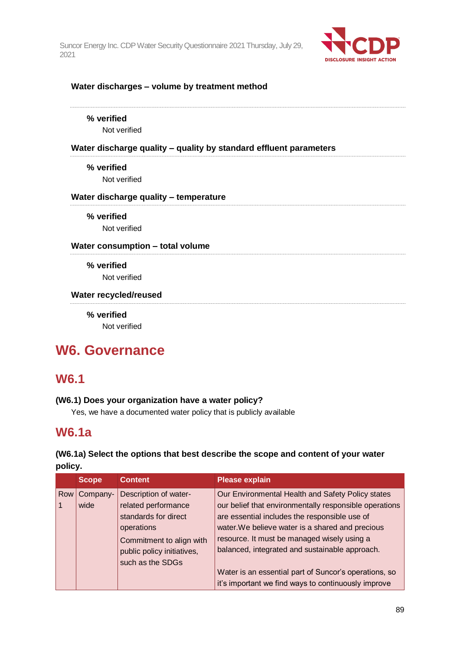

#### **Water discharges – volume by treatment method**

**% verified**

Not verified

**Water discharge quality – quality by standard effluent parameters**

**% verified** Not verified

#### **Water discharge quality – temperature**

**% verified**

Not verified

### **Water consumption – total volume**

**% verified** Not verified

#### **Water recycled/reused**

**% verified** Not verified

## **W6. Governance**

## **W6.1**

#### **(W6.1) Does your organization have a water policy?**

Yes, we have a documented water policy that is publicly available

## **W6.1a**

## **(W6.1a) Select the options that best describe the scope and content of your water**

**policy.**

|     | <b>Scope</b> | <b>Content</b>             | <b>Please explain</b>                                  |
|-----|--------------|----------------------------|--------------------------------------------------------|
| Row | Company-     | Description of water-      | Our Environmental Health and Safety Policy states      |
|     | wide         | related performance        | our belief that environmentally responsible operations |
|     |              | standards for direct       | are essential includes the responsible use of          |
|     |              | operations                 | water. We believe water is a shared and precious       |
|     |              | Commitment to align with   | resource. It must be managed wisely using a            |
|     |              | public policy initiatives, | balanced, integrated and sustainable approach.         |
|     |              | such as the SDGs           |                                                        |
|     |              |                            | Water is an essential part of Suncor's operations, so  |
|     |              |                            | it's important we find ways to continuously improve    |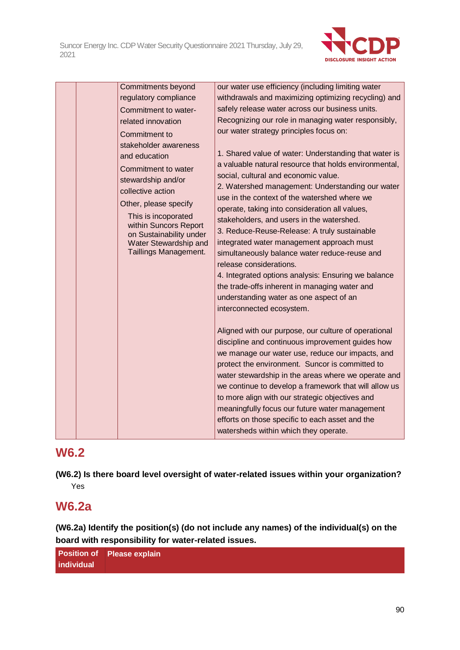

|  | <b>Commitments beyond</b>                                                                                                                                                                                                             | our water use efficiency (including limiting water                                                                                                                                                                                                                                                                                                                                                                                                                                                                                                                                                                                                                                                                 |
|--|---------------------------------------------------------------------------------------------------------------------------------------------------------------------------------------------------------------------------------------|--------------------------------------------------------------------------------------------------------------------------------------------------------------------------------------------------------------------------------------------------------------------------------------------------------------------------------------------------------------------------------------------------------------------------------------------------------------------------------------------------------------------------------------------------------------------------------------------------------------------------------------------------------------------------------------------------------------------|
|  | regulatory compliance                                                                                                                                                                                                                 | withdrawals and maximizing optimizing recycling) and                                                                                                                                                                                                                                                                                                                                                                                                                                                                                                                                                                                                                                                               |
|  | Commitment to water-                                                                                                                                                                                                                  | safely release water across our business units.                                                                                                                                                                                                                                                                                                                                                                                                                                                                                                                                                                                                                                                                    |
|  | related innovation                                                                                                                                                                                                                    | Recognizing our role in managing water responsibly,                                                                                                                                                                                                                                                                                                                                                                                                                                                                                                                                                                                                                                                                |
|  | Commitment to<br>stakeholder awareness                                                                                                                                                                                                | our water strategy principles focus on:                                                                                                                                                                                                                                                                                                                                                                                                                                                                                                                                                                                                                                                                            |
|  | and education<br>Commitment to water<br>stewardship and/or<br>collective action<br>Other, please specify<br>This is incoporated<br>within Suncors Report<br>on Sustainability under<br>Water Stewardship and<br>Taillings Management. | 1. Shared value of water: Understanding that water is<br>a valuable natural resource that holds environmental,<br>social, cultural and economic value.<br>2. Watershed management: Understanding our water<br>use in the context of the watershed where we<br>operate, taking into consideration all values,<br>stakeholders, and users in the watershed.<br>3. Reduce-Reuse-Release: A truly sustainable<br>integrated water management approach must<br>simultaneously balance water reduce-reuse and<br>release considerations.<br>4. Integrated options analysis: Ensuring we balance<br>the trade-offs inherent in managing water and<br>understanding water as one aspect of an<br>interconnected ecosystem. |
|  |                                                                                                                                                                                                                                       | Aligned with our purpose, our culture of operational<br>discipline and continuous improvement guides how<br>we manage our water use, reduce our impacts, and<br>protect the environment. Suncor is committed to<br>water stewardship in the areas where we operate and<br>we continue to develop a framework that will allow us<br>to more align with our strategic objectives and<br>meaningfully focus our future water management<br>efforts on those specific to each asset and the<br>watersheds within which they operate.                                                                                                                                                                                   |

## **W6.2**

**(W6.2) Is there board level oversight of water-related issues within your organization?** Yes

## **W6.2a**

**(W6.2a) Identify the position(s) (do not include any names) of the individual(s) on the board with responsibility for water-related issues.**

|            | <b>Position of Please explain</b> |
|------------|-----------------------------------|
| individual |                                   |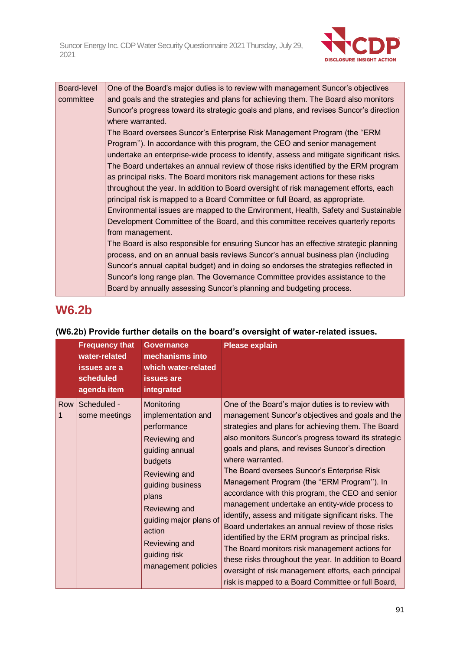

| Board-level | One of the Board's major duties is to review with management Suncor's objectives         |
|-------------|------------------------------------------------------------------------------------------|
| committee   | and goals and the strategies and plans for achieving them. The Board also monitors       |
|             | Suncor's progress toward its strategic goals and plans, and revises Suncor's direction   |
|             | where warranted.                                                                         |
|             | The Board oversees Suncor's Enterprise Risk Management Program (the "ERM                 |
|             | Program"). In accordance with this program, the CEO and senior management                |
|             | undertake an enterprise-wide process to identify, assess and mitigate significant risks. |
|             | The Board undertakes an annual review of those risks identified by the ERM program       |
|             | as principal risks. The Board monitors risk management actions for these risks           |
|             | throughout the year. In addition to Board oversight of risk management efforts, each     |
|             | principal risk is mapped to a Board Committee or full Board, as appropriate.             |
|             | Environmental issues are mapped to the Environment, Health, Safety and Sustainable       |
|             | Development Committee of the Board, and this committee receives quarterly reports        |
|             | from management.                                                                         |
|             | The Board is also responsible for ensuring Suncor has an effective strategic planning    |
|             | process, and on an annual basis reviews Suncor's annual business plan (including         |
|             | Suncor's annual capital budget) and in doing so endorses the strategies reflected in     |
|             | Suncor's long range plan. The Governance Committee provides assistance to the            |
|             | Board by annually assessing Suncor's planning and budgeting process.                     |

## **W6.2b**

|          | <b>Frequency that</b><br>water-related<br>issues are a<br>scheduled<br>agenda item | <b>Governance</b><br>mechanisms into<br>which water-related<br><b>issues</b> are<br>integrated                                                                                                                                                           | <b>Please explain</b>                                                                                                                                                                                                                                                                                                                                                                                                                                                                                                                                                                                                                                                                                                                                                                                                                                                                   |
|----------|------------------------------------------------------------------------------------|----------------------------------------------------------------------------------------------------------------------------------------------------------------------------------------------------------------------------------------------------------|-----------------------------------------------------------------------------------------------------------------------------------------------------------------------------------------------------------------------------------------------------------------------------------------------------------------------------------------------------------------------------------------------------------------------------------------------------------------------------------------------------------------------------------------------------------------------------------------------------------------------------------------------------------------------------------------------------------------------------------------------------------------------------------------------------------------------------------------------------------------------------------------|
| Row<br>1 | Scheduled -<br>some meetings                                                       | Monitoring<br>implementation and<br>performance<br>Reviewing and<br>guiding annual<br>budgets<br>Reviewing and<br>guiding business<br>plans<br>Reviewing and<br>guiding major plans of<br>action<br>Reviewing and<br>guiding risk<br>management policies | One of the Board's major duties is to review with<br>management Suncor's objectives and goals and the<br>strategies and plans for achieving them. The Board<br>also monitors Suncor's progress toward its strategic<br>goals and plans, and revises Suncor's direction<br>where warranted.<br>The Board oversees Suncor's Enterprise Risk<br>Management Program (the "ERM Program"). In<br>accordance with this program, the CEO and senior<br>management undertake an entity-wide process to<br>identify, assess and mitigate significant risks. The<br>Board undertakes an annual review of those risks<br>identified by the ERM program as principal risks.<br>The Board monitors risk management actions for<br>these risks throughout the year. In addition to Board<br>oversight of risk management efforts, each principal<br>risk is mapped to a Board Committee or full Board, |

### **(W6.2b) Provide further details on the board's oversight of water-related issues.**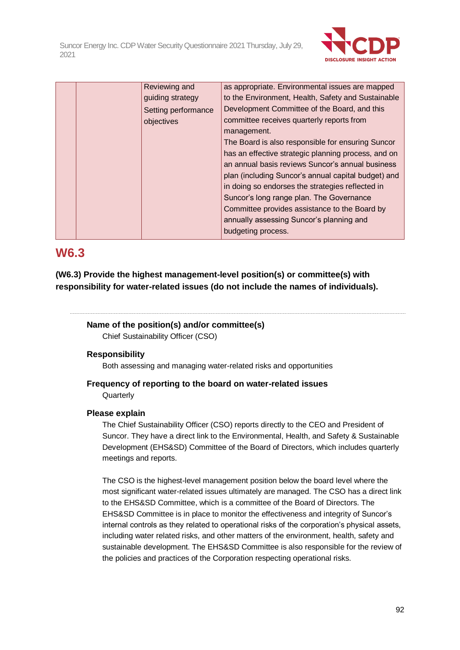

|  | Reviewing and       | as appropriate. Environmental issues are mapped     |
|--|---------------------|-----------------------------------------------------|
|  | guiding strategy    | to the Environment, Health, Safety and Sustainable  |
|  | Setting performance | Development Committee of the Board, and this        |
|  | objectives          | committee receives quarterly reports from           |
|  |                     | management.                                         |
|  |                     | The Board is also responsible for ensuring Suncor   |
|  |                     | has an effective strategic planning process, and on |
|  |                     | an annual basis reviews Suncor's annual business    |
|  |                     | plan (including Suncor's annual capital budget) and |
|  |                     | in doing so endorses the strategies reflected in    |
|  |                     | Suncor's long range plan. The Governance            |
|  |                     | Committee provides assistance to the Board by       |
|  |                     | annually assessing Suncor's planning and            |
|  |                     | budgeting process.                                  |

## **W6.3**

**(W6.3) Provide the highest management-level position(s) or committee(s) with responsibility for water-related issues (do not include the names of individuals).**

## **Name of the position(s) and/or committee(s)**

Chief Sustainability Officer (CSO)

### **Responsibility**

Both assessing and managing water-related risks and opportunities

### **Frequency of reporting to the board on water-related issues Quarterly**

#### **Please explain**

The Chief Sustainability Officer (CSO) reports directly to the CEO and President of Suncor. They have a direct link to the Environmental, Health, and Safety & Sustainable Development (EHS&SD) Committee of the Board of Directors, which includes quarterly meetings and reports.

The CSO is the highest-level management position below the board level where the most significant water-related issues ultimately are managed. The CSO has a direct link to the EHS&SD Committee, which is a committee of the Board of Directors. The EHS&SD Committee is in place to monitor the effectiveness and integrity of Suncor's internal controls as they related to operational risks of the corporation's physical assets, including water related risks, and other matters of the environment, health, safety and sustainable development. The EHS&SD Committee is also responsible for the review of the policies and practices of the Corporation respecting operational risks.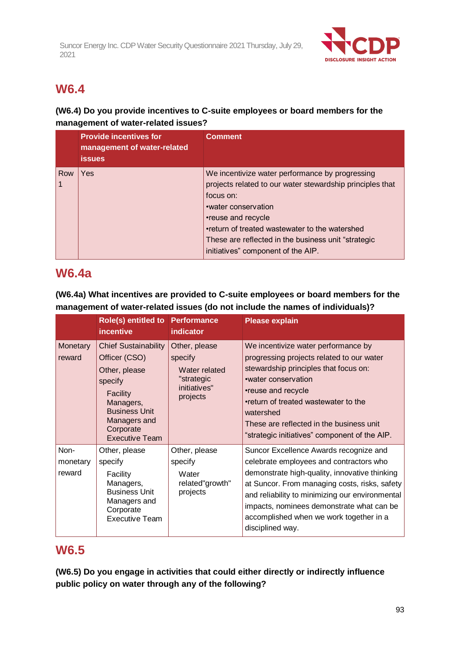

## **W6.4**

### **(W6.4) Do you provide incentives to C-suite employees or board members for the management of water-related issues?**

|     | <b>Provide incentives for</b><br>management of water-related<br><b>issues</b> | <b>Comment</b>                                                                                                                                                                                                                                                                                                          |
|-----|-------------------------------------------------------------------------------|-------------------------------------------------------------------------------------------------------------------------------------------------------------------------------------------------------------------------------------------------------------------------------------------------------------------------|
| Row | Yes                                                                           | We incentivize water performance by progressing<br>projects related to our water stewardship principles that<br>focus on:<br>• water conservation<br>•reuse and recycle<br>•return of treated wastewater to the watershed<br>These are reflected in the business unit "strategic"<br>initiatives" component of the AIP. |

## **W6.4a**

|                            | Role(s) entitled to<br>incentive                                                                                                                                                | <b>Performance</b><br>indicator                                                     | <b>Please explain</b>                                                                                                                                                                                                                                                                                                                              |
|----------------------------|---------------------------------------------------------------------------------------------------------------------------------------------------------------------------------|-------------------------------------------------------------------------------------|----------------------------------------------------------------------------------------------------------------------------------------------------------------------------------------------------------------------------------------------------------------------------------------------------------------------------------------------------|
| Monetary<br>reward         | <b>Chief Sustainability</b><br>Officer (CSO)<br>Other, please<br>specify<br>Facility<br>Managers,<br><b>Business Unit</b><br>Managers and<br>Corporate<br><b>Executive Team</b> | Other, please<br>specify<br>Water related<br>"strategic<br>initiatives"<br>projects | We incentivize water performance by<br>progressing projects related to our water<br>stewardship principles that focus on:<br>•water conservation<br>•reuse and recycle<br>•return of treated wastewater to the<br>watershed<br>These are reflected in the business unit<br>"strategic initiatives" component of the AIP.                           |
| Non-<br>monetary<br>reward | Other, please<br>specify<br>Facility<br>Managers,<br><b>Business Unit</b><br>Managers and<br>Corporate<br><b>Executive Team</b>                                                 | Other, please<br>specify<br>Water<br>related"growth"<br>projects                    | Suncor Excellence Awards recognize and<br>celebrate employees and contractors who<br>demonstrate high-quality, innovative thinking<br>at Suncor. From managing costs, risks, safety<br>and reliability to minimizing our environmental<br>impacts, nominees demonstrate what can be<br>accomplished when we work together in a<br>disciplined way. |

**(W6.4a) What incentives are provided to C-suite employees or board members for the management of water-related issues (do not include the names of individuals)?**

## **W6.5**

**(W6.5) Do you engage in activities that could either directly or indirectly influence public policy on water through any of the following?**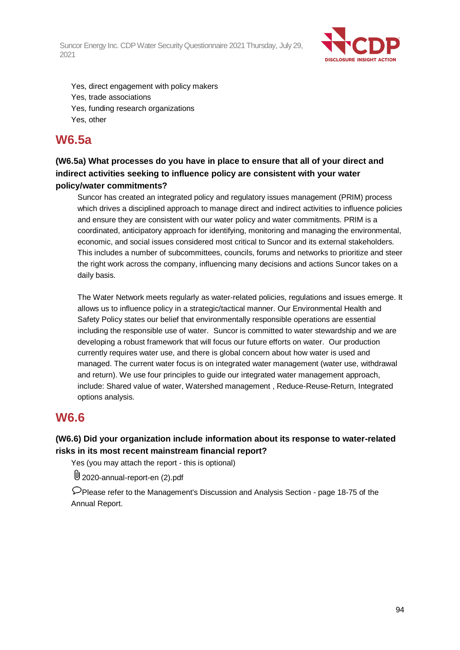

- Yes, direct engagement with policy makers
- Yes, trade associations
- Yes, funding research organizations
- Yes, other

## **W6.5a**

### **(W6.5a) What processes do you have in place to ensure that all of your direct and indirect activities seeking to influence policy are consistent with your water policy/water commitments?**

Suncor has created an integrated policy and regulatory issues management (PRIM) process which drives a disciplined approach to manage direct and indirect activities to influence policies and ensure they are consistent with our water policy and water commitments. PRIM is a coordinated, anticipatory approach for identifying, monitoring and managing the environmental, economic, and social issues considered most critical to Suncor and its external stakeholders. This includes a number of subcommittees, councils, forums and networks to prioritize and steer the right work across the company, influencing many decisions and actions Suncor takes on a daily basis.

The Water Network meets regularly as water-related policies, regulations and issues emerge. It allows us to influence policy in a strategic/tactical manner. Our Environmental Health and Safety Policy states our belief that environmentally responsible operations are essential including the responsible use of water. Suncor is committed to water stewardship and we are developing a robust framework that will focus our future efforts on water. Our production currently requires water use, and there is global concern about how water is used and managed. The current water focus is on integrated water management (water use, withdrawal and return). We use four principles to guide our integrated water management approach, include: Shared value of water, Watershed management , Reduce-Reuse-Return, Integrated options analysis.

## **W6.6**

### **(W6.6) Did your organization include information about its response to water-related risks in its most recent mainstream financial report?**

Yes (you may attach the report - this is optional)

2020-annual-report-en (2).pdf

Please refer to the Management's Discussion and Analysis Section - page 18-75 of the Annual Report.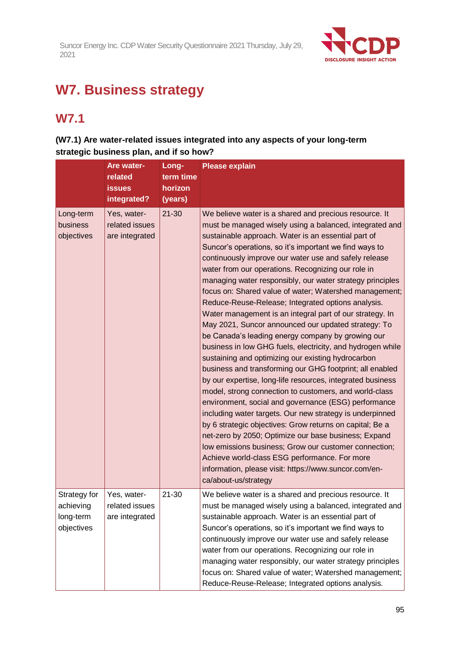

# **W7. Business strategy**

## **W7.1**

### **(W7.1) Are water-related issues integrated into any aspects of your long-term strategic business plan, and if so how?**

|                                                      | Are water-<br>related<br><b>issues</b><br>integrated? | Long-<br>term time<br>horizon<br>(years) | <b>Please explain</b>                                                                                                                                                                                                                                                                                                                                                                                                                                                                                                                                                                                                                                                                                                                                                                                                                                                                                                                                                                                                                                                                                                                                                                                                                                                                                                                                                                                                                             |
|------------------------------------------------------|-------------------------------------------------------|------------------------------------------|---------------------------------------------------------------------------------------------------------------------------------------------------------------------------------------------------------------------------------------------------------------------------------------------------------------------------------------------------------------------------------------------------------------------------------------------------------------------------------------------------------------------------------------------------------------------------------------------------------------------------------------------------------------------------------------------------------------------------------------------------------------------------------------------------------------------------------------------------------------------------------------------------------------------------------------------------------------------------------------------------------------------------------------------------------------------------------------------------------------------------------------------------------------------------------------------------------------------------------------------------------------------------------------------------------------------------------------------------------------------------------------------------------------------------------------------------|
| Long-term<br>business<br>objectives                  | Yes, water-<br>related issues<br>are integrated       | $21 - 30$                                | We believe water is a shared and precious resource. It<br>must be managed wisely using a balanced, integrated and<br>sustainable approach. Water is an essential part of<br>Suncor's operations, so it's important we find ways to<br>continuously improve our water use and safely release<br>water from our operations. Recognizing our role in<br>managing water responsibly, our water strategy principles<br>focus on: Shared value of water; Watershed management;<br>Reduce-Reuse-Release; Integrated options analysis.<br>Water management is an integral part of our strategy. In<br>May 2021, Suncor announced our updated strategy: To<br>be Canada's leading energy company by growing our<br>business in low GHG fuels, electricity, and hydrogen while<br>sustaining and optimizing our existing hydrocarbon<br>business and transforming our GHG footprint; all enabled<br>by our expertise, long-life resources, integrated business<br>model, strong connection to customers, and world-class<br>environment, social and governance (ESG) performance<br>including water targets. Our new strategy is underpinned<br>by 6 strategic objectives: Grow returns on capital; Be a<br>net-zero by 2050; Optimize our base business; Expand<br>low emissions business; Grow our customer connection;<br>Achieve world-class ESG performance. For more<br>information, please visit: https://www.suncor.com/en-<br>ca/about-us/strategy |
| Strategy for<br>achieving<br>long-term<br>objectives | Yes, water-<br>related issues<br>are integrated       | $21 - 30$                                | We believe water is a shared and precious resource. It<br>must be managed wisely using a balanced, integrated and<br>sustainable approach. Water is an essential part of<br>Suncor's operations, so it's important we find ways to<br>continuously improve our water use and safely release<br>water from our operations. Recognizing our role in<br>managing water responsibly, our water strategy principles<br>focus on: Shared value of water; Watershed management;<br>Reduce-Reuse-Release; Integrated options analysis.                                                                                                                                                                                                                                                                                                                                                                                                                                                                                                                                                                                                                                                                                                                                                                                                                                                                                                                    |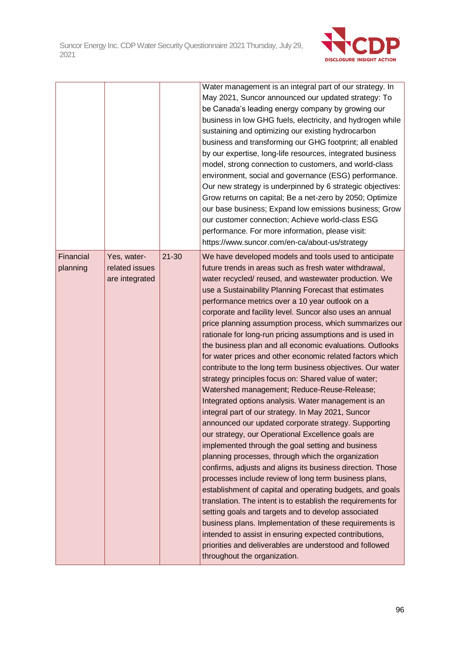

|                       |                                                 |           | Water management is an integral part of our strategy. In<br>May 2021, Suncor announced our updated strategy: To<br>be Canada's leading energy company by growing our<br>business in low GHG fuels, electricity, and hydrogen while<br>sustaining and optimizing our existing hydrocarbon<br>business and transforming our GHG footprint; all enabled<br>by our expertise, long-life resources, integrated business<br>model, strong connection to customers, and world-class<br>environment, social and governance (ESG) performance.<br>Our new strategy is underpinned by 6 strategic objectives:<br>Grow returns on capital; Be a net-zero by 2050; Optimize<br>our base business; Expand low emissions business; Grow<br>our customer connection; Achieve world-class ESG<br>performance. For more information, please visit:<br>https://www.suncor.com/en-ca/about-us/strategy                                                                                                                                                                                                                                                                                                                                                                                                                                                                                                                                                                                                                                                                                                                                                     |
|-----------------------|-------------------------------------------------|-----------|-----------------------------------------------------------------------------------------------------------------------------------------------------------------------------------------------------------------------------------------------------------------------------------------------------------------------------------------------------------------------------------------------------------------------------------------------------------------------------------------------------------------------------------------------------------------------------------------------------------------------------------------------------------------------------------------------------------------------------------------------------------------------------------------------------------------------------------------------------------------------------------------------------------------------------------------------------------------------------------------------------------------------------------------------------------------------------------------------------------------------------------------------------------------------------------------------------------------------------------------------------------------------------------------------------------------------------------------------------------------------------------------------------------------------------------------------------------------------------------------------------------------------------------------------------------------------------------------------------------------------------------------|
| Financial<br>planning | Yes, water-<br>related issues<br>are integrated | $21 - 30$ | We have developed models and tools used to anticipate<br>future trends in areas such as fresh water withdrawal,<br>water recycled/ reused, and wastewater production. We<br>use a Sustainability Planning Forecast that estimates<br>performance metrics over a 10 year outlook on a<br>corporate and facility level. Suncor also uses an annual<br>price planning assumption process, which summarizes our<br>rationale for long-run pricing assumptions and is used in<br>the business plan and all economic evaluations. Outlooks<br>for water prices and other economic related factors which<br>contribute to the long term business objectives. Our water<br>strategy principles focus on: Shared value of water;<br>Watershed management; Reduce-Reuse-Release;<br>Integrated options analysis. Water management is an<br>integral part of our strategy. In May 2021, Suncor<br>announced our updated corporate strategy. Supporting<br>our strategy, our Operational Excellence goals are<br>implemented through the goal setting and business<br>planning processes, through which the organization<br>confirms, adjusts and aligns its business direction. Those<br>processes include review of long term business plans,<br>establishment of capital and operating budgets, and goals<br>translation. The intent is to establish the requirements for<br>setting goals and targets and to develop associated<br>business plans. Implementation of these requirements is<br>intended to assist in ensuring expected contributions,<br>priorities and deliverables are understood and followed<br>throughout the organization. |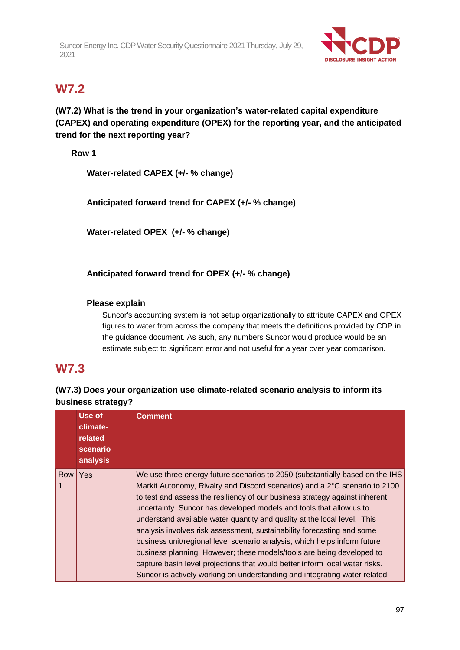

## **W7.2**

## **(W7.2) What is the trend in your organization's water-related capital expenditure (CAPEX) and operating expenditure (OPEX) for the reporting year, and the anticipated trend for the next reporting year?**

**Row 1**

**Water-related CAPEX (+/- % change)**

**Anticipated forward trend for CAPEX (+/- % change)**

**Water-related OPEX (+/- % change)**

**Anticipated forward trend for OPEX (+/- % change)**

### **Please explain**

Suncor's accounting system is not setup organizationally to attribute CAPEX and OPEX figures to water from across the company that meets the definitions provided by CDP in the guidance document. As such, any numbers Suncor would produce would be an estimate subject to significant error and not useful for a year over year comparison.

## **W7.3**

### **(W7.3) Does your organization use climate-related scenario analysis to inform its business strategy?**

|     | Use of<br>climate-<br>related<br>scenario<br>analysis | <b>Comment</b>                                                                                                                                                                                                                                                                                                                                                                                                                                                                                                                                                                                                                                                                                                                                                                           |
|-----|-------------------------------------------------------|------------------------------------------------------------------------------------------------------------------------------------------------------------------------------------------------------------------------------------------------------------------------------------------------------------------------------------------------------------------------------------------------------------------------------------------------------------------------------------------------------------------------------------------------------------------------------------------------------------------------------------------------------------------------------------------------------------------------------------------------------------------------------------------|
| Row | <b>Yes</b>                                            | We use three energy future scenarios to 2050 (substantially based on the IHS<br>Markit Autonomy, Rivalry and Discord scenarios) and a 2°C scenario to 2100<br>to test and assess the resiliency of our business strategy against inherent<br>uncertainty. Suncor has developed models and tools that allow us to<br>understand available water quantity and quality at the local level. This<br>analysis involves risk assessment, sustainability forecasting and some<br>business unit/regional level scenario analysis, which helps inform future<br>business planning. However; these models/tools are being developed to<br>capture basin level projections that would better inform local water risks.<br>Suncor is actively working on understanding and integrating water related |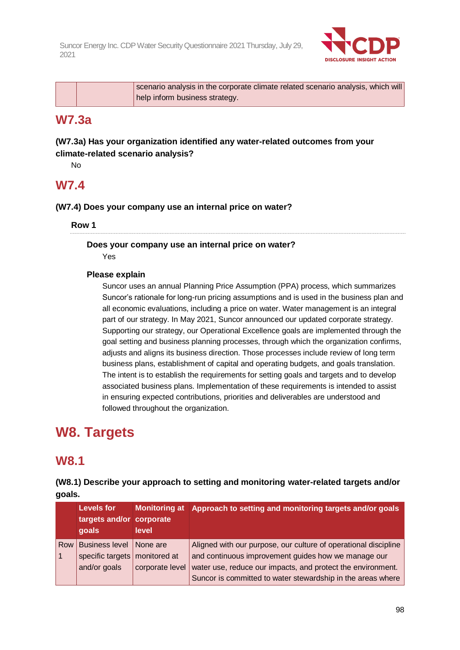

|  | scenario analysis in the corporate climate related scenario analysis, which will |
|--|----------------------------------------------------------------------------------|
|  | help inform business strategy.                                                   |

## **W7.3a**

### **(W7.3a) Has your organization identified any water-related outcomes from your climate-related scenario analysis?**

No

## **W7.4**

**(W7.4) Does your company use an internal price on water?**

**Row 1**

**Does your company use an internal price on water?**

Yes

### **Please explain**

Suncor uses an annual Planning Price Assumption (PPA) process, which summarizes Suncor's rationale for long-run pricing assumptions and is used in the business plan and all economic evaluations, including a price on water. Water management is an integral part of our strategy. In May 2021, Suncor announced our updated corporate strategy. Supporting our strategy, our Operational Excellence goals are implemented through the goal setting and business planning processes, through which the organization confirms, adjusts and aligns its business direction. Those processes include review of long term business plans, establishment of capital and operating budgets, and goals translation. The intent is to establish the requirements for setting goals and targets and to develop associated business plans. Implementation of these requirements is intended to assist in ensuring expected contributions, priorities and deliverables are understood and followed throughout the organization.

# **W8. Targets**

## **W8.1**

**(W8.1) Describe your approach to setting and monitoring water-related targets and/or goals.**

|     | <b>Levels for</b><br>targets and/or corporate<br>goals | <b>Monitoring at</b><br>level | Approach to setting and monitoring targets and/or goals         |
|-----|--------------------------------------------------------|-------------------------------|-----------------------------------------------------------------|
| Row | <b>Business level</b>                                  | None are                      | Aligned with our purpose, our culture of operational discipline |
| ∣ 1 | specific targets   monitored at                        |                               | and continuous improvement guides how we manage our             |
|     | and/or goals                                           | corporate level               | water use, reduce our impacts, and protect the environment.     |
|     |                                                        |                               | Suncor is committed to water stewardship in the areas where     |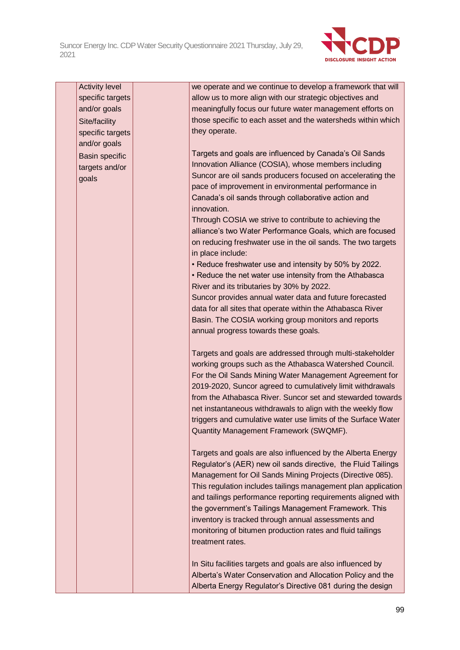

| <b>Activity level</b> | we operate and we continue to develop a framework that will   |
|-----------------------|---------------------------------------------------------------|
| specific targets      | allow us to more align with our strategic objectives and      |
| and/or goals          | meaningfully focus our future water management efforts on     |
| Site/facility         | those specific to each asset and the watersheds within which  |
| specific targets      | they operate.                                                 |
| and/or goals          |                                                               |
|                       | Targets and goals are influenced by Canada's Oil Sands        |
| Basin specific        | Innovation Alliance (COSIA), whose members including          |
| targets and/or        | Suncor are oil sands producers focused on accelerating the    |
| goals                 |                                                               |
|                       | pace of improvement in environmental performance in           |
|                       | Canada's oil sands through collaborative action and           |
|                       | innovation.                                                   |
|                       | Through COSIA we strive to contribute to achieving the        |
|                       | alliance's two Water Performance Goals, which are focused     |
|                       | on reducing freshwater use in the oil sands. The two targets  |
|                       | in place include:                                             |
|                       | • Reduce freshwater use and intensity by 50% by 2022.         |
|                       | • Reduce the net water use intensity from the Athabasca       |
|                       | River and its tributaries by 30% by 2022.                     |
|                       | Suncor provides annual water data and future forecasted       |
|                       | data for all sites that operate within the Athabasca River    |
|                       | Basin. The COSIA working group monitors and reports           |
|                       | annual progress towards these goals.                          |
|                       |                                                               |
|                       | Targets and goals are addressed through multi-stakeholder     |
|                       | working groups such as the Athabasca Watershed Council.       |
|                       | For the Oil Sands Mining Water Management Agreement for       |
|                       | 2019-2020, Suncor agreed to cumulatively limit withdrawals    |
|                       | from the Athabasca River. Suncor set and stewarded towards    |
|                       | net instantaneous withdrawals to align with the weekly flow   |
|                       | triggers and cumulative water use limits of the Surface Water |
|                       | Quantity Management Framework (SWQMF).                        |
|                       |                                                               |
|                       |                                                               |
|                       | Targets and goals are also influenced by the Alberta Energy   |
|                       | Regulator's (AER) new oil sands directive, the Fluid Tailings |
|                       | Management for Oil Sands Mining Projects (Directive 085).     |
|                       | This regulation includes tailings management plan application |
|                       | and tailings performance reporting requirements aligned with  |
|                       | the government's Tailings Management Framework. This          |
|                       | inventory is tracked through annual assessments and           |
|                       | monitoring of bitumen production rates and fluid tailings     |
|                       | treatment rates.                                              |
|                       |                                                               |
|                       | In Situ facilities targets and goals are also influenced by   |
|                       | Alberta's Water Conservation and Allocation Policy and the    |
|                       | Alberta Energy Regulator's Directive 081 during the design    |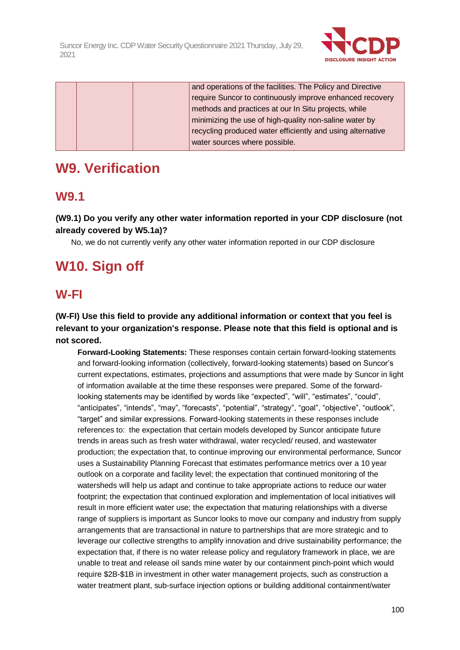

|  | and operations of the facilities. The Policy and Directive |
|--|------------------------------------------------------------|
|  | require Suncor to continuously improve enhanced recovery   |
|  | methods and practices at our In Situ projects, while       |
|  | minimizing the use of high-quality non-saline water by     |
|  | recycling produced water efficiently and using alternative |
|  | water sources where possible.                              |

# **W9. Verification**

## **W9.1**

**(W9.1) Do you verify any other water information reported in your CDP disclosure (not already covered by W5.1a)?**

No, we do not currently verify any other water information reported in our CDP disclosure

# **W10. Sign off**

## **W-FI**

### **(W-FI) Use this field to provide any additional information or context that you feel is relevant to your organization's response. Please note that this field is optional and is not scored.**

**Forward-Looking Statements:** These responses contain certain forward-looking statements and forward-looking information (collectively, forward-looking statements) based on Suncor's current expectations, estimates, projections and assumptions that were made by Suncor in light of information available at the time these responses were prepared. Some of the forwardlooking statements may be identified by words like "expected", "will", "estimates", "could", "anticipates", "intends", "may", "forecasts", "potential", "strategy", "goal", "objective", "outlook", "target" and similar expressions. Forward-looking statements in these responses include references to: the expectation that certain models developed by Suncor anticipate future trends in areas such as fresh water withdrawal, water recycled/ reused, and wastewater production; the expectation that, to continue improving our environmental performance, Suncor uses a Sustainability Planning Forecast that estimates performance metrics over a 10 year outlook on a corporate and facility level; the expectation that continued monitoring of the watersheds will help us adapt and continue to take appropriate actions to reduce our water footprint; the expectation that continued exploration and implementation of local initiatives will result in more efficient water use; the expectation that maturing relationships with a diverse range of suppliers is important as Suncor looks to move our company and industry from supply arrangements that are transactional in nature to partnerships that are more strategic and to leverage our collective strengths to amplify innovation and drive sustainability performance; the expectation that, if there is no water release policy and regulatory framework in place, we are unable to treat and release oil sands mine water by our containment pinch-point which would require \$2B-\$1B in investment in other water management projects, such as construction a water treatment plant, sub-surface injection options or building additional containment/water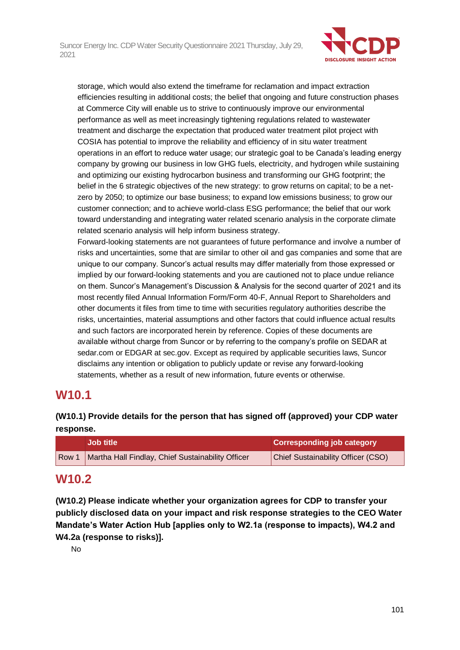

storage, which would also extend the timeframe for reclamation and impact extraction efficiencies resulting in additional costs; the belief that ongoing and future construction phases at Commerce City will enable us to strive to continuously improve our environmental performance as well as meet increasingly tightening regulations related to wastewater treatment and discharge the expectation that produced water treatment pilot project with COSIA has potential to improve the reliability and efficiency of in situ water treatment operations in an effort to reduce water usage; our strategic goal to be Canada's leading energy company by growing our business in low GHG fuels, electricity, and hydrogen while sustaining and optimizing our existing hydrocarbon business and transforming our GHG footprint; the belief in the 6 strategic objectives of the new strategy: to grow returns on capital; to be a netzero by 2050; to optimize our base business; to expand low emissions business; to grow our customer connection; and to achieve world-class ESG performance; the belief that our work toward understanding and integrating water related scenario analysis in the corporate climate related scenario analysis will help inform business strategy.

Forward-looking statements are not guarantees of future performance and involve a number of risks and uncertainties, some that are similar to other oil and gas companies and some that are unique to our company. Suncor's actual results may differ materially from those expressed or implied by our forward-looking statements and you are cautioned not to place undue reliance on them. Suncor's Management's Discussion & Analysis for the second quarter of 2021 and its most recently filed Annual Information Form/Form 40-F, Annual Report to Shareholders and other documents it files from time to time with securities regulatory authorities describe the risks, uncertainties, material assumptions and other factors that could influence actual results and such factors are incorporated herein by reference. Copies of these documents are available without charge from Suncor or by referring to the company's profile on SEDAR at sedar.com or EDGAR at sec.gov. Except as required by applicable securities laws, Suncor disclaims any intention or obligation to publicly update or revise any forward-looking statements, whether as a result of new information, future events or otherwise.

## **W10.1**

## **(W10.1) Provide details for the person that has signed off (approved) your CDP water response.**

|       | <b>Job title</b>                                  | <b>Corresponding job category</b>  |
|-------|---------------------------------------------------|------------------------------------|
| Row 1 | Martha Hall Findlay, Chief Sustainability Officer | Chief Sustainability Officer (CSO) |

## **W10.2**

**(W10.2) Please indicate whether your organization agrees for CDP to transfer your publicly disclosed data on your impact and risk response strategies to the CEO Water Mandate's Water Action Hub [applies only to W2.1a (response to impacts), W4.2 and W4.2a (response to risks)].**

No